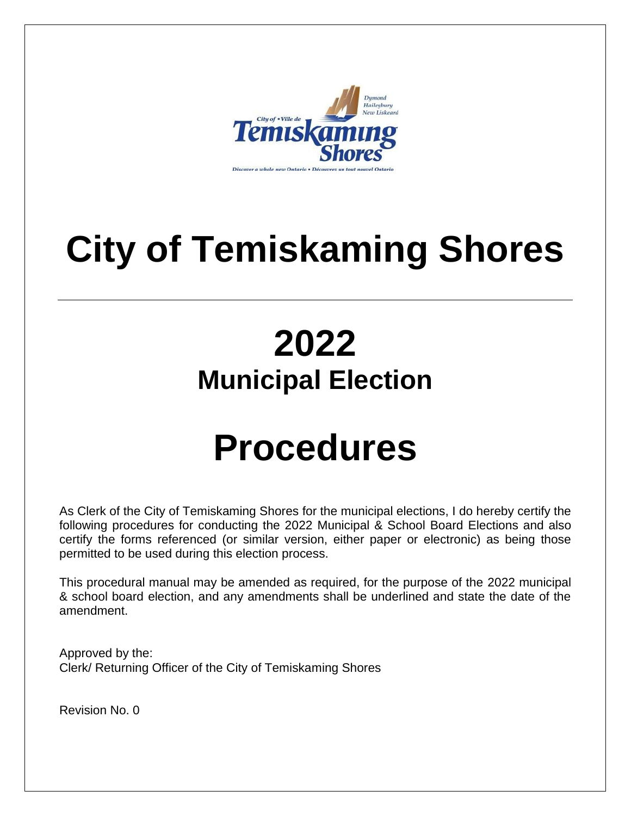

# **City of Temiskaming Shores**

# **2022 Municipal Election**

# **Procedures**

As Clerk of the City of Temiskaming Shores for the municipal elections, I do hereby certify the following procedures for conducting the 2022 Municipal & School Board Elections and also certify the forms referenced (or similar version, either paper or electronic) as being those permitted to be used during this election process.

This procedural manual may be amended as required, for the purpose of the 2022 municipal & school board election, and any amendments shall be underlined and state the date of the amendment.

Approved by the: Clerk/ Returning Officer of the City of Temiskaming Shores

Revision No. 0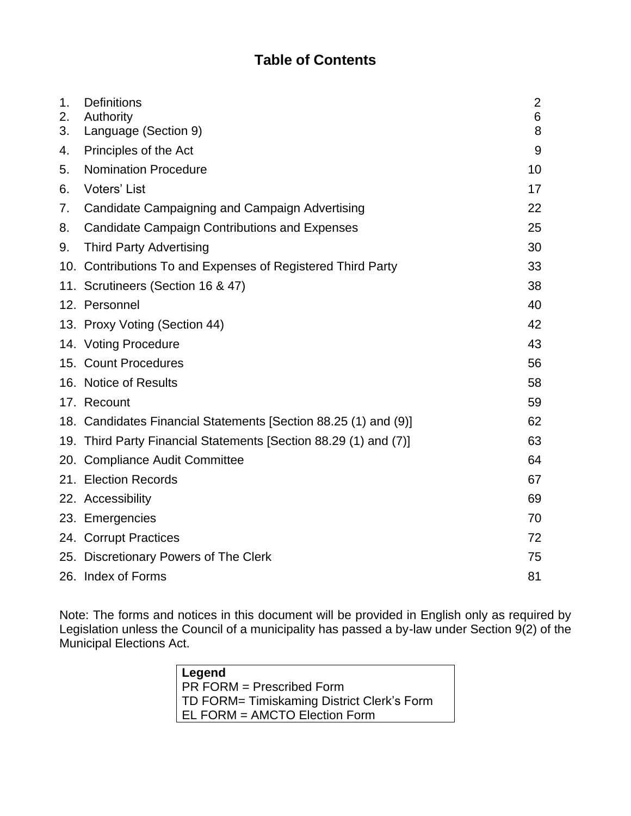# **Table of Contents**

| 1.<br>2. | <b>Definitions</b><br>Authority                                  | $\overline{2}$<br>6 |
|----------|------------------------------------------------------------------|---------------------|
| 3.       | Language (Section 9)                                             | 8                   |
| 4.       | Principles of the Act                                            | 9                   |
| 5.       | <b>Nomination Procedure</b>                                      | 10                  |
| 6.       | Voters' List                                                     | 17                  |
| 7.       | Candidate Campaigning and Campaign Advertising                   | 22                  |
| 8.       | <b>Candidate Campaign Contributions and Expenses</b>             | 25                  |
| 9.       | <b>Third Party Advertising</b>                                   | 30                  |
|          | 10. Contributions To and Expenses of Registered Third Party      | 33                  |
|          | 11. Scrutineers (Section 16 & 47)                                | 38                  |
|          | 12. Personnel                                                    | 40                  |
|          | 13. Proxy Voting (Section 44)                                    | 42                  |
|          | 14. Voting Procedure                                             | 43                  |
|          | 15. Count Procedures                                             | 56                  |
|          | 16. Notice of Results                                            | 58                  |
|          | 17. Recount                                                      | 59                  |
|          | 18. Candidates Financial Statements [Section 88.25 (1) and (9)]  | 62                  |
|          | 19. Third Party Financial Statements [Section 88.29 (1) and (7)] | 63                  |
|          | 20. Compliance Audit Committee                                   | 64                  |
|          | 21. Election Records                                             | 67                  |
|          | 22. Accessibility                                                | 69                  |
|          | 23. Emergencies                                                  | 70                  |
|          | 24. Corrupt Practices                                            | 72                  |
|          | 25. Discretionary Powers of The Clerk                            | 75                  |
|          | 26. Index of Forms                                               | 81                  |

Note: The forms and notices in this document will be provided in English only as required by Legislation unless the Council of a municipality has passed a by-law under Section 9(2) of the Municipal Elections Act.

| Legend                                     |  |  |
|--------------------------------------------|--|--|
| PR FORM = Prescribed Form                  |  |  |
| TD FORM= Timiskaming District Clerk's Form |  |  |
| EL FORM = AMCTO Election Form              |  |  |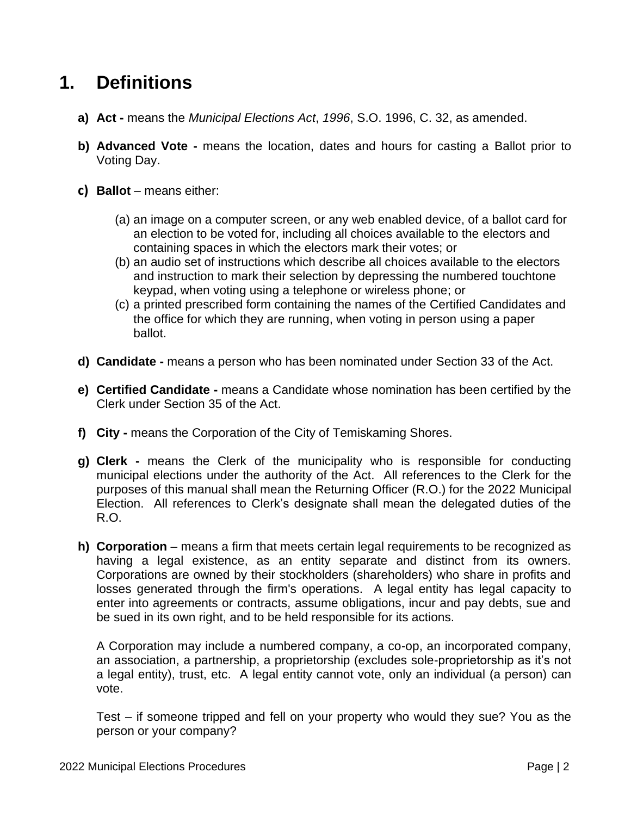# <span id="page-2-0"></span>**1. Definitions**

- **a) Act -** means the *Municipal Elections Act*, *1996*, S.O. 1996, C. 32, as amended.
- **b) Advanced Vote -** means the location, dates and hours for casting a Ballot prior to Voting Day.
- **c) Ballot** means either:
	- (a) an image on a computer screen, or any web enabled device, of a ballot card for an election to be voted for, including all choices available to the electors and containing spaces in which the electors mark their votes; or
	- (b) an audio set of instructions which describe all choices available to the electors and instruction to mark their selection by depressing the numbered touchtone keypad, when voting using a telephone or wireless phone; or
	- (c) a printed prescribed form containing the names of the Certified Candidates and the office for which they are running, when voting in person using a paper ballot.
- **d) Candidate -** means a person who has been nominated under Section 33 of the Act.
- **e) Certified Candidate -** means a Candidate whose nomination has been certified by the Clerk under Section 35 of the Act.
- **f) City -** means the Corporation of the City of Temiskaming Shores.
- **g) Clerk -** means the Clerk of the municipality who is responsible for conducting municipal elections under the authority of the Act. All references to the Clerk for the purposes of this manual shall mean the Returning Officer (R.O.) for the 2022 Municipal Election. All references to Clerk's designate shall mean the delegated duties of the R.O.
- **h) Corporation** means a firm that meets certain legal requirements to be recognized as having a legal existence, as an entity separate and distinct from its owners. Corporations are owned by their stockholders (shareholders) who share in profits and losses generated through the firm's operations. A legal entity has legal capacity to enter into agreements or contracts, assume obligations, incur and pay debts, sue and be sued in its own right, and to be held responsible for its actions.

A Corporation may include a numbered company, a co-op, an incorporated company, an association, a partnership, a proprietorship (excludes sole-proprietorship as it's not a legal entity), trust, etc. A legal entity cannot vote, only an individual (a person) can vote.

Test – if someone tripped and fell on your property who would they sue? You as the person or your company?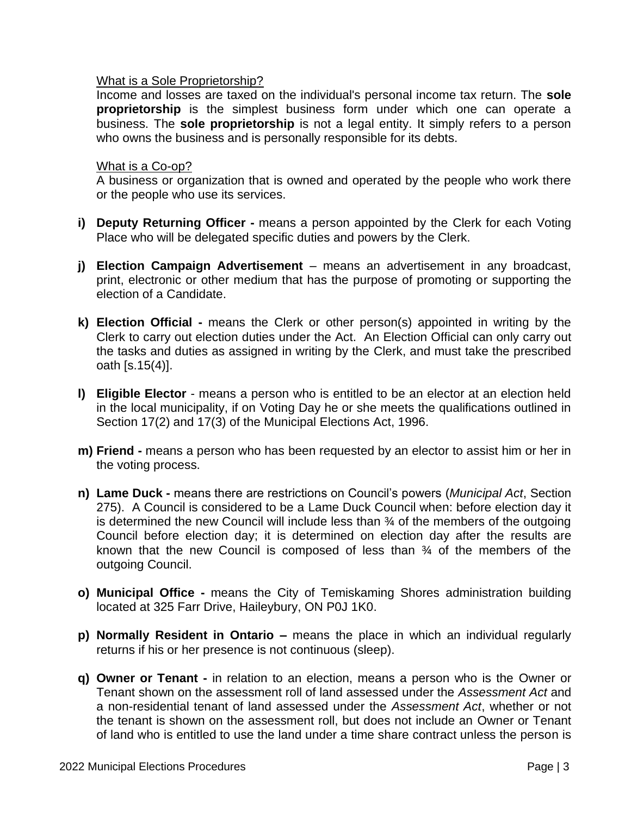#### What is a Sole Proprietorship?

Income and losses are taxed on the individual's personal income tax return. The **sole proprietorship** is the simplest business form under which one can operate a business. The **sole proprietorship** is not a legal entity. It simply refers to a person who owns the business and is personally responsible for its debts.

#### What is a Co-op?

A business or organization that is owned and operated by the people who work there or the people who use its services.

- **i) Deputy Returning Officer -** means a person appointed by the Clerk for each Voting Place who will be delegated specific duties and powers by the Clerk.
- **j) Election Campaign Advertisement** means an advertisement in any broadcast, print, electronic or other medium that has the purpose of promoting or supporting the election of a Candidate.
- **k) Election Official -** means the Clerk or other person(s) appointed in writing by the Clerk to carry out election duties under the Act. An Election Official can only carry out the tasks and duties as assigned in writing by the Clerk, and must take the prescribed oath [s.15(4)].
- **l) Eligible Elector** means a person who is entitled to be an elector at an election held in the local municipality, if on Voting Day he or she meets the qualifications outlined in Section 17(2) and 17(3) of the Municipal Elections Act, 1996.
- **m) Friend -** means a person who has been requested by an elector to assist him or her in the voting process.
- **n) Lame Duck -** means there are restrictions on Council's powers (*Municipal Act*, Section 275). A Council is considered to be a Lame Duck Council when: before election day it is determined the new Council will include less than ¾ of the members of the outgoing Council before election day; it is determined on election day after the results are known that the new Council is composed of less than ¾ of the members of the outgoing Council.
- **o) Municipal Office -** means the City of Temiskaming Shores administration building located at 325 Farr Drive, Haileybury, ON P0J 1K0.
- **p) Normally Resident in Ontario –** means the place in which an individual regularly returns if his or her presence is not continuous (sleep).
- **q) Owner or Tenant -** in relation to an election, means a person who is the Owner or Tenant shown on the assessment roll of land assessed under the *Assessment Act* and a non-residential tenant of land assessed under the *Assessment Act*, whether or not the tenant is shown on the assessment roll, but does not include an Owner or Tenant of land who is entitled to use the land under a time share contract unless the person is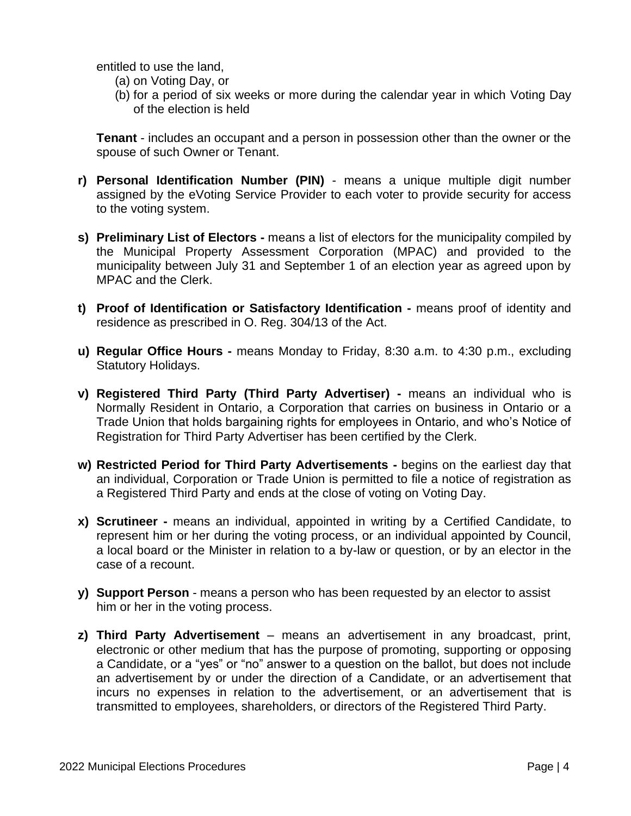entitled to use the land,

- (a) on Voting Day, or
- (b) for a period of six weeks or more during the calendar year in which Voting Day of the election is held

**Tenant** - includes an occupant and a person in possession other than the owner or the spouse of such Owner or Tenant.

- **r) Personal Identification Number (PIN)** means a unique multiple digit number assigned by the eVoting Service Provider to each voter to provide security for access to the voting system.
- **s) Preliminary List of Electors -** means a list of electors for the municipality compiled by the Municipal Property Assessment Corporation (MPAC) and provided to the municipality between July 31 and September 1 of an election year as agreed upon by MPAC and the Clerk.
- **t) Proof of Identification or Satisfactory Identification -** means proof of identity and residence as prescribed in O. Reg. 304/13 of the Act.
- **u) Regular Office Hours -** means Monday to Friday, 8:30 a.m. to 4:30 p.m., excluding Statutory Holidays.
- **v) Registered Third Party (Third Party Advertiser) -** means an individual who is Normally Resident in Ontario, a Corporation that carries on business in Ontario or a Trade Union that holds bargaining rights for employees in Ontario, and who's Notice of Registration for Third Party Advertiser has been certified by the Clerk.
- **w) Restricted Period for Third Party Advertisements -** begins on the earliest day that an individual, Corporation or Trade Union is permitted to file a notice of registration as a Registered Third Party and ends at the close of voting on Voting Day.
- **x) Scrutineer -** means an individual, appointed in writing by a Certified Candidate, to represent him or her during the voting process, or an individual appointed by Council, a local board or the Minister in relation to a by-law or question, or by an elector in the case of a recount.
- **y) Support Person** means a person who has been requested by an elector to assist him or her in the voting process.
- **z) Third Party Advertisement** means an advertisement in any broadcast, print, electronic or other medium that has the purpose of promoting, supporting or opposing a Candidate, or a "yes" or "no" answer to a question on the ballot, but does not include an advertisement by or under the direction of a Candidate, or an advertisement that incurs no expenses in relation to the advertisement, or an advertisement that is transmitted to employees, shareholders, or directors of the Registered Third Party.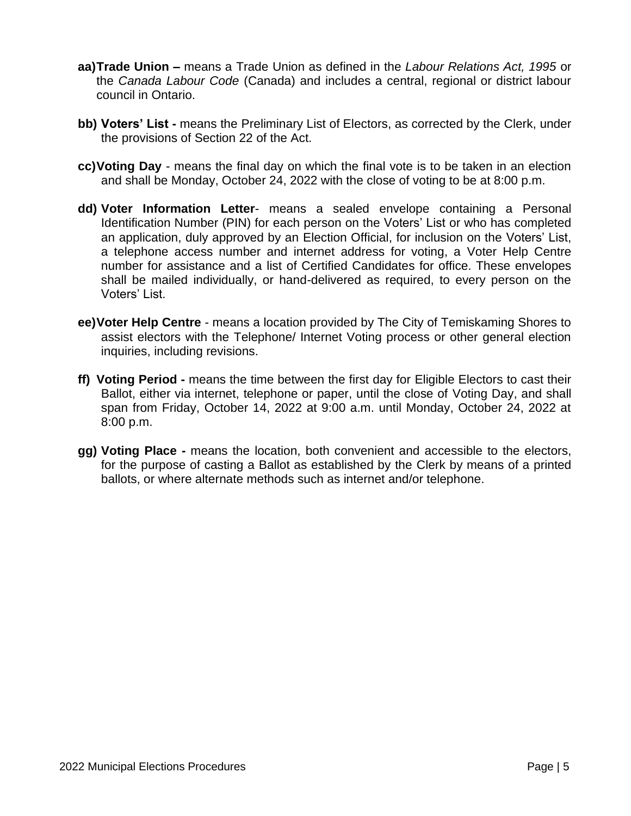- **aa)Trade Union –** means a Trade Union as defined in the *Labour Relations Act, 1995* or the *Canada Labour Code* (Canada) and includes a central, regional or district labour council in Ontario.
- **bb) Voters' List -** means the Preliminary List of Electors, as corrected by the Clerk, under the provisions of Section 22 of the Act.
- **cc)Voting Day** means the final day on which the final vote is to be taken in an election and shall be Monday, October 24, 2022 with the close of voting to be at 8:00 p.m.
- **dd) Voter Information Letter** means a sealed envelope containing a Personal Identification Number (PIN) for each person on the Voters' List or who has completed an application, duly approved by an Election Official, for inclusion on the Voters' List, a telephone access number and internet address for voting, a Voter Help Centre number for assistance and a list of Certified Candidates for office. These envelopes shall be mailed individually, or hand-delivered as required, to every person on the Voters' List.
- **ee)Voter Help Centre** means a location provided by The City of Temiskaming Shores to assist electors with the Telephone/ Internet Voting process or other general election inquiries, including revisions.
- **ff) Voting Period -** means the time between the first day for Eligible Electors to cast their Ballot, either via internet, telephone or paper, until the close of Voting Day, and shall span from Friday, October 14, 2022 at 9:00 a.m. until Monday, October 24, 2022 at 8:00 p.m.
- **gg) Voting Place -** means the location, both convenient and accessible to the electors, for the purpose of casting a Ballot as established by the Clerk by means of a printed ballots, or where alternate methods such as internet and/or telephone.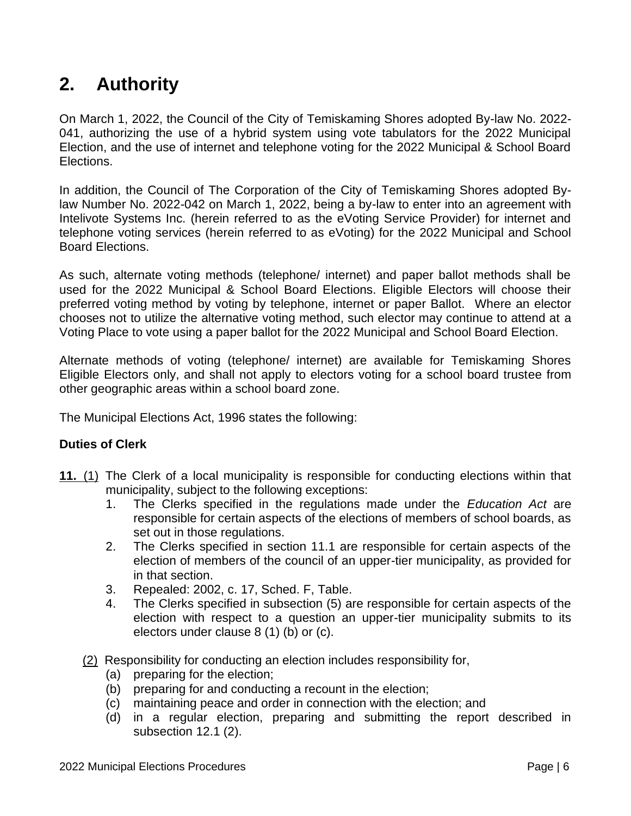# <span id="page-6-0"></span>**2. Authority**

On March 1, 2022, the Council of the City of Temiskaming Shores adopted By-law No. 2022- 041, authorizing the use of a hybrid system using vote tabulators for the 2022 Municipal Election, and the use of internet and telephone voting for the 2022 Municipal & School Board Elections.

In addition, the Council of The Corporation of the City of Temiskaming Shores adopted Bylaw Number No. 2022-042 on March 1, 2022, being a by-law to enter into an agreement with Intelivote Systems Inc. (herein referred to as the eVoting Service Provider) for internet and telephone voting services (herein referred to as eVoting) for the 2022 Municipal and School Board Elections.

As such, alternate voting methods (telephone/ internet) and paper ballot methods shall be used for the 2022 Municipal & School Board Elections. Eligible Electors will choose their preferred voting method by voting by telephone, internet or paper Ballot. Where an elector chooses not to utilize the alternative voting method, such elector may continue to attend at a Voting Place to vote using a paper ballot for the 2022 Municipal and School Board Election.

Alternate methods of voting (telephone/ internet) are available for Temiskaming Shores Eligible Electors only, and shall not apply to electors voting for a school board trustee from other geographic areas within a school board zone.

The Municipal Elections Act, 1996 states the following:

# **Duties of Clerk**

- **[11.](http://www.e-laws.gov.on.ca/html/statutes/french/elaws_statutes_96m32_f.htm#s11s1)** [\(1\)](http://www.e-laws.gov.on.ca/html/statutes/french/elaws_statutes_96m32_f.htm#s11s1) The Clerk of a local municipality is responsible for conducting elections within that municipality, subject to the following exceptions:
	- 1. The Clerks specified in the regulations made under the *Education Act* are responsible for certain aspects of the elections of members of school boards, as set out in those regulations.
	- 2. The Clerks specified in section 11.1 are responsible for certain aspects of the election of members of the council of an upper-tier municipality, as provided for in that section.
	- 3. Repealed: 2002, c. 17, Sched. F, Table.
	- 4. The Clerks specified in subsection (5) are responsible for certain aspects of the election with respect to a question an upper-tier municipality submits to its electors under clause 8 (1) (b) or (c).
	- [\(2\)](http://www.e-laws.gov.on.ca/html/statutes/french/elaws_statutes_96m32_f.htm#s11s2) Responsibility for conducting an election includes responsibility for,
		- (a) preparing for the election;
		- (b) preparing for and conducting a recount in the election;
		- (c) maintaining peace and order in connection with the election; and
		- (d) in a regular election, preparing and submitting the report described in subsection 12.1 (2).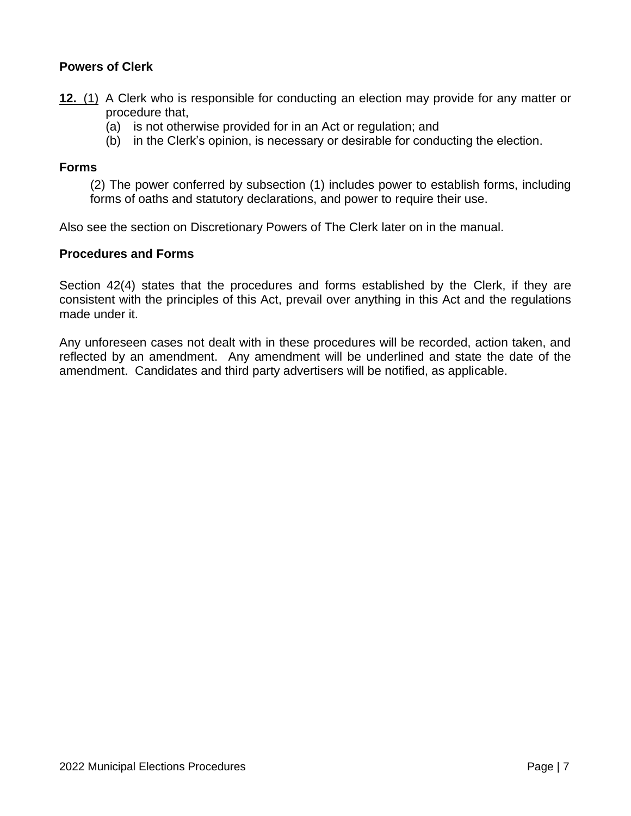# **Powers of Clerk**

- **[12.](http://www.e-laws.gov.on.ca/html/statutes/french/elaws_statutes_96m32_f.htm#s12s1)** [\(1\)](http://www.e-laws.gov.on.ca/html/statutes/french/elaws_statutes_96m32_f.htm#s12s1) A Clerk who is responsible for conducting an election may provide for any matter or procedure that,
	- (a) is not otherwise provided for in an Act or regulation; and
	- (b) in the Clerk's opinion, is necessary or desirable for conducting the election.

#### **Forms**

(2) The power conferred by subsection (1) includes power to establish forms, including forms of oaths and statutory declarations, and power to require their use.

Also see the section on Discretionary Powers of The Clerk later on in the manual.

#### **Procedures and Forms**

Section 42(4) states that the procedures and forms established by the Clerk, if they are consistent with the principles of this Act, prevail over anything in this Act and the regulations made under it.

Any unforeseen cases not dealt with in these procedures will be recorded, action taken, and reflected by an amendment. Any amendment will be underlined and state the date of the amendment. Candidates and third party advertisers will be notified, as applicable.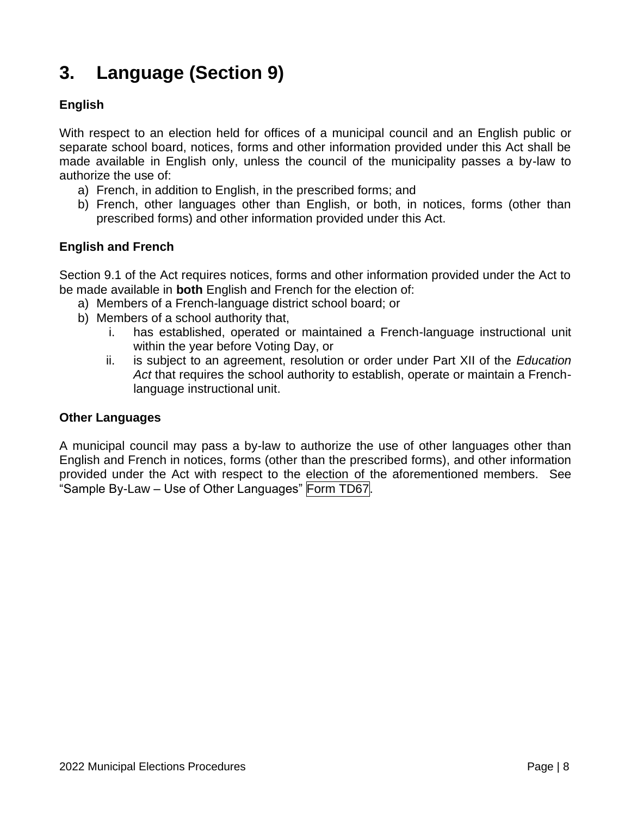# <span id="page-8-0"></span>**3. Language (Section 9)**

# **English**

With respect to an election held for offices of a municipal council and an English public or separate school board, notices, forms and other information provided under this Act shall be made available in English only, unless the council of the municipality passes a by-law to authorize the use of:

- a) French, in addition to English, in the prescribed forms; and
- b) French, other languages other than English, or both, in notices, forms (other than prescribed forms) and other information provided under this Act.

# **English and French**

Section 9.1 of the Act requires notices, forms and other information provided under the Act to be made available in **both** English and French for the election of:

- a) Members of a French-language district school board; or
- b) Members of a school authority that,
	- i. has established, operated or maintained a French-language instructional unit within the year before Voting Day, or
	- ii. is subject to an agreement, resolution or order under Part XII of the *Education Act* that requires the school authority to establish, operate or maintain a Frenchlanguage instructional unit.

#### **Other Languages**

A municipal council may pass a by-law to authorize the use of other languages other than English and French in notices, forms (other than the prescribed forms), and other information provided under the Act with respect to the election of the aforementioned members. See "Sample By-Law – Use of Other Languages" Form TD67.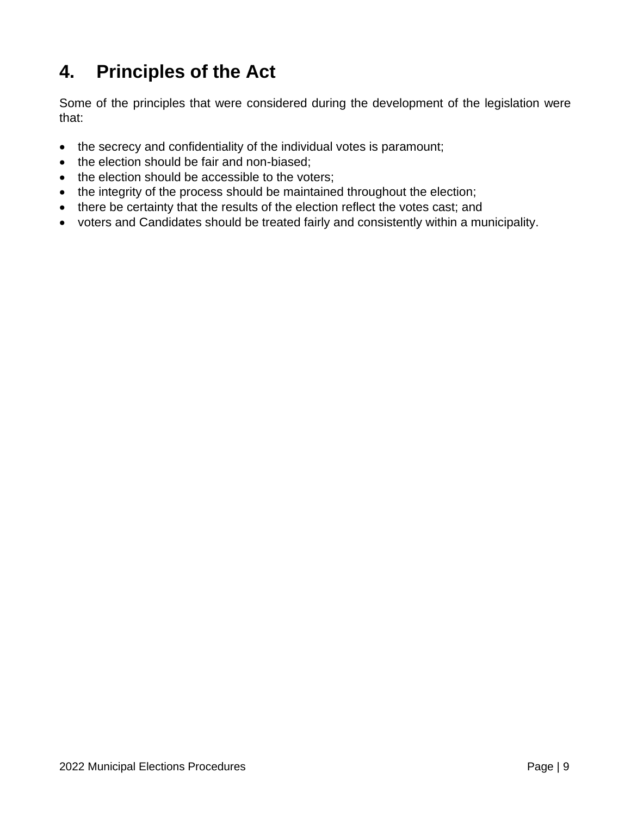# <span id="page-9-0"></span>**4. Principles of the Act**

Some of the principles that were considered during the development of the legislation were that:

- the secrecy and confidentiality of the individual votes is paramount;
- the election should be fair and non-biased;
- the election should be accessible to the voters;
- the integrity of the process should be maintained throughout the election;
- there be certainty that the results of the election reflect the votes cast; and
- voters and Candidates should be treated fairly and consistently within a municipality.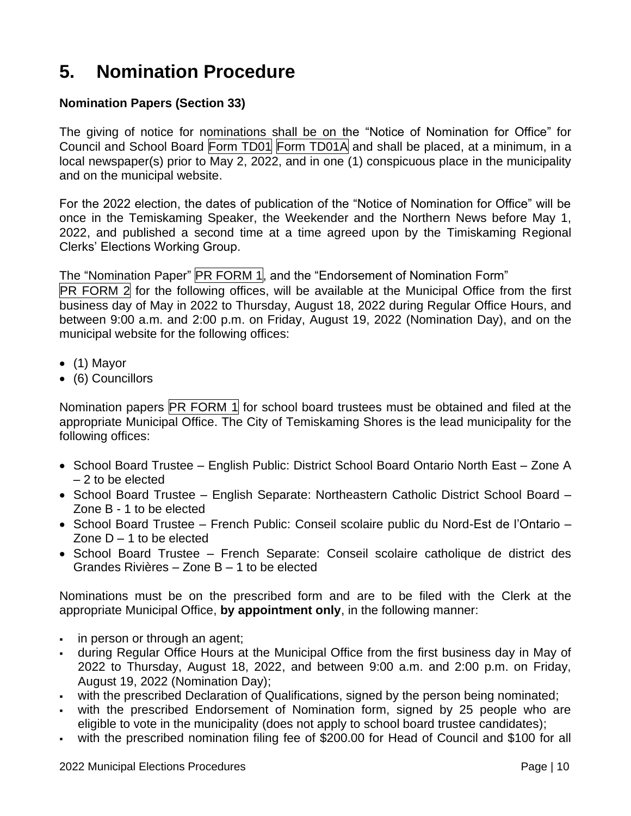# <span id="page-10-0"></span>**5. Nomination Procedure**

# **Nomination Papers (Section 33)**

The giving of notice for nominations shall be on the "Notice of Nomination for Office" for Council and School Board Form TD01 Form TD01A and shall be placed, at a minimum, in a local newspaper(s) prior to  $\overline{Mav}$  2, 2022, and in one (1) conspicuous place in the municipality and on the municipal website.

For the 2022 election, the dates of publication of the "Notice of Nomination for Office" will be once in the Temiskaming Speaker, the Weekender and the Northern News before May 1, 2022, and published a second time at a time agreed upon by the Timiskaming Regional Clerks' Elections Working Group.

The "Nomination Paper" PR FORM 1, and the "Endorsement of Nomination Form"

PR FORM 2 for the following offices, will be available at the Municipal Office from the first business day of May in 2022 to Thursday, August 18, 2022 during Regular Office Hours, and between 9:00 a.m. and 2:00 p.m. on Friday, August 19, 2022 (Nomination Day), and on the municipal website for the following offices:

- (1) Mayor
- (6) Councillors

Nomination papers **PR FORM 1** for school board trustees must be obtained and filed at the appropriate Municipal Office. The City of Temiskaming Shores is the lead municipality for the following offices:

- School Board Trustee English Public: District School Board Ontario North East Zone A – 2 to be elected
- School Board Trustee English Separate: Northeastern Catholic District School Board Zone B - 1 to be elected
- School Board Trustee French Public: Conseil scolaire public du Nord-Est de l'Ontario Zone  $D - 1$  to be elected
- School Board Trustee French Separate: Conseil scolaire catholique de district des Grandes Rivières – Zone B – 1 to be elected

Nominations must be on the prescribed form and are to be filed with the Clerk at the appropriate Municipal Office, **by appointment only**, in the following manner:

- in person or through an agent;
- during Regular Office Hours at the Municipal Office from the first business day in May of 2022 to Thursday, August 18, 2022, and between 9:00 a.m. and 2:00 p.m. on Friday, August 19, 2022 (Nomination Day);
- with the prescribed Declaration of Qualifications, signed by the person being nominated;
- with the prescribed Endorsement of Nomination form, signed by 25 people who are eligible to vote in the municipality (does not apply to school board trustee candidates);
- with the prescribed nomination filing fee of \$200.00 for Head of Council and \$100 for all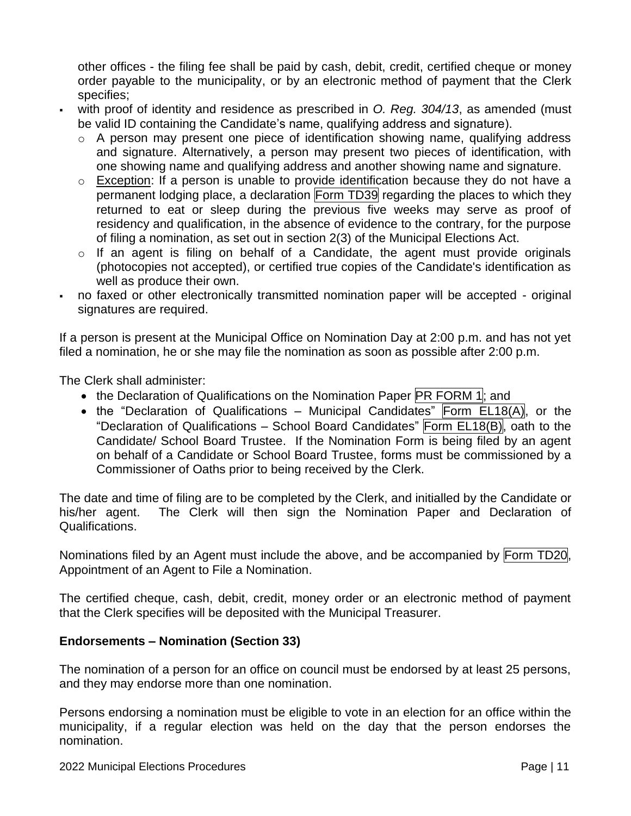other offices - the filing fee shall be paid by cash, debit, credit, certified cheque or money order payable to the municipality, or by an electronic method of payment that the Clerk specifies;

- with proof of identity and residence as prescribed in *O. Reg. 304/13*, as amended (must be valid ID containing the Candidate's name, qualifying address and signature).
	- o A person may present one piece of identification showing name, qualifying address and signature. Alternatively, a person may present two pieces of identification, with one showing name and qualifying address and another showing name and signature.
	- o Exception: If a person is unable to provide identification because they do not have a permanent lodging place, a declaration Form TD39 regarding the places to which they returned to eat or sleep during the previous five weeks may serve as proof of residency and qualification, in the absence of evidence to the contrary, for the purpose of filing a nomination, as set out in section 2(3) of the Municipal Elections Act.
	- $\circ$  If an agent is filing on behalf of a Candidate, the agent must provide originals (photocopies not accepted), or certified true copies of the Candidate's identification as well as produce their own.
- no faxed or other electronically transmitted nomination paper will be accepted original signatures are required.

If a person is present at the Municipal Office on Nomination Day at 2:00 p.m. and has not yet filed a nomination, he or she may file the nomination as soon as possible after 2:00 p.m.

The Clerk shall administer:

- the Declaration of Qualifications on the Nomination Paper **PR FORM 1**; and
- the "Declaration of Qualifications Municipal Candidates" Form  $E L18(A)$ , or the "Declaration of Qualifications – School Board Candidates" Form EL18(B), oath to the Candidate/ School Board Trustee. If the Nomination Form is being filed by an agent on behalf of a Candidate or School Board Trustee, forms must be commissioned by a Commissioner of Oaths prior to being received by the Clerk.

The date and time of filing are to be completed by the Clerk, and initialled by the Candidate or his/her agent. The Clerk will then sign the Nomination Paper and Declaration of Qualifications.

Nominations filed by an Agent must include the above, and be accompanied by Form TD20, Appointment of an Agent to File a Nomination.

The certified cheque, cash, debit, credit, money order or an electronic method of payment that the Clerk specifies will be deposited with the Municipal Treasurer.

# **Endorsements – Nomination (Section 33)**

The nomination of a person for an office on council must be endorsed by at least 25 persons, and they may endorse more than one nomination.

Persons endorsing a nomination must be eligible to vote in an election for an office within the municipality, if a regular election was held on the day that the person endorses the nomination.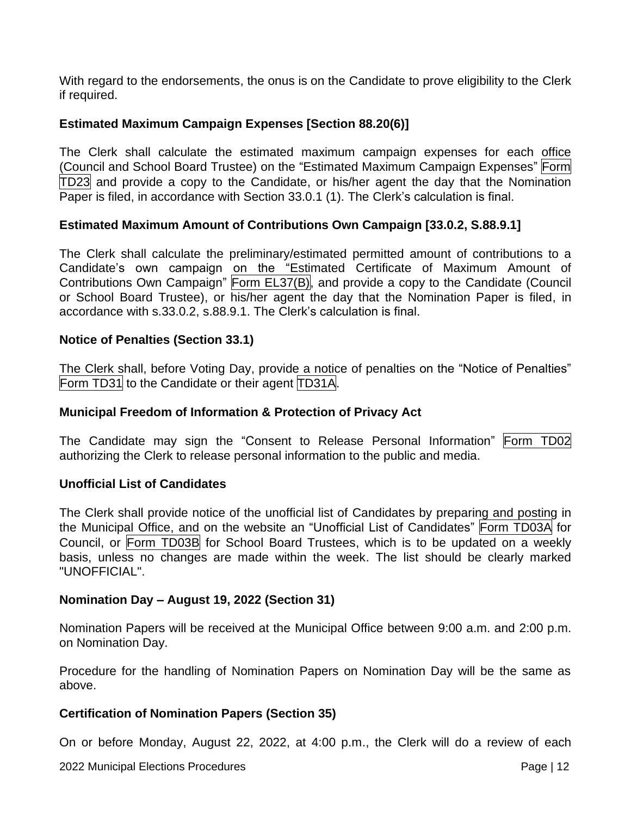With regard to the endorsements, the onus is on the Candidate to prove eligibility to the Clerk if required.

# **Estimated Maximum Campaign Expenses [Section 88.20(6)]**

The Clerk shall calculate the estimated maximum campaign expenses for each office (Council and School Board Trustee) on the "Estimated Maximum Campaign Expenses" Form TD23 and provide a copy to the Candidate, or his/her agent the day that the Nomination Paper is filed, in accordance with Section 33.0.1 (1). The Clerk's calculation is final.

# **Estimated Maximum Amount of Contributions Own Campaign [33.0.2, S.88.9.1]**

The Clerk shall calculate the preliminary/estimated permitted amount of contributions to a Candidate's own campaign on the "Estimated Certificate of Maximum Amount of Contributions Own Campaign" Form EL37(B), and provide a copy to the Candidate (Council or School Board Trustee), or his/her agent the day that the Nomination Paper is filed, in accordance with s.33.0.2, s.88.9.1. The Clerk's calculation is final.

#### **Notice of Penalties (Section 33.1)**

The Clerk shall, before Voting Day, provide a notice of penalties on the "Notice of Penalties" Form TD31 to the Candidate or their agent TD31A.

#### **Municipal Freedom of Information & Protection of Privacy Act**

The Candidate may sign the "Consent to Release Personal Information" Form TD02 authorizing the Clerk to release personal information to the public and media.

#### **Unofficial List of Candidates**

The Clerk shall provide notice of the unofficial list of Candidates by preparing and posting in the Municipal Office, and on the website an "Unofficial List of Candidates" Form TD03A for Council, or Form TD03B for School Board Trustees, which is to be updated on a weekly basis, unless no changes are made within the week. The list should be clearly marked "UNOFFICIAL".

#### **Nomination Day – August 19, 2022 (Section 31)**

Nomination Papers will be received at the Municipal Office between 9:00 a.m. and 2:00 p.m. on Nomination Day.

Procedure for the handling of Nomination Papers on Nomination Day will be the same as above.

#### **Certification of Nomination Papers (Section 35)**

On or before Monday, August 22, 2022, at 4:00 p.m., the Clerk will do a review of each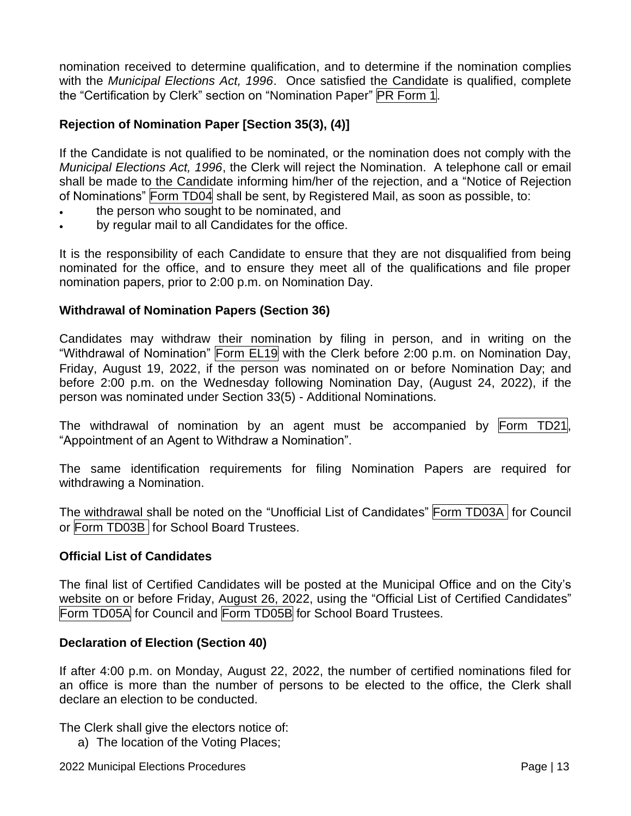nomination received to determine qualification, and to determine if the nomination complies with the *Municipal Elections Act, 1996*. Once satisfied the Candidate is qualified, complete the "Certification by Clerk" section on "Nomination Paper" PR Form 1.

# **Rejection of Nomination Paper [Section 35(3), (4)]**

If the Candidate is not qualified to be nominated, or the nomination does not comply with the *Municipal Elections Act, 1996*, the Clerk will reject the Nomination. A telephone call or email shall be made to the Candidate informing him/her of the rejection, and a "Notice of Rejection of Nominations" Form TD04 shall be sent, by Registered Mail, as soon as possible, to:

- the person who sought to be nominated, and
- by regular mail to all Candidates for the office.

It is the responsibility of each Candidate to ensure that they are not disqualified from being nominated for the office, and to ensure they meet all of the qualifications and file proper nomination papers, prior to 2:00 p.m. on Nomination Day.

#### **Withdrawal of Nomination Papers (Section 36)**

Candidates may withdraw their nomination by filing in person, and in writing on the "Withdrawal of Nomination" Form EL19 with the Clerk before 2:00 p.m. on Nomination Day, Friday, August 19, 2022, if the person was nominated on or before Nomination Day; and before 2:00 p.m. on the Wednesday following Nomination Day, (August 24, 2022), if the person was nominated under Section 33(5) - Additional Nominations.

The withdrawal of nomination by an agent must be accompanied by Form TD21, "Appointment of an Agent to Withdraw a Nomination".

The same identification requirements for filing Nomination Papers are required for withdrawing a Nomination.

The withdrawal shall be noted on the "Unofficial List of Candidates" Form TD03A for Council or Form TD03B for School Board Trustees.

#### **Official List of Candidates**

The final list of Certified Candidates will be posted at the Municipal Office and on the City's website on or before Friday, August 26, 2022, using the "Official List of Certified Candidates" Form TD05A for Council and Form TD05B for School Board Trustees.

#### **Declaration of Election (Section 40)**

If after 4:00 p.m. on Monday, August 22, 2022, the number of certified nominations filed for an office is more than the number of persons to be elected to the office, the Clerk shall declare an election to be conducted.

The Clerk shall give the electors notice of:

a) The location of the Voting Places;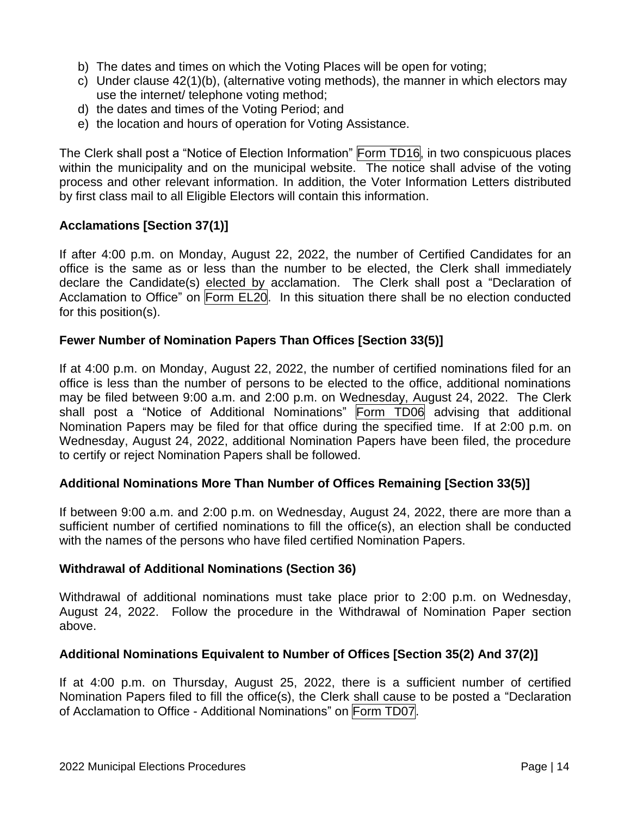- b) The dates and times on which the Voting Places will be open for voting;
- c) Under clause 42(1)(b), (alternative voting methods), the manner in which electors may use the internet/ telephone voting method;
- d) the dates and times of the Voting Period; and
- e) the location and hours of operation for Voting Assistance.

The Clerk shall post a "Notice of Election Information" Form TD16, in two conspicuous places within the municipality and on the municipal website. The notice shall advise of the voting process and other relevant information. In addition, the Voter Information Letters distributed by first class mail to all Eligible Electors will contain this information.

# **Acclamations [Section 37(1)]**

If after 4:00 p.m. on Monday, August 22, 2022, the number of Certified Candidates for an office is the same as or less than the number to be elected, the Clerk shall immediately declare the Candidate(s) elected by acclamation. The Clerk shall post a "Declaration of Acclamation to Office" on Form EL20. In this situation there shall be no election conducted for this position(s).

#### **Fewer Number of Nomination Papers Than Offices [Section 33(5)]**

If at 4:00 p.m. on Monday, August 22, 2022, the number of certified nominations filed for an office is less than the number of persons to be elected to the office, additional nominations may be filed between 9:00 a.m. and 2:00 p.m. on Wednesday, August 24, 2022. The Clerk shall post a "Notice of Additional Nominations" Form TD06 advising that additional Nomination Papers may be filed for that office during the specified time. If at 2:00 p.m. on Wednesday, August 24, 2022, additional Nomination Papers have been filed, the procedure to certify or reject Nomination Papers shall be followed.

#### **Additional Nominations More Than Number of Offices Remaining [Section 33(5)]**

If between 9:00 a.m. and 2:00 p.m. on Wednesday, August 24, 2022, there are more than a sufficient number of certified nominations to fill the office(s), an election shall be conducted with the names of the persons who have filed certified Nomination Papers.

#### **Withdrawal of Additional Nominations (Section 36)**

Withdrawal of additional nominations must take place prior to 2:00 p.m. on Wednesday, August 24, 2022. Follow the procedure in the Withdrawal of Nomination Paper section above.

#### **Additional Nominations Equivalent to Number of Offices [Section 35(2) And 37(2)]**

If at 4:00 p.m. on Thursday, August 25, 2022, there is a sufficient number of certified Nomination Papers filed to fill the office(s), the Clerk shall cause to be posted a "Declaration of Acclamation to Office - Additional Nominations" on Form TD07.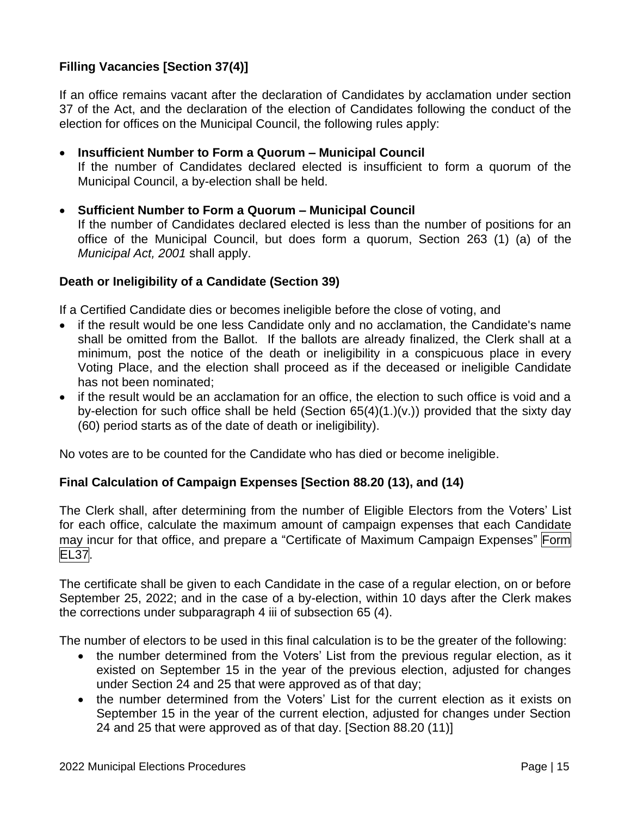# **Filling Vacancies [Section 37(4)]**

If an office remains vacant after the declaration of Candidates by acclamation under section 37 of the Act, and the declaration of the election of Candidates following the conduct of the election for offices on the Municipal Council, the following rules apply:

#### • **Insufficient Number to Form a Quorum – Municipal Council**

- If the number of Candidates declared elected is insufficient to form a quorum of the Municipal Council, a by-election shall be held.
- **Sufficient Number to Form a Quorum – Municipal Council**  If the number of Candidates declared elected is less than the number of positions for an office of the Municipal Council, but does form a quorum, Section 263 (1) (a) of the *Municipal Act, 2001* shall apply.

#### **Death or Ineligibility of a Candidate (Section 39)**

If a Certified Candidate dies or becomes ineligible before the close of voting, and

- if the result would be one less Candidate only and no acclamation, the Candidate's name shall be omitted from the Ballot. If the ballots are already finalized, the Clerk shall at a minimum, post the notice of the death or ineligibility in a conspicuous place in every Voting Place, and the election shall proceed as if the deceased or ineligible Candidate has not been nominated;
- if the result would be an acclamation for an office, the election to such office is void and a by-election for such office shall be held (Section 65(4)(1.)(v.)) provided that the sixty day (60) period starts as of the date of death or ineligibility).

No votes are to be counted for the Candidate who has died or become ineligible.

#### **Final Calculation of Campaign Expenses [Section 88.20 (13), and (14)**

The Clerk shall, after determining from the number of Eligible Electors from the Voters' List for each office, calculate the maximum amount of campaign expenses that each Candidate may incur for that office, and prepare a "Certificate of Maximum Campaign Expenses" Form EL37.

The certificate shall be given to each Candidate in the case of a regular election, on or before September 25, 2022; and in the case of a by-election, within 10 days after the Clerk makes the corrections under subparagraph 4 iii of subsection 65 (4).

The number of electors to be used in this final calculation is to be the greater of the following:

- the number determined from the Voters' List from the previous regular election, as it existed on September 15 in the year of the previous election, adjusted for changes under Section 24 and 25 that were approved as of that day;
- the number determined from the Voters' List for the current election as it exists on September 15 in the year of the current election, adjusted for changes under Section 24 and 25 that were approved as of that day. [Section 88.20 (11)]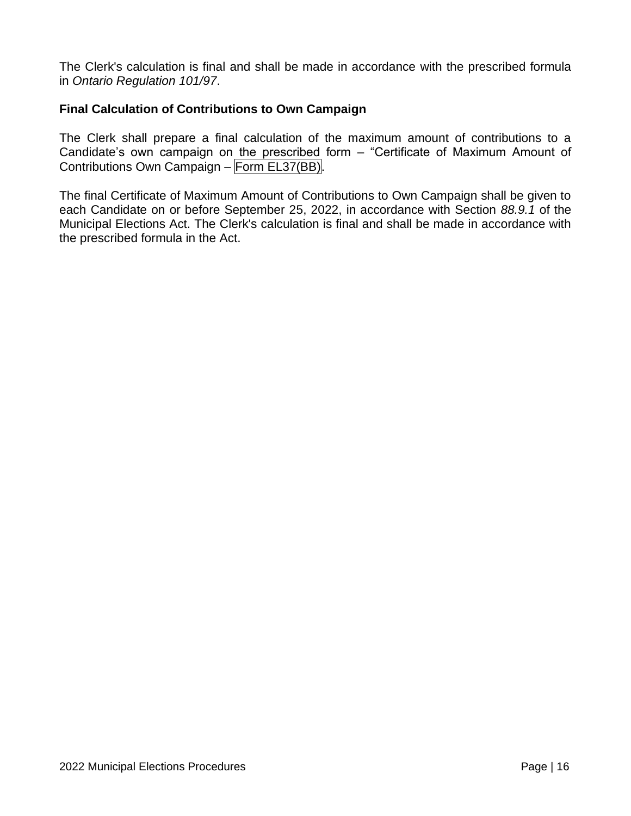The Clerk's calculation is final and shall be made in accordance with the prescribed formula in *Ontario Regulation 101/97*.

#### **Final Calculation of Contributions to Own Campaign**

The Clerk shall prepare a final calculation of the maximum amount of contributions to a Candidate's own campaign on the prescribed form – "Certificate of Maximum Amount of Contributions Own Campaign – Form EL37(BB).

The final Certificate of Maximum Amount of Contributions to Own Campaign shall be given to each Candidate on or before September 25, 2022, in accordance with Section *88.9.1* of the Municipal Elections Act. The Clerk's calculation is final and shall be made in accordance with the prescribed formula in the Act.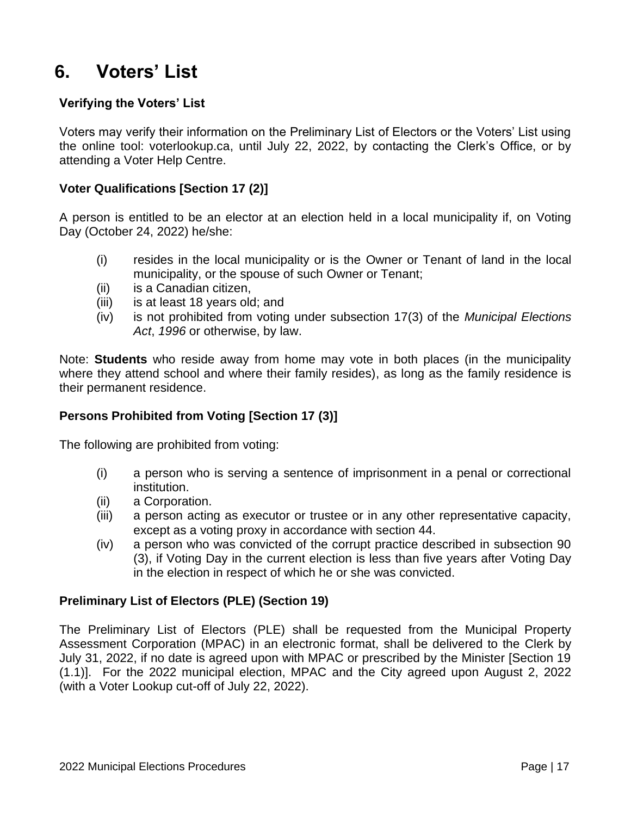# <span id="page-17-0"></span>**6. Voters' List**

# **Verifying the Voters' List**

Voters may verify their information on the Preliminary List of Electors or the Voters' List using the online tool: voterlookup.ca, until July 22, 2022, by contacting the Clerk's Office, or by attending a Voter Help Centre.

# **Voter Qualifications [Section 17 (2)]**

A person is entitled to be an elector at an election held in a local municipality if, on Voting Day (October 24, 2022) he/she:

- (i) resides in the local municipality or is the Owner or Tenant of land in the local municipality, or the spouse of such Owner or Tenant;
- (ii) is a Canadian citizen,
- (iii) is at least 18 years old; and
- (iv) is not prohibited from voting under subsection 17(3) of the *Municipal Elections Act*, *1996* or otherwise, by law.

Note: **Students** who reside away from home may vote in both places (in the municipality where they attend school and where their family resides), as long as the family residence is their permanent residence.

# **Persons Prohibited from Voting [Section 17 (3)]**

The following are prohibited from voting:

- (i) a person who is serving a sentence of imprisonment in a penal or correctional institution.
- (ii) a Corporation.
- (iii) a person acting as executor or trustee or in any other representative capacity, except as a voting proxy in accordance with section 44.
- (iv) a person who was convicted of the corrupt practice described in subsection 90 (3), if Voting Day in the current election is less than five years after Voting Day in the election in respect of which he or she was convicted.

# **Preliminary List of Electors (PLE) (Section 19)**

The Preliminary List of Electors (PLE) shall be requested from the Municipal Property Assessment Corporation (MPAC) in an electronic format, shall be delivered to the Clerk by July 31, 2022, if no date is agreed upon with MPAC or prescribed by the Minister [Section 19 (1.1)]. For the 2022 municipal election, MPAC and the City agreed upon August 2, 2022 (with a Voter Lookup cut-off of July 22, 2022).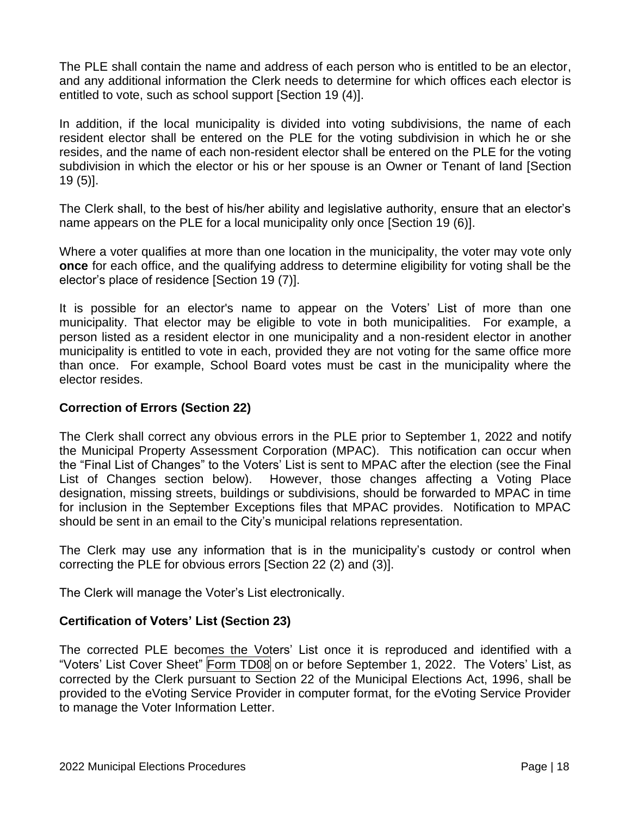The PLE shall contain the name and address of each person who is entitled to be an elector, and any additional information the Clerk needs to determine for which offices each elector is entitled to vote, such as school support [Section 19 (4)].

In addition, if the local municipality is divided into voting subdivisions, the name of each resident elector shall be entered on the PLE for the voting subdivision in which he or she resides, and the name of each non-resident elector shall be entered on the PLE for the voting subdivision in which the elector or his or her spouse is an Owner or Tenant of land [Section 19 (5)].

The Clerk shall, to the best of his/her ability and legislative authority, ensure that an elector's name appears on the PLE for a local municipality only once [Section 19 (6)].

Where a voter qualifies at more than one location in the municipality, the voter may vote only **once** for each office, and the qualifying address to determine eligibility for voting shall be the elector's place of residence [Section 19 (7)].

It is possible for an elector's name to appear on the Voters' List of more than one municipality. That elector may be eligible to vote in both municipalities. For example, a person listed as a resident elector in one municipality and a non-resident elector in another municipality is entitled to vote in each, provided they are not voting for the same office more than once. For example, School Board votes must be cast in the municipality where the elector resides.

# **Correction of Errors (Section 22)**

The Clerk shall correct any obvious errors in the PLE prior to September 1, 2022 and notify the Municipal Property Assessment Corporation (MPAC). This notification can occur when the "Final List of Changes" to the Voters' List is sent to MPAC after the election (see the Final List of Changes section below). However, those changes affecting a Voting Place designation, missing streets, buildings or subdivisions, should be forwarded to MPAC in time for inclusion in the September Exceptions files that MPAC provides. Notification to MPAC should be sent in an email to the City's municipal relations representation.

The Clerk may use any information that is in the municipality's custody or control when correcting the PLE for obvious errors [Section 22 (2) and (3)].

The Clerk will manage the Voter's List electronically.

#### **Certification of Voters' List (Section 23)**

The corrected PLE becomes the Voters' List once it is reproduced and identified with a "Voters' List Cover Sheet" Form TD08 on or before September 1, 2022. The Voters' List, as corrected by the Clerk pursuant to Section 22 of the Municipal Elections Act, 1996, shall be provided to the eVoting Service Provider in computer format, for the eVoting Service Provider to manage the Voter Information Letter.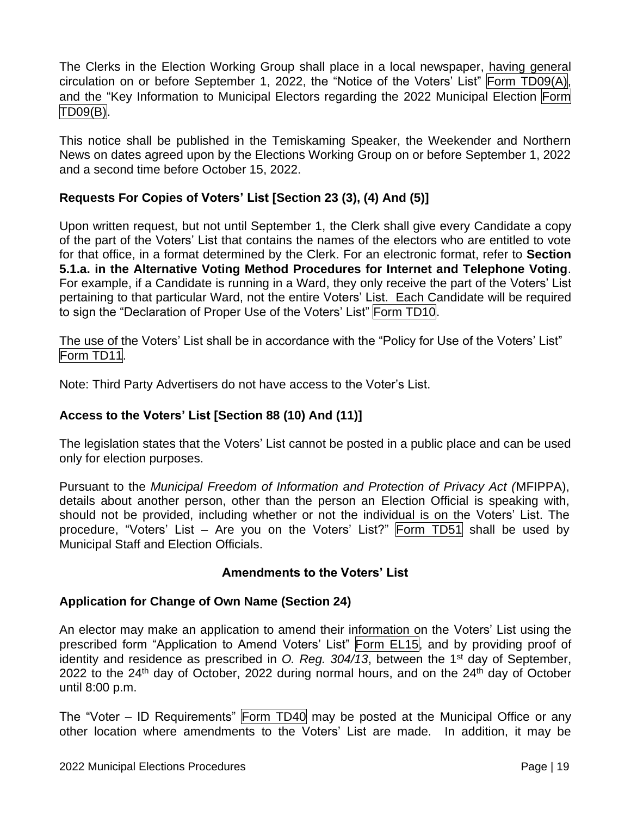The Clerks in the Election Working Group shall place in a local newspaper, having general circulation on or before September 1, 2022, the "Notice of the Voters' List" Form TD09(A), and the "Key Information to Municipal Electors regarding the 2022 Municipal Election Form TD09(B).

This notice shall be published in the Temiskaming Speaker, the Weekender and Northern News on dates agreed upon by the Elections Working Group on or before September 1, 2022 and a second time before October 15, 2022.

# **Requests For Copies of Voters' List [Section 23 (3), (4) And (5)]**

Upon written request, but not until September 1, the Clerk shall give every Candidate a copy of the part of the Voters' List that contains the names of the electors who are entitled to vote for that office, in a format determined by the Clerk. For an electronic format, refer to **Section 5.1.a. in the Alternative Voting Method Procedures for Internet and Telephone Voting**. For example, if a Candidate is running in a Ward, they only receive the part of the Voters' List pertaining to that particular Ward, not the entire Voters' List. Each Candidate will be required to sign the "Declaration of Proper Use of the Voters' List" Form TD10.

The use of the Voters' List shall be in accordance with the "Policy for Use of the Voters' List" Form TD11.

Note: Third Party Advertisers do not have access to the Voter's List.

# **Access to the Voters' List [Section 88 (10) And (11)]**

The legislation states that the Voters' List cannot be posted in a public place and can be used only for election purposes.

Pursuant to the *Municipal Freedom of Information and Protection of Privacy Act (*MFIPPA), details about another person, other than the person an Election Official is speaking with, should not be provided, including whether or not the individual is on the Voters' List. The procedure, "Voters' List – Are you on the Voters' List?" Form TD51 shall be used by Municipal Staff and Election Officials.

# **Amendments to the Voters' List**

# **Application for Change of Own Name (Section 24)**

An elector may make an application to amend their information on the Voters' List using the prescribed form "Application to Amend Voters' List" Form EL15, and by providing proof of identity and residence as prescribed in O. Reg. 304/13, between the 1<sup>st</sup> day of September, 2022 to the 24<sup>th</sup> day of October, 2022 during normal hours, and on the 24<sup>th</sup> day of October until 8:00 p.m.

The "Voter – ID Requirements" Form TD40 may be posted at the Municipal Office or any other location where amendments to the Voters' List are made. In addition, it may be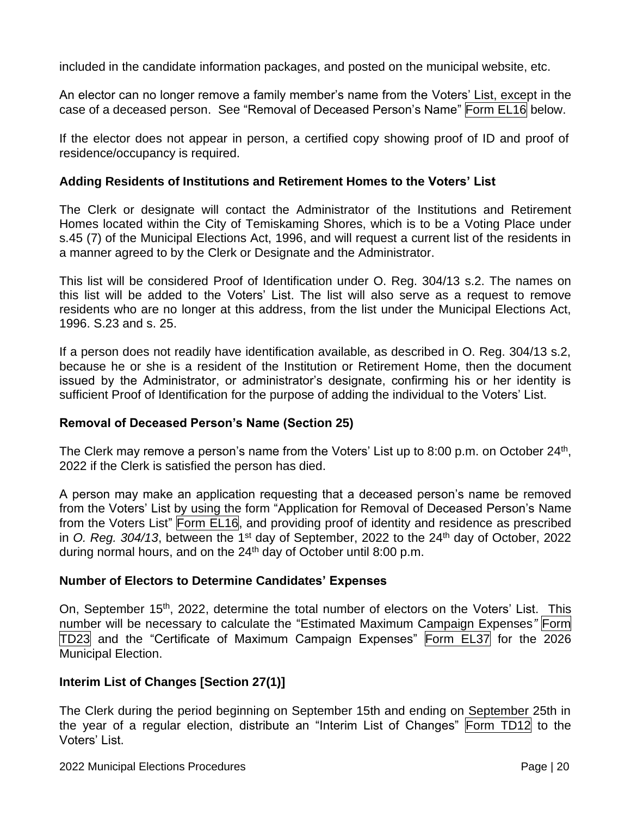included in the candidate information packages, and posted on the municipal website, etc.

An elector can no longer remove a family member's name from the Voters' List, except in the case of a deceased person. See "Removal of Deceased Person's Name" Form EL16 below.

If the elector does not appear in person, a certified copy showing proof of ID and proof of residence/occupancy is required.

# **Adding Residents of Institutions and Retirement Homes to the Voters' List**

The Clerk or designate will contact the Administrator of the Institutions and Retirement Homes located within the City of Temiskaming Shores, which is to be a Voting Place under s.45 (7) of the Municipal Elections Act, 1996, and will request a current list of the residents in a manner agreed to by the Clerk or Designate and the Administrator.

This list will be considered Proof of Identification under O. Reg. 304/13 s.2. The names on this list will be added to the Voters' List. The list will also serve as a request to remove residents who are no longer at this address, from the list under the Municipal Elections Act, 1996. S.23 and s. 25.

If a person does not readily have identification available, as described in O. Reg. 304/13 s.2, because he or she is a resident of the Institution or Retirement Home, then the document issued by the Administrator, or administrator's designate, confirming his or her identity is sufficient Proof of Identification for the purpose of adding the individual to the Voters' List.

# **Removal of Deceased Person's Name (Section 25)**

The Clerk may remove a person's name from the Voters' List up to 8:00 p.m. on October 24<sup>th</sup>, 2022 if the Clerk is satisfied the person has died.

A person may make an application requesting that a deceased person's name be removed from the Voters' List by using the form "Application for Removal of Deceased Person's Name from the Voters List" Form EL16, and providing proof of identity and residence as prescribed in O. Reg. 304/13, between the 1<sup>st</sup> day of September, 2022 to the 24<sup>th</sup> day of October, 2022 during normal hours, and on the  $24<sup>th</sup>$  day of October until 8:00 p.m.

# **Number of Electors to Determine Candidates' Expenses**

On, September 15<sup>th</sup>, 2022, determine the total number of electors on the Voters' List. This number will be necessary to calculate the "Estimated Maximum Campaign Expenses*"* Form TD23 and the "Certificate of Maximum Campaign Expenses" Form EL37 for the 2026 Municipal Election.

# **Interim List of Changes [Section 27(1)]**

The Clerk during the period beginning on September 15th and ending on September 25th in the year of a regular election, distribute an "Interim List of Changes" Form TD12 to the Voters' List.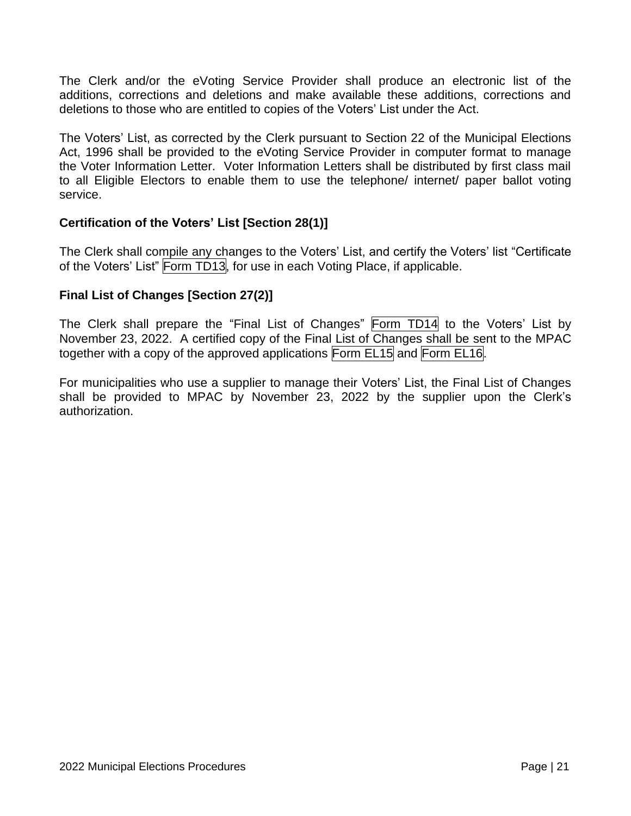The Clerk and/or the eVoting Service Provider shall produce an electronic list of the additions, corrections and deletions and make available these additions, corrections and deletions to those who are entitled to copies of the Voters' List under the Act.

The Voters' List, as corrected by the Clerk pursuant to Section 22 of the Municipal Elections Act, 1996 shall be provided to the eVoting Service Provider in computer format to manage the Voter Information Letter. Voter Information Letters shall be distributed by first class mail to all Eligible Electors to enable them to use the telephone/ internet/ paper ballot voting service.

# **Certification of the Voters' List [Section 28(1)]**

The Clerk shall compile any changes to the Voters' List, and certify the Voters' list "Certificate of the Voters' List" Form TD13, for use in each Voting Place, if applicable.

# **Final List of Changes [Section 27(2)]**

The Clerk shall prepare the "Final List of Changes" Form TD14 to the Voters' List by November 23, 2022. A certified copy of the Final List of Changes shall be sent to the MPAC together with a copy of the approved applications Form EL15 and Form EL16.

For municipalities who use a supplier to manage their Voters' List, the Final List of Changes shall be provided to MPAC by November 23, 2022 by the supplier upon the Clerk's authorization.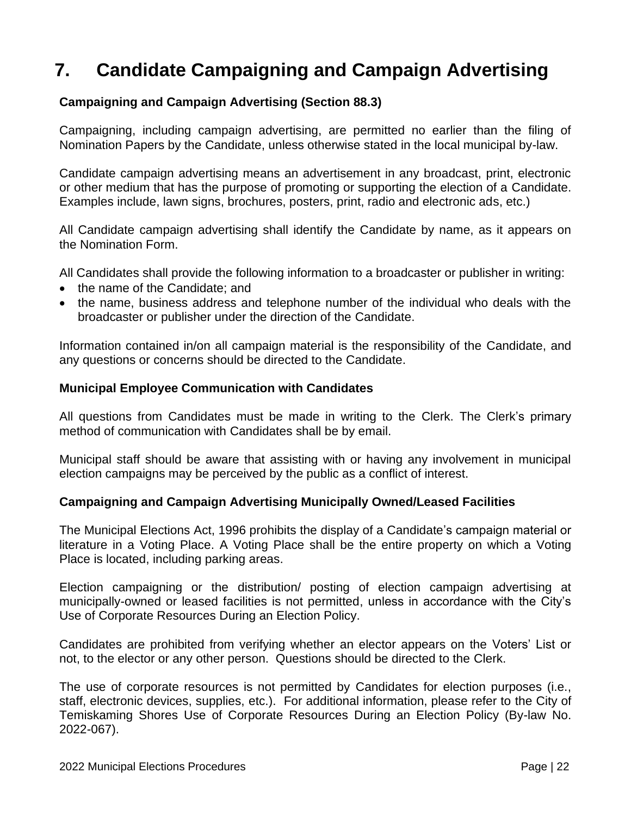# <span id="page-22-0"></span>**7. Candidate Campaigning and Campaign Advertising**

# **Campaigning and Campaign Advertising (Section 88.3)**

Campaigning, including campaign advertising, are permitted no earlier than the filing of Nomination Papers by the Candidate, unless otherwise stated in the local municipal by-law.

Candidate campaign advertising means an advertisement in any broadcast, print, electronic or other medium that has the purpose of promoting or supporting the election of a Candidate. Examples include, lawn signs, brochures, posters, print, radio and electronic ads, etc.)

All Candidate campaign advertising shall identify the Candidate by name, as it appears on the Nomination Form.

All Candidates shall provide the following information to a broadcaster or publisher in writing:

- the name of the Candidate; and
- the name, business address and telephone number of the individual who deals with the broadcaster or publisher under the direction of the Candidate.

Information contained in/on all campaign material is the responsibility of the Candidate, and any questions or concerns should be directed to the Candidate.

#### **Municipal Employee Communication with Candidates**

All questions from Candidates must be made in writing to the Clerk. The Clerk's primary method of communication with Candidates shall be by email.

Municipal staff should be aware that assisting with or having any involvement in municipal election campaigns may be perceived by the public as a conflict of interest.

#### **Campaigning and Campaign Advertising Municipally Owned/Leased Facilities**

The Municipal Elections Act, 1996 prohibits the display of a Candidate's campaign material or literature in a Voting Place. A Voting Place shall be the entire property on which a Voting Place is located, including parking areas.

Election campaigning or the distribution/ posting of election campaign advertising at municipally-owned or leased facilities is not permitted, unless in accordance with the City's Use of Corporate Resources During an Election Policy.

Candidates are prohibited from verifying whether an elector appears on the Voters' List or not, to the elector or any other person. Questions should be directed to the Clerk.

The use of corporate resources is not permitted by Candidates for election purposes (i.e., staff, electronic devices, supplies, etc.). For additional information, please refer to the City of Temiskaming Shores Use of Corporate Resources During an Election Policy (By-law No. 2022-067).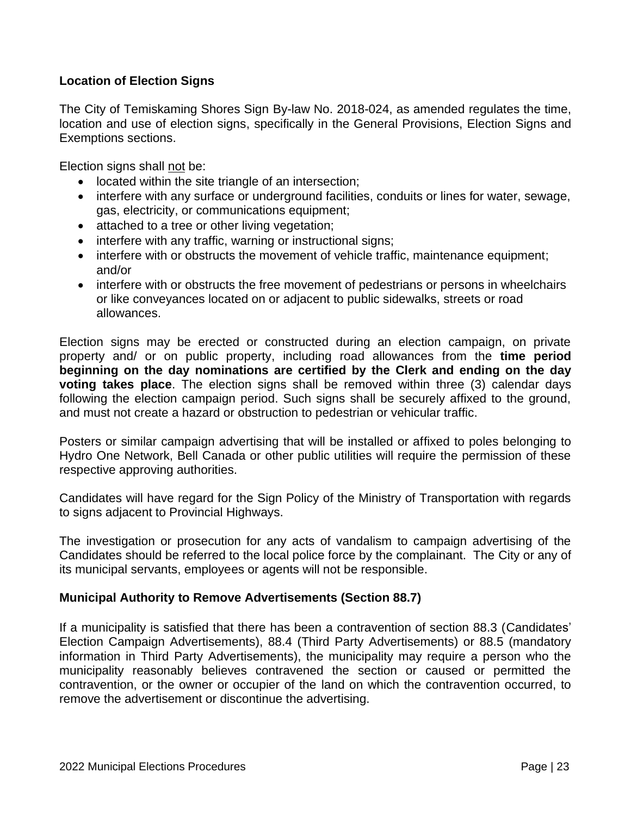# **Location of Election Signs**

The City of Temiskaming Shores Sign By-law No. 2018-024, as amended regulates the time, location and use of election signs, specifically in the General Provisions, Election Signs and Exemptions sections.

Election signs shall not be:

- located within the site triangle of an intersection:
- interfere with any surface or underground facilities, conduits or lines for water, sewage, gas, electricity, or communications equipment;
- attached to a tree or other living vegetation;
- interfere with any traffic, warning or instructional signs;
- interfere with or obstructs the movement of vehicle traffic, maintenance equipment; and/or
- interfere with or obstructs the free movement of pedestrians or persons in wheelchairs or like conveyances located on or adjacent to public sidewalks, streets or road allowances.

Election signs may be erected or constructed during an election campaign, on private property and/ or on public property, including road allowances from the **time period beginning on the day nominations are certified by the Clerk and ending on the day voting takes place**. The election signs shall be removed within three (3) calendar days following the election campaign period. Such signs shall be securely affixed to the ground, and must not create a hazard or obstruction to pedestrian or vehicular traffic.

Posters or similar campaign advertising that will be installed or affixed to poles belonging to Hydro One Network, Bell Canada or other public utilities will require the permission of these respective approving authorities.

Candidates will have regard for the Sign Policy of the Ministry of Transportation with regards to signs adjacent to Provincial Highways.

The investigation or prosecution for any acts of vandalism to campaign advertising of the Candidates should be referred to the local police force by the complainant. The City or any of its municipal servants, employees or agents will not be responsible.

#### **Municipal Authority to Remove Advertisements (Section 88.7)**

If a municipality is satisfied that there has been a contravention of section 88.3 (Candidates' Election Campaign Advertisements), 88.4 (Third Party Advertisements) or 88.5 (mandatory information in Third Party Advertisements), the municipality may require a person who the municipality reasonably believes contravened the section or caused or permitted the contravention, or the owner or occupier of the land on which the contravention occurred, to remove the advertisement or discontinue the advertising.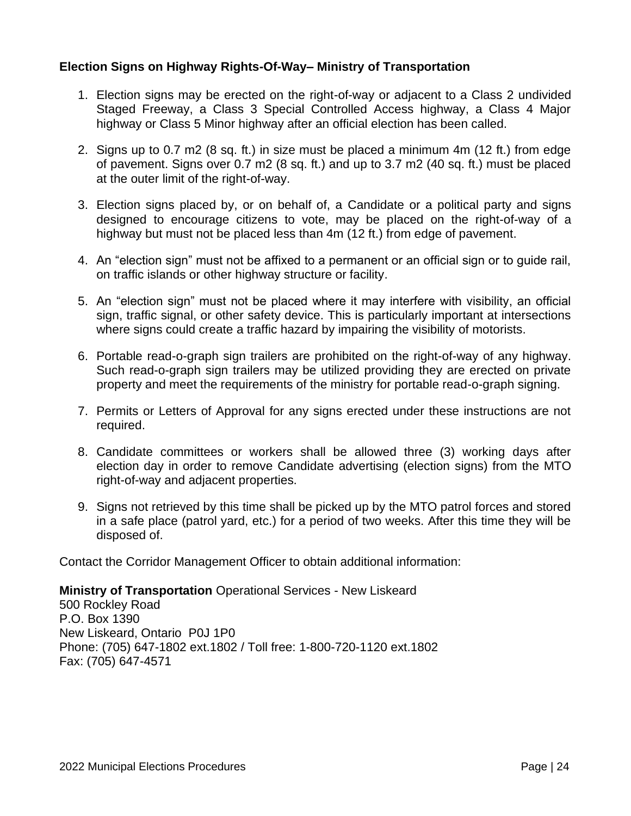#### **Election Signs on Highway Rights-Of-Way– Ministry of Transportation**

- 1. Election signs may be erected on the right-of-way or adjacent to a Class 2 undivided Staged Freeway, a Class 3 Special Controlled Access highway, a Class 4 Major highway or Class 5 Minor highway after an official election has been called.
- 2. Signs up to 0.7 m2 (8 sq. ft.) in size must be placed a minimum 4m (12 ft.) from edge of pavement. Signs over 0.7 m2 (8 sq. ft.) and up to 3.7 m2 (40 sq. ft.) must be placed at the outer limit of the right-of-way.
- 3. Election signs placed by, or on behalf of, a Candidate or a political party and signs designed to encourage citizens to vote, may be placed on the right-of-way of a highway but must not be placed less than 4m (12 ft.) from edge of pavement.
- 4. An "election sign" must not be affixed to a permanent or an official sign or to guide rail, on traffic islands or other highway structure or facility.
- 5. An "election sign" must not be placed where it may interfere with visibility, an official sign, traffic signal, or other safety device. This is particularly important at intersections where signs could create a traffic hazard by impairing the visibility of motorists.
- 6. Portable read-o-graph sign trailers are prohibited on the right-of-way of any highway. Such read-o-graph sign trailers may be utilized providing they are erected on private property and meet the requirements of the ministry for portable read-o-graph signing.
- 7. Permits or Letters of Approval for any signs erected under these instructions are not required.
- 8. Candidate committees or workers shall be allowed three (3) working days after election day in order to remove Candidate advertising (election signs) from the MTO right-of-way and adjacent properties.
- 9. Signs not retrieved by this time shall be picked up by the MTO patrol forces and stored in a safe place (patrol yard, etc.) for a period of two weeks. After this time they will be disposed of.

Contact the Corridor Management Officer to obtain additional information:

**Ministry of Transportation** Operational Services - New Liskeard

500 Rockley Road P.O. Box 1390 New Liskeard, Ontario P0J 1P0 Phone: (705) 647-1802 ext.1802 / Toll free: 1-800-720-1120 ext.1802 Fax: (705) 647-4571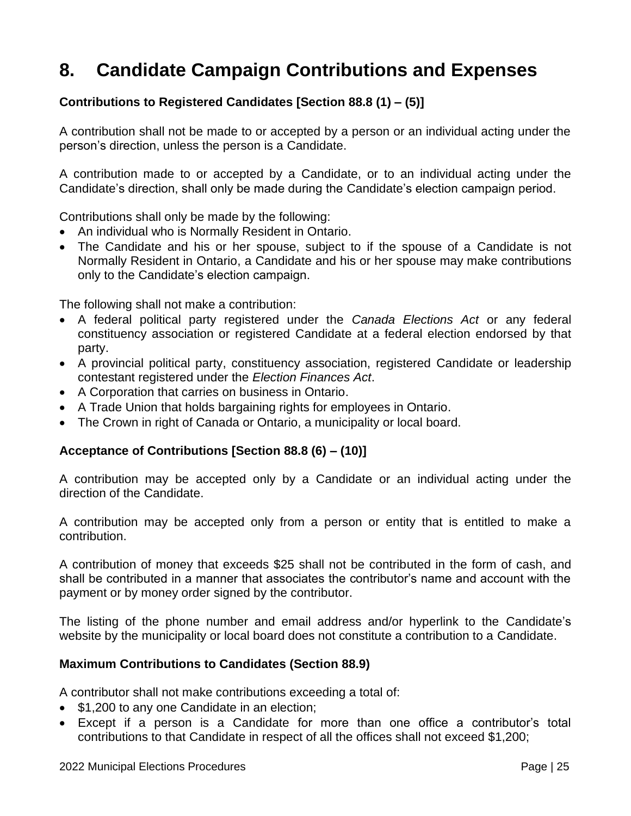# <span id="page-25-0"></span>**8. Candidate Campaign Contributions and Expenses**

# **Contributions to Registered Candidates [Section 88.8 (1) – (5)]**

A contribution shall not be made to or accepted by a person or an individual acting under the person's direction, unless the person is a Candidate.

A contribution made to or accepted by a Candidate, or to an individual acting under the Candidate's direction, shall only be made during the Candidate's election campaign period.

Contributions shall only be made by the following:

- An individual who is Normally Resident in Ontario.
- The Candidate and his or her spouse, subject to if the spouse of a Candidate is not Normally Resident in Ontario, a Candidate and his or her spouse may make contributions only to the Candidate's election campaign.

The following shall not make a contribution:

- A federal political party registered under the *Canada Elections Act* or any federal constituency association or registered Candidate at a federal election endorsed by that party.
- A provincial political party, constituency association, registered Candidate or leadership contestant registered under the *Election Finances Act*.
- A Corporation that carries on business in Ontario.
- A Trade Union that holds bargaining rights for employees in Ontario.
- The Crown in right of Canada or Ontario, a municipality or local board.

#### **Acceptance of Contributions [Section 88.8 (6) – (10)]**

A contribution may be accepted only by a Candidate or an individual acting under the direction of the Candidate.

A contribution may be accepted only from a person or entity that is entitled to make a contribution.

A contribution of money that exceeds \$25 shall not be contributed in the form of cash, and shall be contributed in a manner that associates the contributor's name and account with the payment or by money order signed by the contributor.

The listing of the phone number and email address and/or hyperlink to the Candidate's website by the municipality or local board does not constitute a contribution to a Candidate.

#### **Maximum Contributions to Candidates (Section 88.9)**

A contributor shall not make contributions exceeding a total of:

- \$1,200 to any one Candidate in an election;
- Except if a person is a Candidate for more than one office a contributor's total contributions to that Candidate in respect of all the offices shall not exceed \$1,200;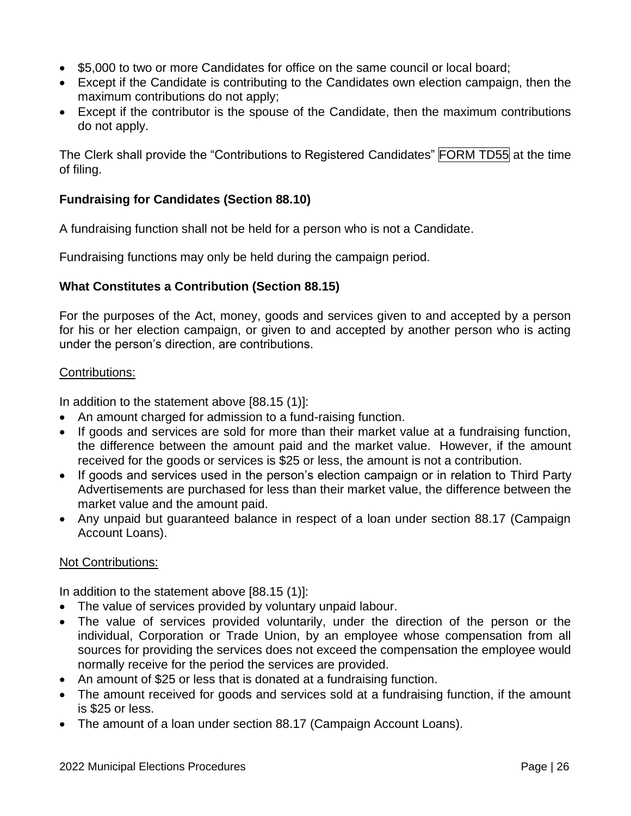- \$5,000 to two or more Candidates for office on the same council or local board;
- Except if the Candidate is contributing to the Candidates own election campaign, then the maximum contributions do not apply;
- Except if the contributor is the spouse of the Candidate, then the maximum contributions do not apply.

The Clerk shall provide the "Contributions to Registered Candidates" FORM TD55 at the time of filing.

# **Fundraising for Candidates (Section 88.10)**

A fundraising function shall not be held for a person who is not a Candidate.

Fundraising functions may only be held during the campaign period.

#### **What Constitutes a Contribution (Section 88.15)**

For the purposes of the Act, money, goods and services given to and accepted by a person for his or her election campaign, or given to and accepted by another person who is acting under the person's direction, are contributions.

#### Contributions:

In addition to the statement above [88.15 (1)]:

- An amount charged for admission to a fund-raising function.
- If goods and services are sold for more than their market value at a fundraising function, the difference between the amount paid and the market value. However, if the amount received for the goods or services is \$25 or less, the amount is not a contribution.
- If goods and services used in the person's election campaign or in relation to Third Party Advertisements are purchased for less than their market value, the difference between the market value and the amount paid.
- Any unpaid but guaranteed balance in respect of a loan under section 88.17 (Campaign Account Loans).

#### Not Contributions:

In addition to the statement above [88.15 (1)]:

- The value of services provided by voluntary unpaid labour.
- The value of services provided voluntarily, under the direction of the person or the individual, Corporation or Trade Union, by an employee whose compensation from all sources for providing the services does not exceed the compensation the employee would normally receive for the period the services are provided.
- An amount of \$25 or less that is donated at a fundraising function.
- The amount received for goods and services sold at a fundraising function, if the amount is \$25 or less.
- The amount of a loan under section 88.17 (Campaign Account Loans).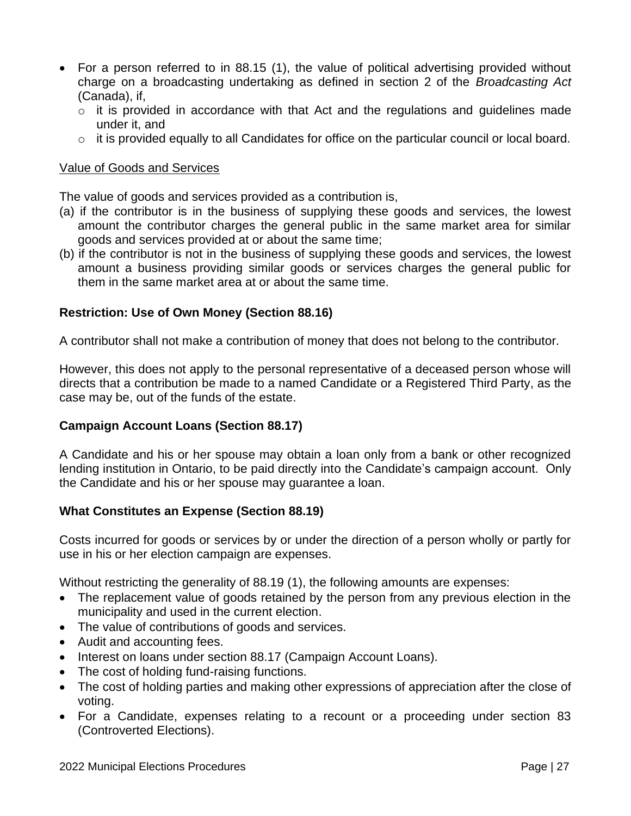- For a person referred to in 88.15 (1), the value of political advertising provided without charge on a broadcasting undertaking as defined in section 2 of the *Broadcasting Act* (Canada), if,
	- $\circ$  it is provided in accordance with that Act and the regulations and guidelines made under it, and
	- $\circ$  it is provided equally to all Candidates for office on the particular council or local board.

#### Value of Goods and Services

The value of goods and services provided as a contribution is,

- (a) if the contributor is in the business of supplying these goods and services, the lowest amount the contributor charges the general public in the same market area for similar goods and services provided at or about the same time;
- (b) if the contributor is not in the business of supplying these goods and services, the lowest amount a business providing similar goods or services charges the general public for them in the same market area at or about the same time.

#### **Restriction: Use of Own Money (Section 88.16)**

A contributor shall not make a contribution of money that does not belong to the contributor.

However, this does not apply to the personal representative of a deceased person whose will directs that a contribution be made to a named Candidate or a Registered Third Party, as the case may be, out of the funds of the estate.

#### **Campaign Account Loans (Section 88.17)**

A Candidate and his or her spouse may obtain a loan only from a bank or other recognized lending institution in Ontario, to be paid directly into the Candidate's campaign account. Only the Candidate and his or her spouse may guarantee a loan.

#### **What Constitutes an Expense (Section 88.19)**

Costs incurred for goods or services by or under the direction of a person wholly or partly for use in his or her election campaign are expenses.

Without restricting the generality of 88.19 (1), the following amounts are expenses:

- The replacement value of goods retained by the person from any previous election in the municipality and used in the current election.
- The value of contributions of goods and services.
- Audit and accounting fees.
- Interest on loans under section 88.17 (Campaign Account Loans).
- The cost of holding fund-raising functions.
- The cost of holding parties and making other expressions of appreciation after the close of voting.
- For a Candidate, expenses relating to a recount or a proceeding under section 83 (Controverted Elections).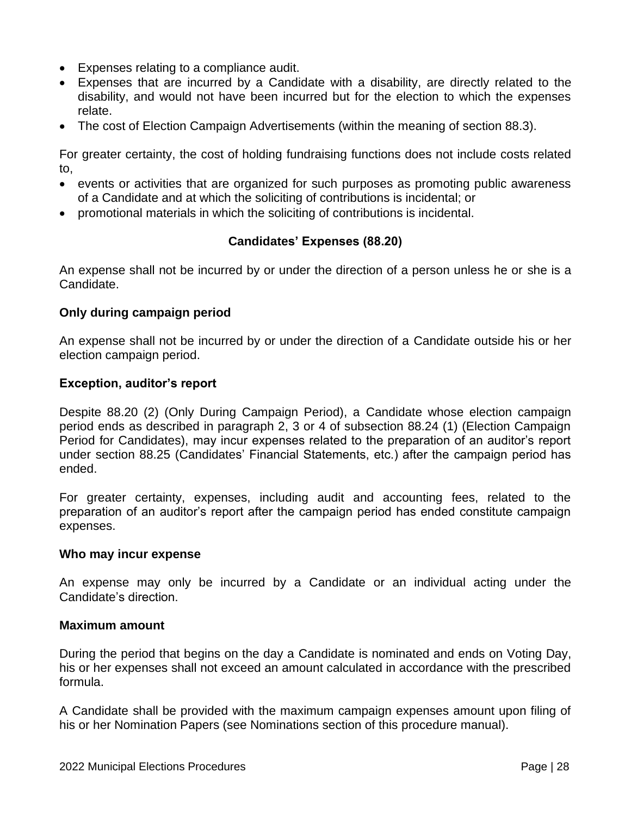- Expenses relating to a compliance audit.
- Expenses that are incurred by a Candidate with a disability, are directly related to the disability, and would not have been incurred but for the election to which the expenses relate.
- The cost of Election Campaign Advertisements (within the meaning of section 88.3).

For greater certainty, the cost of holding fundraising functions does not include costs related to,

- events or activities that are organized for such purposes as promoting public awareness of a Candidate and at which the soliciting of contributions is incidental; or
- promotional materials in which the soliciting of contributions is incidental.

# **Candidates' Expenses (88.20)**

An expense shall not be incurred by or under the direction of a person unless he or she is a Candidate.

# **Only during campaign period**

An expense shall not be incurred by or under the direction of a Candidate outside his or her election campaign period.

#### **Exception, auditor's report**

Despite 88.20 (2) (Only During Campaign Period), a Candidate whose election campaign period ends as described in paragraph 2, 3 or 4 of subsection 88.24 (1) (Election Campaign Period for Candidates), may incur expenses related to the preparation of an auditor's report under section 88.25 (Candidates' Financial Statements, etc.) after the campaign period has ended.

For greater certainty, expenses, including audit and accounting fees, related to the preparation of an auditor's report after the campaign period has ended constitute campaign expenses.

#### **Who may incur expense**

An expense may only be incurred by a Candidate or an individual acting under the Candidate's direction.

#### **Maximum amount**

During the period that begins on the day a Candidate is nominated and ends on Voting Day, his or her expenses shall not exceed an amount calculated in accordance with the prescribed formula.

A Candidate shall be provided with the maximum campaign expenses amount upon filing of his or her Nomination Papers (see Nominations section of this procedure manual).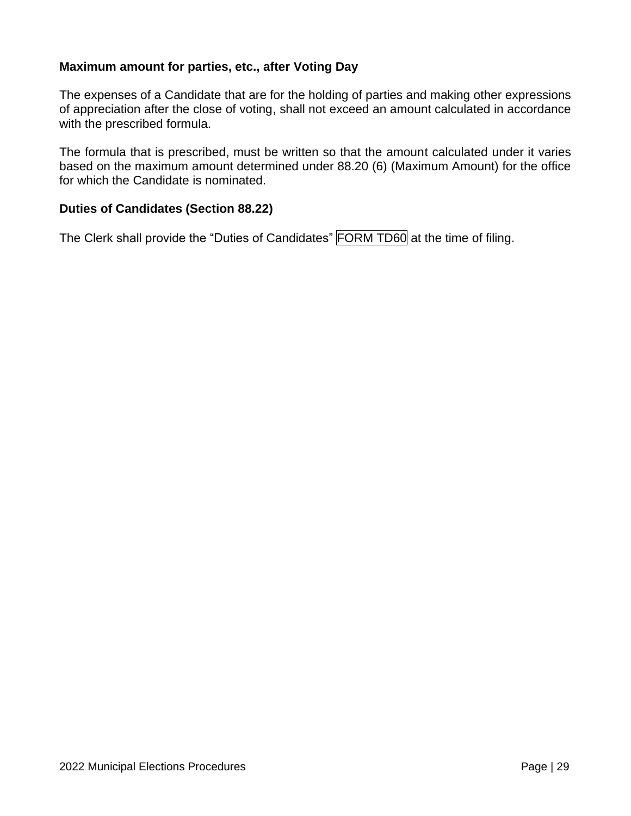#### **Maximum amount for parties, etc., after Voting Day**

The expenses of a Candidate that are for the holding of parties and making other expressions of appreciation after the close of voting, shall not exceed an amount calculated in accordance with the prescribed formula.

The formula that is prescribed, must be written so that the amount calculated under it varies based on the maximum amount determined under 88.20 (6) (Maximum Amount) for the office for which the Candidate is nominated.

#### **Duties of Candidates (Section 88.22)**

The Clerk shall provide the "Duties of Candidates" FORM TD60 at the time of filing.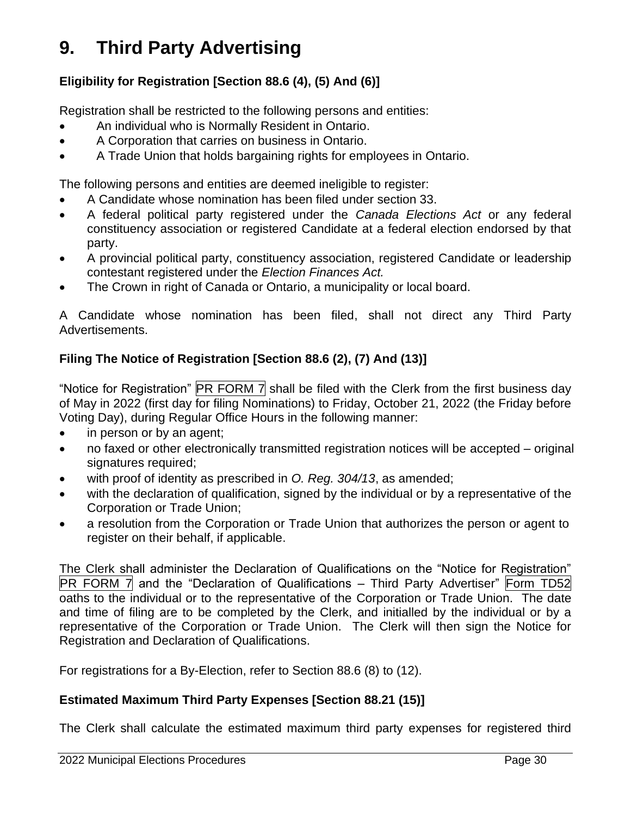# <span id="page-30-0"></span>**9. Third Party Advertising**

# **Eligibility for Registration [Section 88.6 (4), (5) And (6)]**

Registration shall be restricted to the following persons and entities:

- An individual who is Normally Resident in Ontario.
- A Corporation that carries on business in Ontario.
- A Trade Union that holds bargaining rights for employees in Ontario.

The following persons and entities are deemed ineligible to register:

- A Candidate whose nomination has been filed under section 33.
- A federal political party registered under the *Canada Elections Act* or any federal constituency association or registered Candidate at a federal election endorsed by that party.
- A provincial political party, constituency association, registered Candidate or leadership contestant registered under the *Election Finances Act.*
- The Crown in right of Canada or Ontario, a municipality or local board.

A Candidate whose nomination has been filed, shall not direct any Third Party Advertisements.

# **Filing The Notice of Registration [Section 88.6 (2), (7) And (13)]**

"Notice for Registration"  $\boxed{PR$  FORM 7 shall be filed with the Clerk from the first business day of May in 2022 (first day for filing Nominations) to Friday, October 21, 2022 (the Friday before Voting Day), during Regular Office Hours in the following manner:

- in person or by an agent;
- no faxed or other electronically transmitted registration notices will be accepted original signatures required;
- with proof of identity as prescribed in *O. Reg. 304/13*, as amended;
- with the declaration of qualification, signed by the individual or by a representative of the Corporation or Trade Union;
- a resolution from the Corporation or Trade Union that authorizes the person or agent to register on their behalf, if applicable.

The Clerk shall administer the Declaration of Qualifications on the "Notice for Registration"  $PR$  FORM 7 and the "Declaration of Qualifications – Third Party Advertiser" Form TD52 oaths to the individual or to the representative of the Corporation or Trade Union. The date and time of filing are to be completed by the Clerk, and initialled by the individual or by a representative of the Corporation or Trade Union. The Clerk will then sign the Notice for Registration and Declaration of Qualifications.

For registrations for a By-Election, refer to Section 88.6 (8) to (12).

# **Estimated Maximum Third Party Expenses [Section 88.21 (15)]**

The Clerk shall calculate the estimated maximum third party expenses for registered third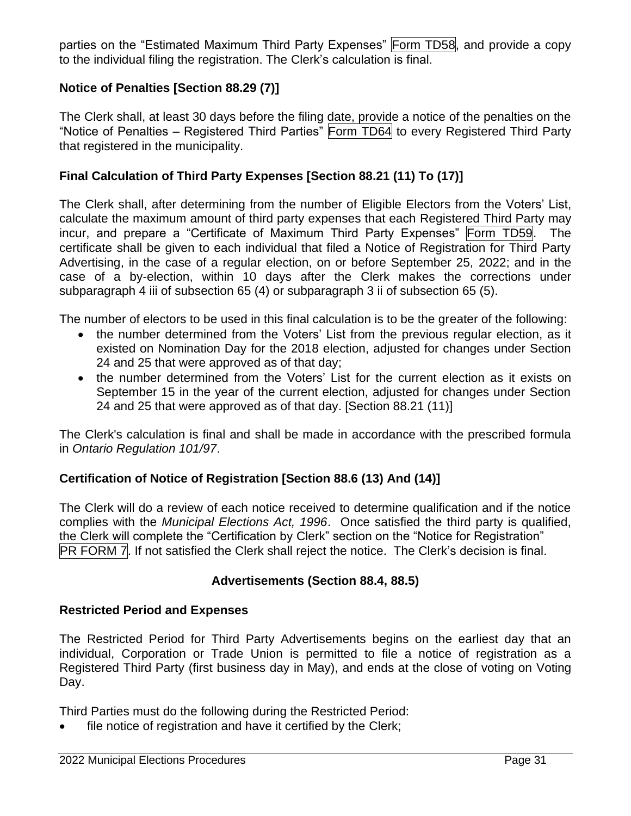parties on the "Estimated Maximum Third Party Expenses" Form TD58, and provide a copy to the individual filing the registration. The Clerk's calculation is final.

# **Notice of Penalties [Section 88.29 (7)]**

The Clerk shall, at least 30 days before the filing date, provide a notice of the penalties on the "Notice of Penalties – Registered Third Parties" Form TD64 to every Registered Third Party that registered in the municipality.

# **Final Calculation of Third Party Expenses [Section 88.21 (11) To (17)]**

The Clerk shall, after determining from the number of Eligible Electors from the Voters' List, calculate the maximum amount of third party expenses that each Registered Third Party may incur, and prepare a "Certificate of Maximum Third Party Expenses" Form TD59. The certificate shall be given to each individual that filed a Notice of Registration for Third Party Advertising, in the case of a regular election, on or before September 25, 2022; and in the case of a by-election, within 10 days after the Clerk makes the corrections under subparagraph 4 iii of subsection 65 (4) or subparagraph 3 ii of subsection 65 (5).

The number of electors to be used in this final calculation is to be the greater of the following:

- the number determined from the Voters' List from the previous regular election, as it existed on Nomination Day for the 2018 election, adjusted for changes under Section 24 and 25 that were approved as of that day;
- the number determined from the Voters' List for the current election as it exists on September 15 in the year of the current election, adjusted for changes under Section 24 and 25 that were approved as of that day. [Section 88.21 (11)]

The Clerk's calculation is final and shall be made in accordance with the prescribed formula in *Ontario Regulation 101/97*.

# **Certification of Notice of Registration [Section 88.6 (13) And (14)]**

The Clerk will do a review of each notice received to determine qualification and if the notice complies with the *Municipal Elections Act, 1996*. Once satisfied the third party is qualified, the Clerk will complete the "Certification by Clerk" section on the "Notice for Registration" PR FORM 7. If not satisfied the Clerk shall reject the notice. The Clerk's decision is final.

#### **Advertisements (Section 88.4, 88.5)**

#### **Restricted Period and Expenses**

The Restricted Period for Third Party Advertisements begins on the earliest day that an individual, Corporation or Trade Union is permitted to file a notice of registration as a Registered Third Party (first business day in May), and ends at the close of voting on Voting Day.

Third Parties must do the following during the Restricted Period:

file notice of registration and have it certified by the Clerk;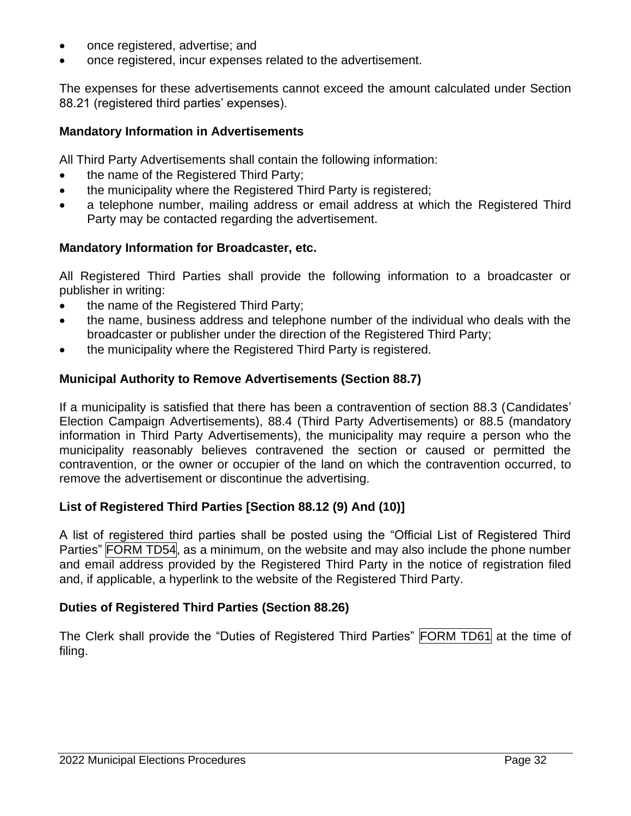- once registered, advertise; and
- once registered, incur expenses related to the advertisement.

The expenses for these advertisements cannot exceed the amount calculated under Section 88.21 (registered third parties' expenses).

# **Mandatory Information in Advertisements**

All Third Party Advertisements shall contain the following information:

- the name of the Registered Third Party;
- the municipality where the Registered Third Party is registered;
- a telephone number, mailing address or email address at which the Registered Third Party may be contacted regarding the advertisement.

# **Mandatory Information for Broadcaster, etc.**

All Registered Third Parties shall provide the following information to a broadcaster or publisher in writing:

- the name of the Registered Third Party;
- the name, business address and telephone number of the individual who deals with the broadcaster or publisher under the direction of the Registered Third Party;
- the municipality where the Registered Third Party is registered.

# **Municipal Authority to Remove Advertisements (Section 88.7)**

If a municipality is satisfied that there has been a contravention of section 88.3 (Candidates' Election Campaign Advertisements), 88.4 (Third Party Advertisements) or 88.5 (mandatory information in Third Party Advertisements), the municipality may require a person who the municipality reasonably believes contravened the section or caused or permitted the contravention, or the owner or occupier of the land on which the contravention occurred, to remove the advertisement or discontinue the advertising.

#### **List of Registered Third Parties [Section 88.12 (9) And (10)]**

A list of registered third parties shall be posted using the "Official List of Registered Third Parties" FORM TD54, as a minimum, on the website and may also include the phone number and email address provided by the Registered Third Party in the notice of registration filed and, if applicable, a hyperlink to the website of the Registered Third Party.

# **Duties of Registered Third Parties (Section 88.26)**

The Clerk shall provide the "Duties of Registered Third Parties" FORM TD61 at the time of filing.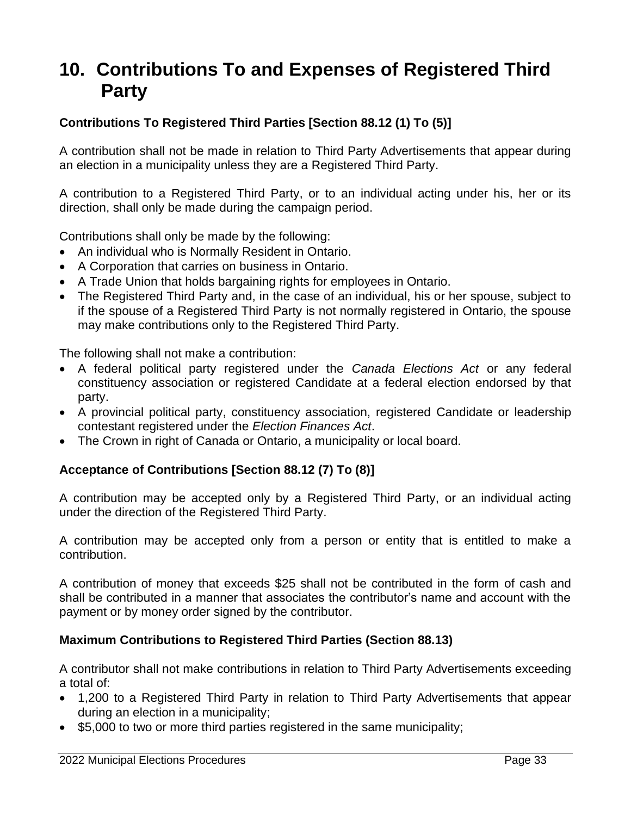# <span id="page-33-0"></span>**10. Contributions To and Expenses of Registered Third Party**

# **Contributions To Registered Third Parties [Section 88.12 (1) To (5)]**

A contribution shall not be made in relation to Third Party Advertisements that appear during an election in a municipality unless they are a Registered Third Party.

A contribution to a Registered Third Party, or to an individual acting under his, her or its direction, shall only be made during the campaign period.

Contributions shall only be made by the following:

- An individual who is Normally Resident in Ontario.
- A Corporation that carries on business in Ontario.
- A Trade Union that holds bargaining rights for employees in Ontario.
- The Registered Third Party and, in the case of an individual, his or her spouse, subject to if the spouse of a Registered Third Party is not normally registered in Ontario, the spouse may make contributions only to the Registered Third Party.

The following shall not make a contribution:

- A federal political party registered under the *Canada Elections Act* or any federal constituency association or registered Candidate at a federal election endorsed by that party.
- A provincial political party, constituency association, registered Candidate or leadership contestant registered under the *Election Finances Act*.
- The Crown in right of Canada or Ontario, a municipality or local board.

# **Acceptance of Contributions [Section 88.12 (7) To (8)]**

A contribution may be accepted only by a Registered Third Party, or an individual acting under the direction of the Registered Third Party.

A contribution may be accepted only from a person or entity that is entitled to make a contribution.

A contribution of money that exceeds \$25 shall not be contributed in the form of cash and shall be contributed in a manner that associates the contributor's name and account with the payment or by money order signed by the contributor.

# **Maximum Contributions to Registered Third Parties (Section 88.13)**

A contributor shall not make contributions in relation to Third Party Advertisements exceeding a total of:

- 1,200 to a Registered Third Party in relation to Third Party Advertisements that appear during an election in a municipality;
- \$5,000 to two or more third parties registered in the same municipality;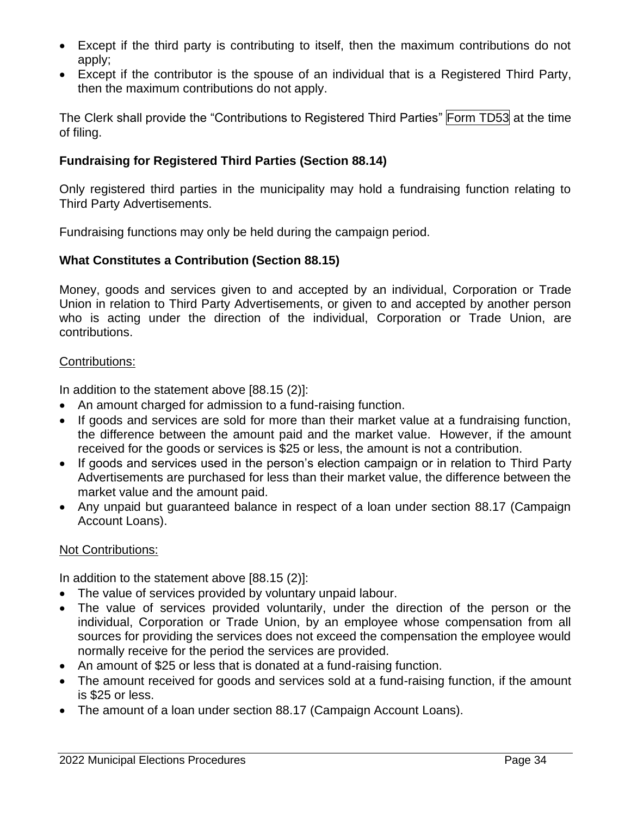- Except if the third party is contributing to itself, then the maximum contributions do not apply;
- Except if the contributor is the spouse of an individual that is a Registered Third Party, then the maximum contributions do not apply.

The Clerk shall provide the "Contributions to Registered Third Parties" Form TD53 at the time of filing.

# **Fundraising for Registered Third Parties (Section 88.14)**

Only registered third parties in the municipality may hold a fundraising function relating to Third Party Advertisements.

Fundraising functions may only be held during the campaign period.

# **What Constitutes a Contribution (Section 88.15)**

Money, goods and services given to and accepted by an individual, Corporation or Trade Union in relation to Third Party Advertisements, or given to and accepted by another person who is acting under the direction of the individual, Corporation or Trade Union, are contributions.

#### Contributions:

In addition to the statement above [88.15 (2)]:

- An amount charged for admission to a fund-raising function.
- If goods and services are sold for more than their market value at a fundraising function, the difference between the amount paid and the market value. However, if the amount received for the goods or services is \$25 or less, the amount is not a contribution.
- If goods and services used in the person's election campaign or in relation to Third Party Advertisements are purchased for less than their market value, the difference between the market value and the amount paid.
- Any unpaid but guaranteed balance in respect of a loan under section 88.17 (Campaign Account Loans).

#### Not Contributions:

In addition to the statement above [88.15 (2)]:

- The value of services provided by voluntary unpaid labour.
- The value of services provided voluntarily, under the direction of the person or the individual, Corporation or Trade Union, by an employee whose compensation from all sources for providing the services does not exceed the compensation the employee would normally receive for the period the services are provided.
- An amount of \$25 or less that is donated at a fund-raising function.
- The amount received for goods and services sold at a fund-raising function, if the amount is \$25 or less.
- The amount of a loan under section 88.17 (Campaign Account Loans).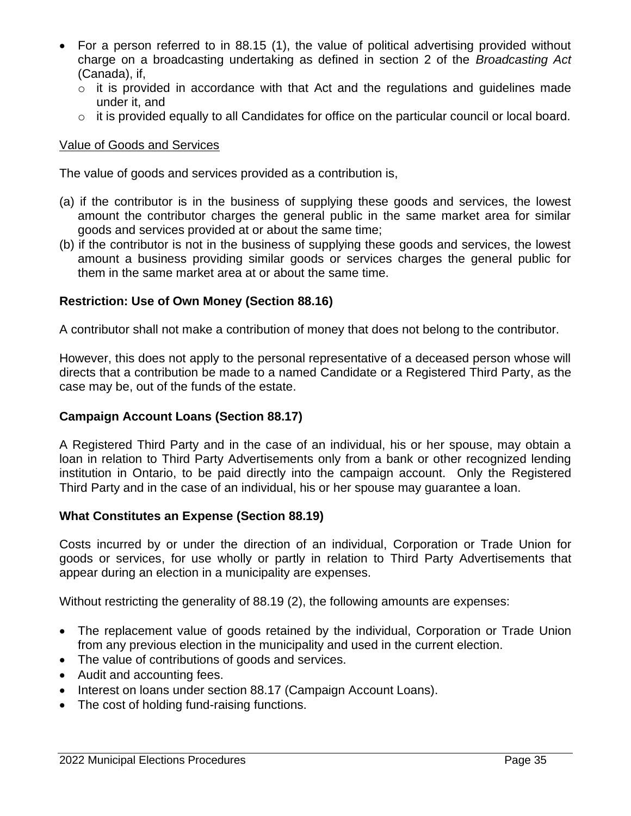- For a person referred to in 88.15 (1), the value of political advertising provided without charge on a broadcasting undertaking as defined in section 2 of the *Broadcasting Act* (Canada), if,
	- $\circ$  it is provided in accordance with that Act and the regulations and guidelines made under it, and
	- o it is provided equally to all Candidates for office on the particular council or local board.

# Value of Goods and Services

The value of goods and services provided as a contribution is,

- (a) if the contributor is in the business of supplying these goods and services, the lowest amount the contributor charges the general public in the same market area for similar goods and services provided at or about the same time;
- (b) if the contributor is not in the business of supplying these goods and services, the lowest amount a business providing similar goods or services charges the general public for them in the same market area at or about the same time.

# **Restriction: Use of Own Money (Section 88.16)**

A contributor shall not make a contribution of money that does not belong to the contributor.

However, this does not apply to the personal representative of a deceased person whose will directs that a contribution be made to a named Candidate or a Registered Third Party, as the case may be, out of the funds of the estate.

# **Campaign Account Loans (Section 88.17)**

A Registered Third Party and in the case of an individual, his or her spouse, may obtain a loan in relation to Third Party Advertisements only from a bank or other recognized lending institution in Ontario, to be paid directly into the campaign account. Only the Registered Third Party and in the case of an individual, his or her spouse may guarantee a loan.

#### **What Constitutes an Expense (Section 88.19)**

Costs incurred by or under the direction of an individual, Corporation or Trade Union for goods or services, for use wholly or partly in relation to Third Party Advertisements that appear during an election in a municipality are expenses.

Without restricting the generality of 88.19 (2), the following amounts are expenses:

- The replacement value of goods retained by the individual, Corporation or Trade Union from any previous election in the municipality and used in the current election.
- The value of contributions of goods and services.
- Audit and accounting fees.
- Interest on loans under section 88.17 (Campaign Account Loans).
- The cost of holding fund-raising functions.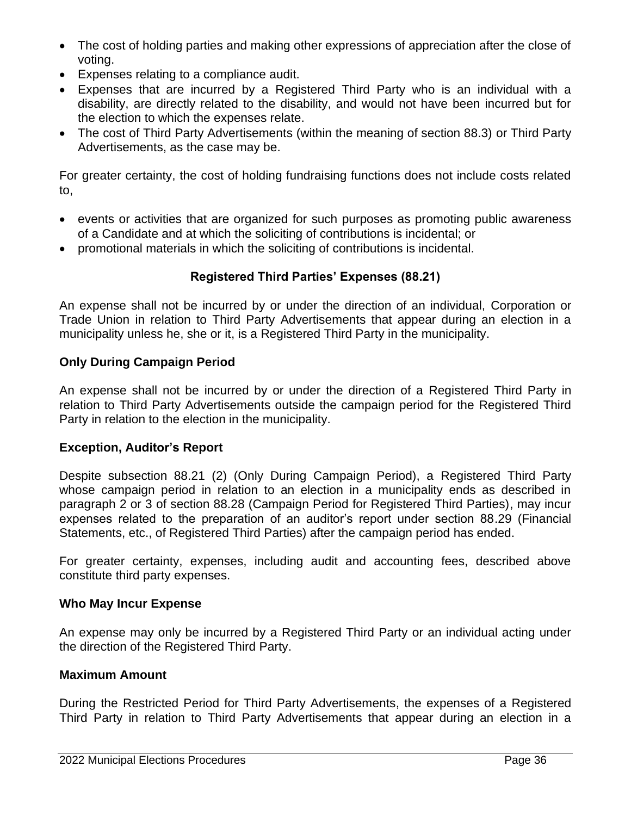- The cost of holding parties and making other expressions of appreciation after the close of voting.
- Expenses relating to a compliance audit.
- Expenses that are incurred by a Registered Third Party who is an individual with a disability, are directly related to the disability, and would not have been incurred but for the election to which the expenses relate.
- The cost of Third Party Advertisements (within the meaning of section 88.3) or Third Party Advertisements, as the case may be.

For greater certainty, the cost of holding fundraising functions does not include costs related to,

- events or activities that are organized for such purposes as promoting public awareness of a Candidate and at which the soliciting of contributions is incidental; or
- promotional materials in which the soliciting of contributions is incidental.

# **Registered Third Parties' Expenses (88.21)**

An expense shall not be incurred by or under the direction of an individual, Corporation or Trade Union in relation to Third Party Advertisements that appear during an election in a municipality unless he, she or it, is a Registered Third Party in the municipality.

#### **Only During Campaign Period**

An expense shall not be incurred by or under the direction of a Registered Third Party in relation to Third Party Advertisements outside the campaign period for the Registered Third Party in relation to the election in the municipality.

#### **Exception, Auditor's Report**

Despite subsection 88.21 (2) (Only During Campaign Period), a Registered Third Party whose campaign period in relation to an election in a municipality ends as described in paragraph 2 or 3 of section 88.28 (Campaign Period for Registered Third Parties), may incur expenses related to the preparation of an auditor's report under section 88.29 (Financial Statements, etc., of Registered Third Parties) after the campaign period has ended.

For greater certainty, expenses, including audit and accounting fees, described above constitute third party expenses.

#### **Who May Incur Expense**

An expense may only be incurred by a Registered Third Party or an individual acting under the direction of the Registered Third Party.

#### **Maximum Amount**

During the Restricted Period for Third Party Advertisements, the expenses of a Registered Third Party in relation to Third Party Advertisements that appear during an election in a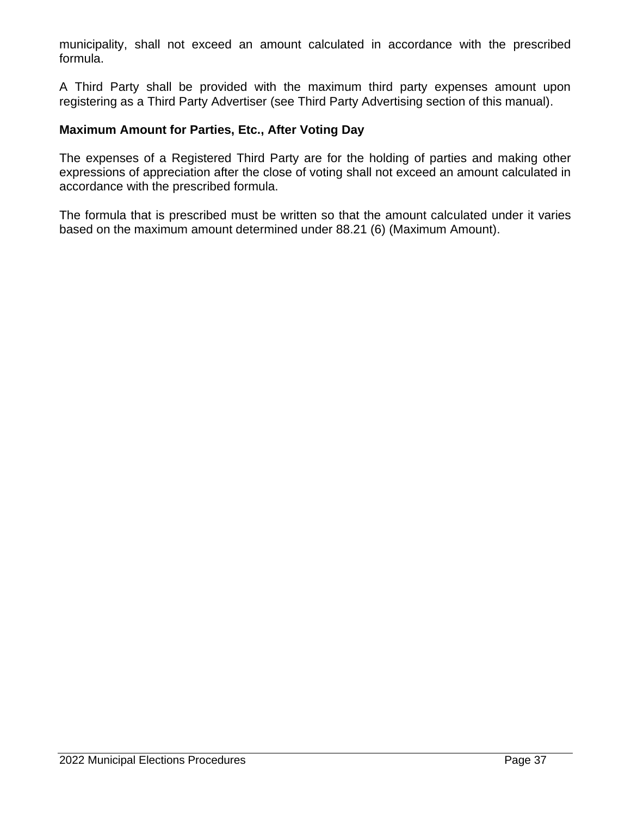municipality, shall not exceed an amount calculated in accordance with the prescribed formula.

A Third Party shall be provided with the maximum third party expenses amount upon registering as a Third Party Advertiser (see Third Party Advertising section of this manual).

#### **Maximum Amount for Parties, Etc., After Voting Day**

The expenses of a Registered Third Party are for the holding of parties and making other expressions of appreciation after the close of voting shall not exceed an amount calculated in accordance with the prescribed formula.

The formula that is prescribed must be written so that the amount calculated under it varies based on the maximum amount determined under 88.21 (6) (Maximum Amount).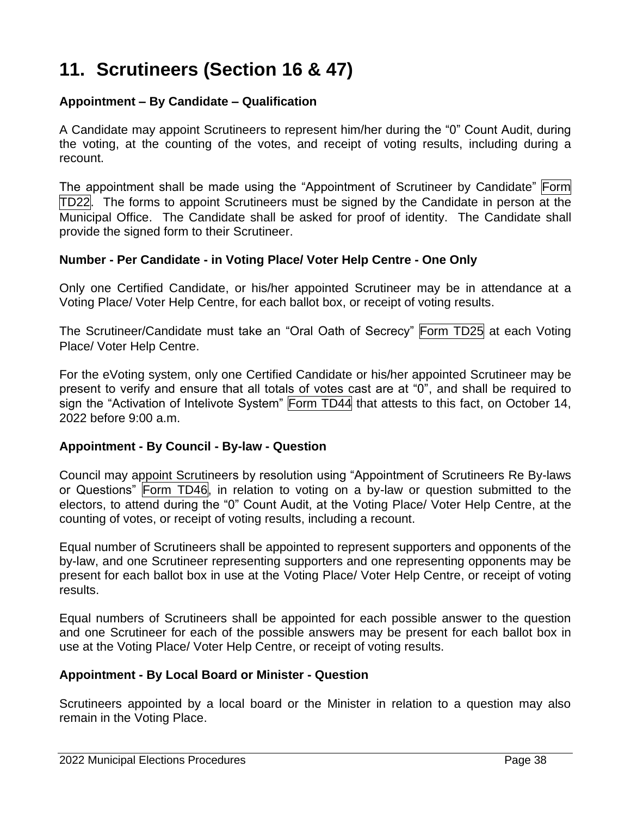# **11. Scrutineers (Section 16 & 47)**

#### **Appointment – By Candidate – Qualification**

A Candidate may appoint Scrutineers to represent him/her during the "0" Count Audit, during the voting, at the counting of the votes, and receipt of voting results, including during a recount.

The appointment shall be made using the "Appointment of Scrutineer by Candidate" Form TD22. The forms to appoint Scrutineers must be signed by the Candidate in person at the Municipal Office. The Candidate shall be asked for proof of identity. The Candidate shall provide the signed form to their Scrutineer.

#### **Number - Per Candidate - in Voting Place/ Voter Help Centre - One Only**

Only one Certified Candidate, or his/her appointed Scrutineer may be in attendance at a Voting Place/ Voter Help Centre, for each ballot box, or receipt of voting results.

The Scrutineer/Candidate must take an "Oral Oath of Secrecy" Form TD25 at each Voting Place/ Voter Help Centre.

For the eVoting system, only one Certified Candidate or his/her appointed Scrutineer may be present to verify and ensure that all totals of votes cast are at "0", and shall be required to sign the "Activation of Intelivote System" Form TD44 that attests to this fact, on October 14, 2022 before 9:00 a.m.

#### **Appointment - By Council - By-law - Question**

Council may appoint Scrutineers by resolution using "Appointment of Scrutineers Re By-laws or Questions" Form TD46, in relation to voting on a by-law or question submitted to the electors, to attend during the "0" Count Audit, at the Voting Place/ Voter Help Centre, at the counting of votes, or receipt of voting results, including a recount.

Equal number of Scrutineers shall be appointed to represent supporters and opponents of the by-law, and one Scrutineer representing supporters and one representing opponents may be present for each ballot box in use at the Voting Place/ Voter Help Centre, or receipt of voting results.

Equal numbers of Scrutineers shall be appointed for each possible answer to the question and one Scrutineer for each of the possible answers may be present for each ballot box in use at the Voting Place/ Voter Help Centre, or receipt of voting results.

#### **Appointment - By Local Board or Minister - Question**

Scrutineers appointed by a local board or the Minister in relation to a question may also remain in the Voting Place.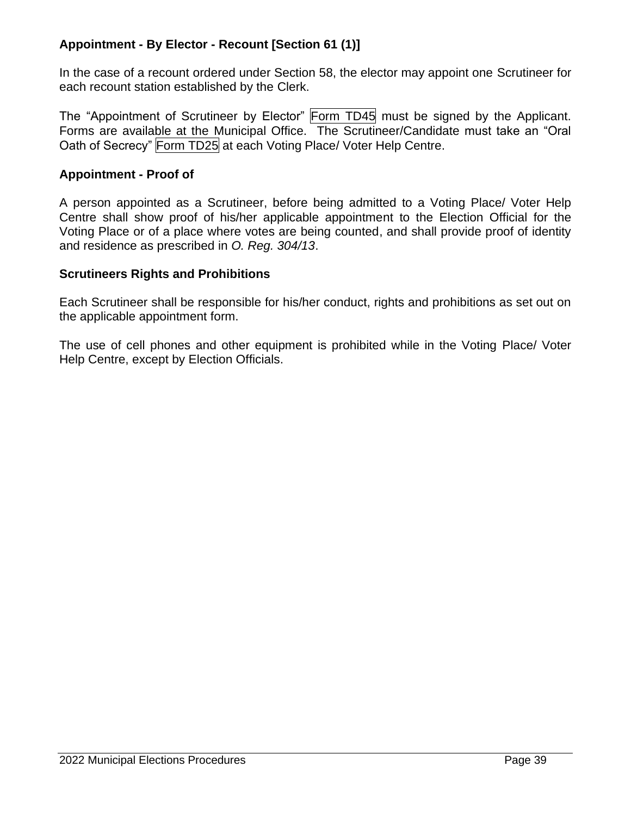# **Appointment - By Elector - Recount [Section 61 (1)]**

In the case of a recount ordered under Section 58, the elector may appoint one Scrutineer for each recount station established by the Clerk.

The "Appointment of Scrutineer by Elector" Form TD45 must be signed by the Applicant. Forms are available at the Municipal Office. The Scrutineer/Candidate must take an "Oral Oath of Secrecy" Form TD25 at each Voting Place/ Voter Help Centre.

#### **Appointment - Proof of**

A person appointed as a Scrutineer, before being admitted to a Voting Place/ Voter Help Centre shall show proof of his/her applicable appointment to the Election Official for the Voting Place or of a place where votes are being counted, and shall provide proof of identity and residence as prescribed in *O. Reg. 304/13*.

#### **Scrutineers Rights and Prohibitions**

Each Scrutineer shall be responsible for his/her conduct, rights and prohibitions as set out on the applicable appointment form.

The use of cell phones and other equipment is prohibited while in the Voting Place/ Voter Help Centre, except by Election Officials.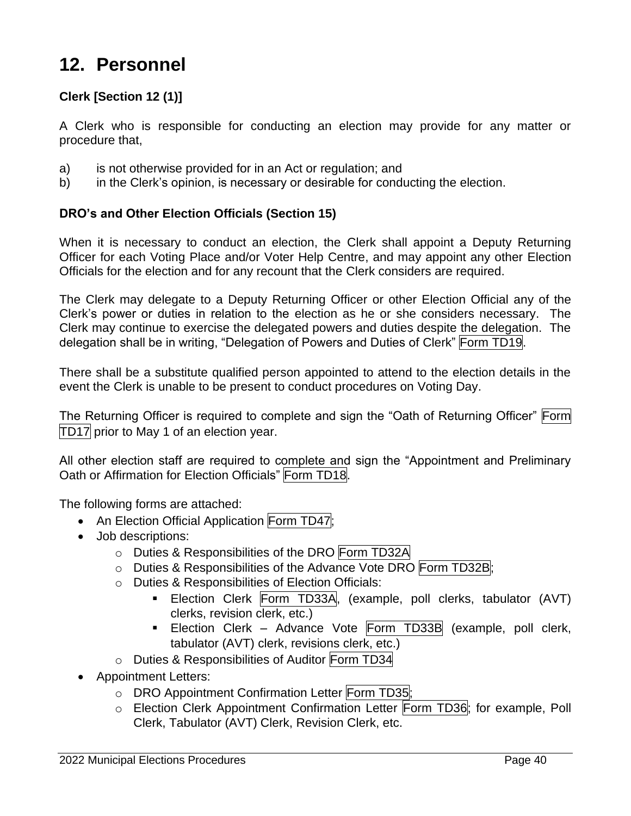# **12. Personnel**

# **Clerk [Section 12 (1)]**

A Clerk who is responsible for conducting an election may provide for any matter or procedure that,

- a) is not otherwise provided for in an Act or regulation; and
- b) in the Clerk's opinion, is necessary or desirable for conducting the election.

#### **DRO's and Other Election Officials (Section 15)**

When it is necessary to conduct an election, the Clerk shall appoint a Deputy Returning Officer for each Voting Place and/or Voter Help Centre, and may appoint any other Election Officials for the election and for any recount that the Clerk considers are required.

The Clerk may delegate to a Deputy Returning Officer or other Election Official any of the Clerk's power or duties in relation to the election as he or she considers necessary. The Clerk may continue to exercise the delegated powers and duties despite the delegation. The delegation shall be in writing, "Delegation of Powers and Duties of Clerk" Form TD19.

There shall be a substitute qualified person appointed to attend to the election details in the event the Clerk is unable to be present to conduct procedures on Voting Day.

The Returning Officer is required to complete and sign the "Oath of Returning Officer" Form TD17 prior to May 1 of an election year.

All other election staff are required to complete and sign the "Appointment and Preliminary Oath or Affirmation for Election Officials" Form TD18.

The following forms are attached:

- An Election Official Application Form TD47:
- Job descriptions:
	- o Duties & Responsibilities of the DRO Form TD32A
	- o Duties & Responsibilities of the Advance Vote DRO Form TD32B;
	- o Duties & Responsibilities of Election Officials:
		- Election Clerk Form TD33A, (example, poll clerks, tabulator (AVT) clerks, revision clerk, etc.)
		- Election Clerk Advance Vote Form TD33B (example, poll clerk, tabulator (AVT) clerk, revisions clerk, etc.)
	- o Duties & Responsibilities of Auditor Form TD34
- Appointment Letters:
	- o DRO Appointment Confirmation Letter Form TD35;
	- o Election Clerk Appointment Confirmation Letter Form TD36; for example, Poll Clerk, Tabulator (AVT) Clerk, Revision Clerk, etc.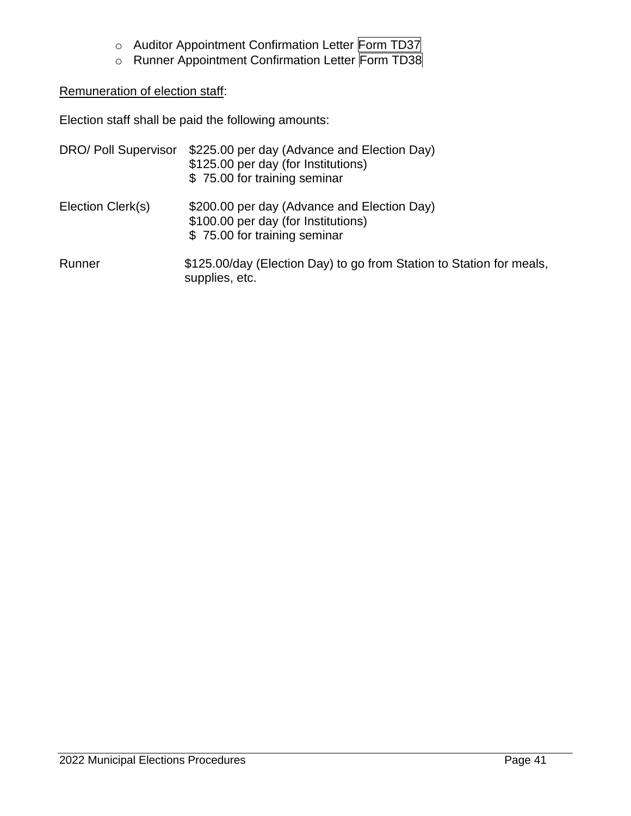- o Auditor Appointment Confirmation Letter Form TD37
- o Runner Appointment Confirmation Letter Form TD38

#### Remuneration of election staff:

Election staff shall be paid the following amounts:

| DRO/ Poll Supervisor | \$225.00 per day (Advance and Election Day)<br>\$125.00 per day (for Institutions)<br>\$75.00 for training seminar |
|----------------------|--------------------------------------------------------------------------------------------------------------------|
| Election Clerk(s)    | \$200.00 per day (Advance and Election Day)<br>\$100.00 per day (for Institutions)<br>\$75.00 for training seminar |
| Runner               | \$125.00/day (Election Day) to go from Station to Station for meals,<br>supplies, etc.                             |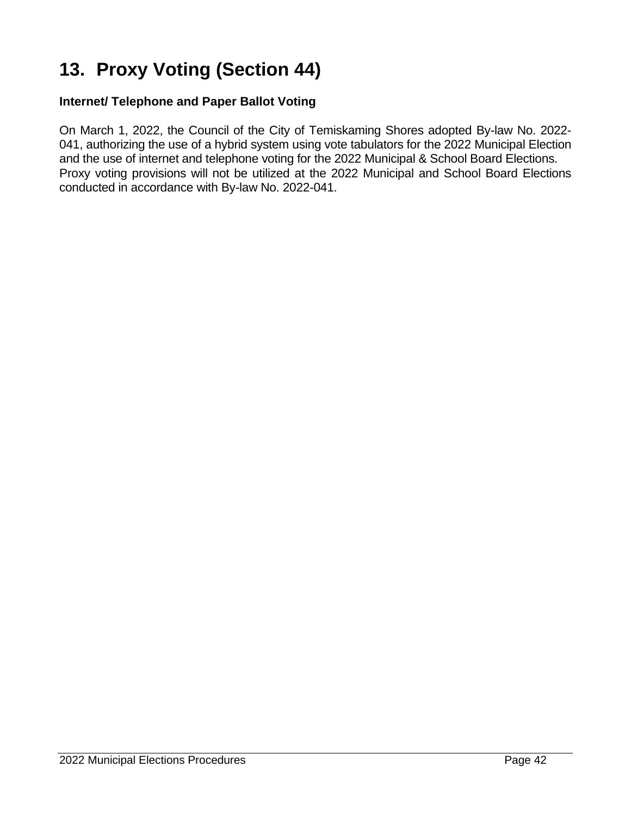# **13. Proxy Voting (Section 44)**

### **Internet/ Telephone and Paper Ballot Voting**

On March 1, 2022, the Council of the City of Temiskaming Shores adopted By-law No. 2022- 041, authorizing the use of a hybrid system using vote tabulators for the 2022 Municipal Election and the use of internet and telephone voting for the 2022 Municipal & School Board Elections. Proxy voting provisions will not be utilized at the 2022 Municipal and School Board Elections conducted in accordance with By-law No. 2022-041.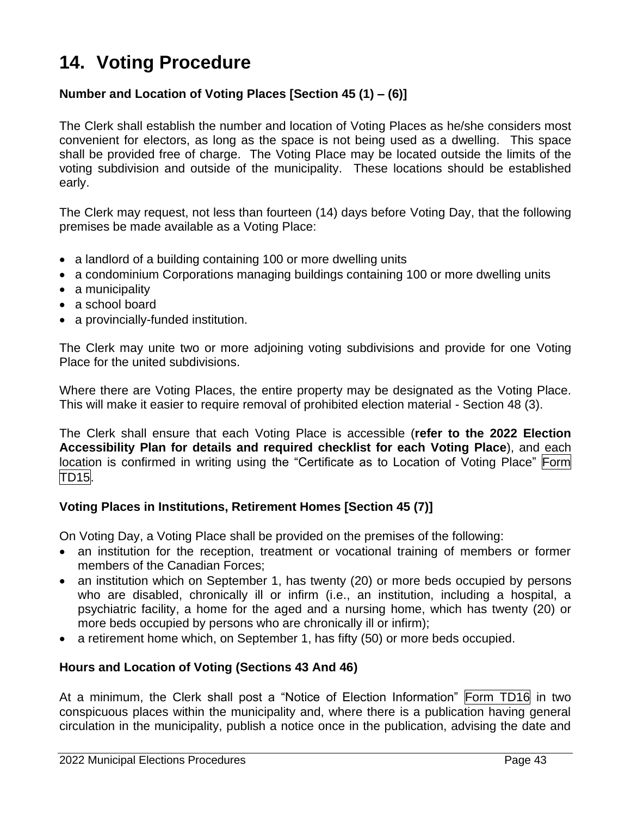# **14. Voting Procedure**

# **Number and Location of Voting Places [Section 45 (1) – (6)]**

The Clerk shall establish the number and location of Voting Places as he/she considers most convenient for electors, as long as the space is not being used as a dwelling. This space shall be provided free of charge. The Voting Place may be located outside the limits of the voting subdivision and outside of the municipality. These locations should be established early.

The Clerk may request, not less than fourteen (14) days before Voting Day, that the following premises be made available as a Voting Place:

- a landlord of a building containing 100 or more dwelling units
- a condominium Corporations managing buildings containing 100 or more dwelling units
- a municipality
- a school board
- a provincially-funded institution.

The Clerk may unite two or more adjoining voting subdivisions and provide for one Voting Place for the united subdivisions.

Where there are Voting Places, the entire property may be designated as the Voting Place. This will make it easier to require removal of prohibited election material - Section 48 (3).

The Clerk shall ensure that each Voting Place is accessible (**refer to the 2022 Election Accessibility Plan for details and required checklist for each Voting Place**), and each location is confirmed in writing using the "Certificate as to Location of Voting Place" Form TD15.

#### **Voting Places in Institutions, Retirement Homes [Section 45 (7)]**

On Voting Day, a Voting Place shall be provided on the premises of the following:

- an institution for the reception, treatment or vocational training of members or former members of the Canadian Forces;
- an institution which on September 1, has twenty (20) or more beds occupied by persons who are disabled, chronically ill or infirm (i.e., an institution, including a hospital, a psychiatric facility, a home for the aged and a nursing home, which has twenty (20) or more beds occupied by persons who are chronically ill or infirm);
- a retirement home which, on September 1, has fifty (50) or more beds occupied.

#### **Hours and Location of Voting (Sections 43 And 46)**

At a minimum, the Clerk shall post a "Notice of Election Information" Form TD16 in two conspicuous places within the municipality and, where there is a publication having general circulation in the municipality, publish a notice once in the publication, advising the date and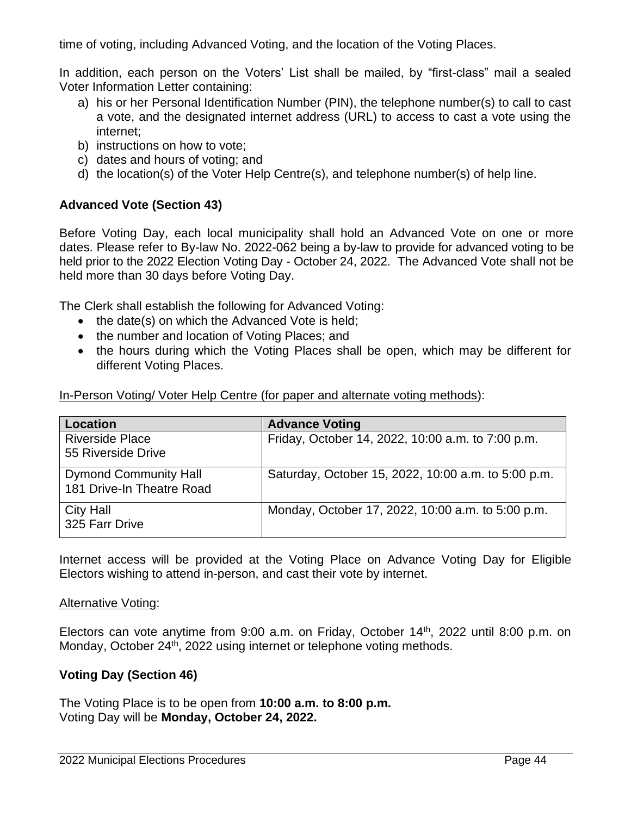time of voting, including Advanced Voting, and the location of the Voting Places.

In addition, each person on the Voters' List shall be mailed, by "first-class" mail a sealed Voter Information Letter containing:

- a) his or her Personal Identification Number (PIN), the telephone number(s) to call to cast a vote, and the designated internet address (URL) to access to cast a vote using the internet;
- b) instructions on how to vote;
- c) dates and hours of voting; and
- d) the location(s) of the Voter Help Centre(s), and telephone number(s) of help line.

#### **Advanced Vote (Section 43)**

Before Voting Day, each local municipality shall hold an Advanced Vote on one or more dates. Please refer to By-law No. 2022-062 being a by-law to provide for advanced voting to be held prior to the 2022 Election Voting Day - October 24, 2022. The Advanced Vote shall not be held more than 30 days before Voting Day.

The Clerk shall establish the following for Advanced Voting:

- the date(s) on which the Advanced Vote is held;
- the number and location of Voting Places; and
- the hours during which the Voting Places shall be open, which may be different for different Voting Places.

| In-Person Voting/Voter Help Centre (for paper and alternate voting methods): |
|------------------------------------------------------------------------------|
|------------------------------------------------------------------------------|

| Location                                                  | <b>Advance Voting</b>                               |
|-----------------------------------------------------------|-----------------------------------------------------|
| <b>Riverside Place</b><br>55 Riverside Drive              | Friday, October 14, 2022, 10:00 a.m. to 7:00 p.m.   |
| <b>Dymond Community Hall</b><br>181 Drive-In Theatre Road | Saturday, October 15, 2022, 10:00 a.m. to 5:00 p.m. |
| <b>City Hall</b><br>325 Farr Drive                        | Monday, October 17, 2022, 10:00 a.m. to 5:00 p.m.   |

Internet access will be provided at the Voting Place on Advance Voting Day for Eligible Electors wishing to attend in-person, and cast their vote by internet.

#### **Alternative Voting:**

Electors can vote anytime from 9:00 a.m. on Friday, October 14th, 2022 until 8:00 p.m. on Monday, October 24<sup>th</sup>, 2022 using internet or telephone voting methods.

#### **Voting Day (Section 46)**

The Voting Place is to be open from **10:00 a.m. to 8:00 p.m.** Voting Day will be **Monday, October 24, 2022.**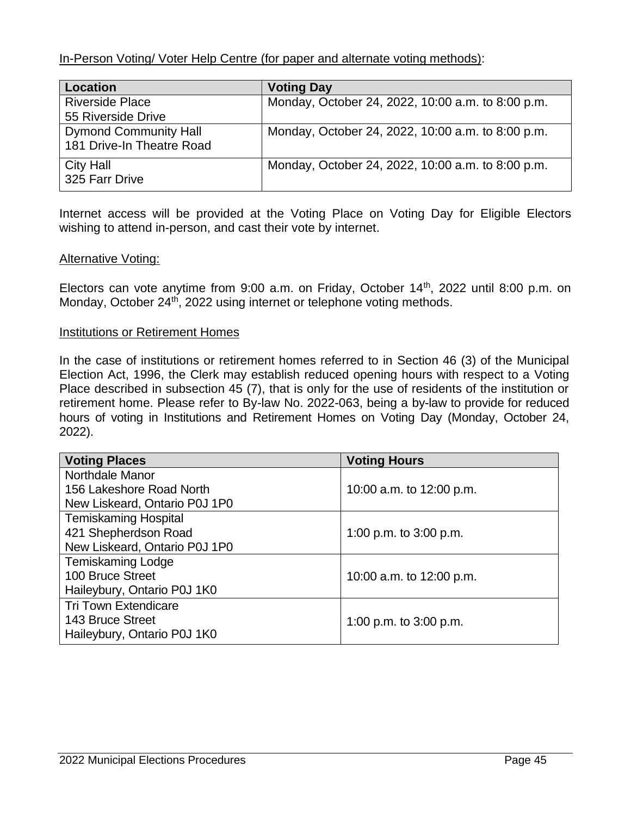In-Person Voting/ Voter Help Centre (for paper and alternate voting methods):

| <b>Location</b>              | <b>Voting Day</b>                                 |
|------------------------------|---------------------------------------------------|
| <b>Riverside Place</b>       | Monday, October 24, 2022, 10:00 a.m. to 8:00 p.m. |
| 55 Riverside Drive           |                                                   |
| <b>Dymond Community Hall</b> | Monday, October 24, 2022, 10:00 a.m. to 8:00 p.m. |
| 181 Drive-In Theatre Road    |                                                   |
| <b>City Hall</b>             | Monday, October 24, 2022, 10:00 a.m. to 8:00 p.m. |
| 325 Farr Drive               |                                                   |

Internet access will be provided at the Voting Place on Voting Day for Eligible Electors wishing to attend in-person, and cast their vote by internet.

#### Alternative Voting:

Electors can vote anytime from 9:00 a.m. on Friday, October 14<sup>th</sup>, 2022 until 8:00 p.m. on Monday, October 24<sup>th</sup>, 2022 using internet or telephone voting methods.

#### Institutions or Retirement Homes

In the case of institutions or retirement homes referred to in Section 46 (3) of the Municipal Election Act, 1996, the Clerk may establish reduced opening hours with respect to a Voting Place described in subsection 45 (7), that is only for the use of residents of the institution or retirement home. Please refer to By-law No. 2022-063, being a by-law to provide for reduced hours of voting in Institutions and Retirement Homes on Voting Day (Monday, October 24, 2022).

| <b>Voting Places</b>          | <b>Voting Hours</b>      |
|-------------------------------|--------------------------|
| Northdale Manor               |                          |
| 156 Lakeshore Road North      | 10:00 a.m. to 12:00 p.m. |
| New Liskeard, Ontario P0J 1P0 |                          |
| <b>Temiskaming Hospital</b>   |                          |
| 421 Shepherdson Road          | 1:00 p.m. to 3:00 p.m.   |
| New Liskeard, Ontario P0J 1P0 |                          |
| <b>Temiskaming Lodge</b>      |                          |
| 100 Bruce Street              | 10:00 a.m. to 12:00 p.m. |
| Haileybury, Ontario P0J 1K0   |                          |
| <b>Tri Town Extendicare</b>   |                          |
| 143 Bruce Street              | 1:00 p.m. to $3:00$ p.m. |
| Haileybury, Ontario P0J 1K0   |                          |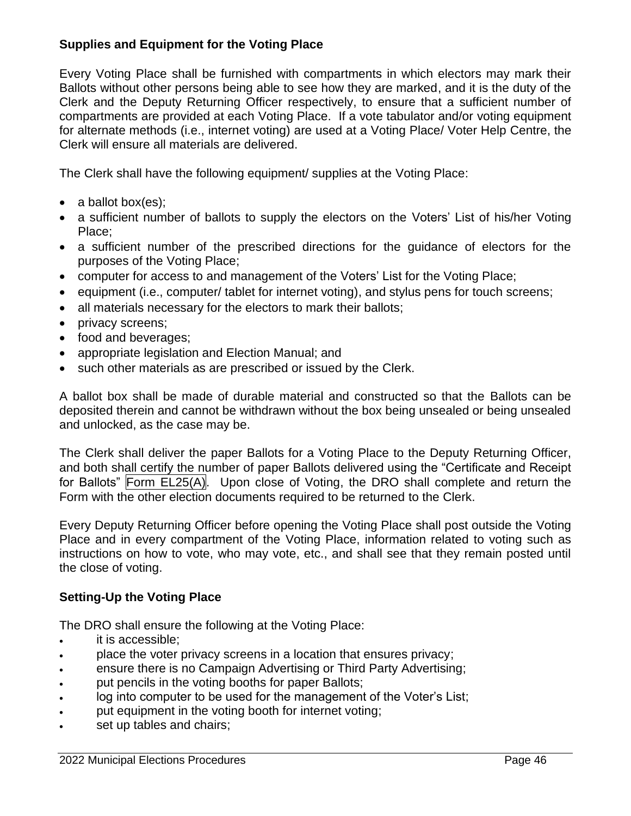# **Supplies and Equipment for the Voting Place**

Every Voting Place shall be furnished with compartments in which electors may mark their Ballots without other persons being able to see how they are marked, and it is the duty of the Clerk and the Deputy Returning Officer respectively, to ensure that a sufficient number of compartments are provided at each Voting Place. If a vote tabulator and/or voting equipment for alternate methods (i.e., internet voting) are used at a Voting Place/ Voter Help Centre, the Clerk will ensure all materials are delivered.

The Clerk shall have the following equipment/ supplies at the Voting Place:

- a ballot box(es);
- a sufficient number of ballots to supply the electors on the Voters' List of his/her Voting Place;
- a sufficient number of the prescribed directions for the guidance of electors for the purposes of the Voting Place;
- computer for access to and management of the Voters' List for the Voting Place;
- equipment (i.e., computer/ tablet for internet voting), and stylus pens for touch screens;
- all materials necessary for the electors to mark their ballots;
- privacy screens;
- food and beverages;
- appropriate legislation and Election Manual; and
- such other materials as are prescribed or issued by the Clerk.

A ballot box shall be made of durable material and constructed so that the Ballots can be deposited therein and cannot be withdrawn without the box being unsealed or being unsealed and unlocked, as the case may be.

The Clerk shall deliver the paper Ballots for a Voting Place to the Deputy Returning Officer, and both shall certify the number of paper Ballots delivered using the "Certificate and Receipt for Ballots" Form EL25(A). Upon close of Voting, the DRO shall complete and return the Form with the other election documents required to be returned to the Clerk.

Every Deputy Returning Officer before opening the Voting Place shall post outside the Voting Place and in every compartment of the Voting Place, information related to voting such as instructions on how to vote, who may vote, etc., and shall see that they remain posted until the close of voting.

# **Setting-Up the Voting Place**

The DRO shall ensure the following at the Voting Place:

- it is accessible;
- place the voter privacy screens in a location that ensures privacy;
- ensure there is no Campaign Advertising or Third Party Advertising;
- put pencils in the voting booths for paper Ballots;
- log into computer to be used for the management of the Voter's List;
- put equipment in the voting booth for internet voting;
- set up tables and chairs;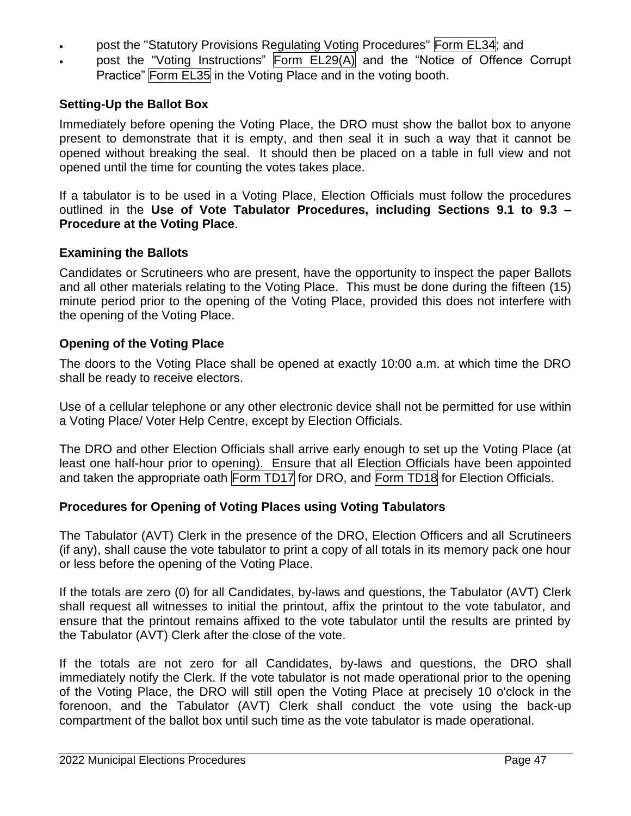- post the "Statutory Provisions Regulating Voting Procedures" Form EL34; and
- post the "Voting Instructions" Form EL29(A) and the "Notice of Offence Corrupt Practice" Form EL35 in the Voting Place and in the voting booth.

# **Setting-Up the Ballot Box**

Immediately before opening the Voting Place, the DRO must show the ballot box to anyone present to demonstrate that it is empty, and then seal it in such a way that it cannot be opened without breaking the seal. It should then be placed on a table in full view and not opened until the time for counting the votes takes place.

If a tabulator is to be used in a Voting Place, Election Officials must follow the procedures outlined in the **Use of Vote Tabulator Procedures, including Sections 9.1 to 9.3 – Procedure at the Voting Place**.

## **Examining the Ballots**

Candidates or Scrutineers who are present, have the opportunity to inspect the paper Ballots and all other materials relating to the Voting Place. This must be done during the fifteen (15) minute period prior to the opening of the Voting Place, provided this does not interfere with the opening of the Voting Place.

# **Opening of the Voting Place**

The doors to the Voting Place shall be opened at exactly 10:00 a.m. at which time the DRO shall be ready to receive electors.

Use of a cellular telephone or any other electronic device shall not be permitted for use within a Voting Place/ Voter Help Centre, except by Election Officials.

The DRO and other Election Officials shall arrive early enough to set up the Voting Place (at least one half-hour prior to opening). Ensure that all Election Officials have been appointed and taken the appropriate oath Form TD17 for DRO, and Form TD18 for Election Officials.

## **Procedures for Opening of Voting Places using Voting Tabulators**

The Tabulator (AVT) Clerk in the presence of the DRO, Election Officers and all Scrutineers (if any), shall cause the vote tabulator to print a copy of all totals in its memory pack one hour or less before the opening of the Voting Place.

If the totals are zero (0) for all Candidates, by-laws and questions, the Tabulator (AVT) Clerk shall request all witnesses to initial the printout, affix the printout to the vote tabulator, and ensure that the printout remains affixed to the vote tabulator until the results are printed by the Tabulator (AVT) Clerk after the close of the vote.

If the totals are not zero for all Candidates, by-laws and questions, the DRO shall immediately notify the Clerk. If the vote tabulator is not made operational prior to the opening of the Voting Place, the DRO will still open the Voting Place at precisely 10 o'clock in the forenoon, and the Tabulator (AVT) Clerk shall conduct the vote using the back-up compartment of the ballot box until such time as the vote tabulator is made operational.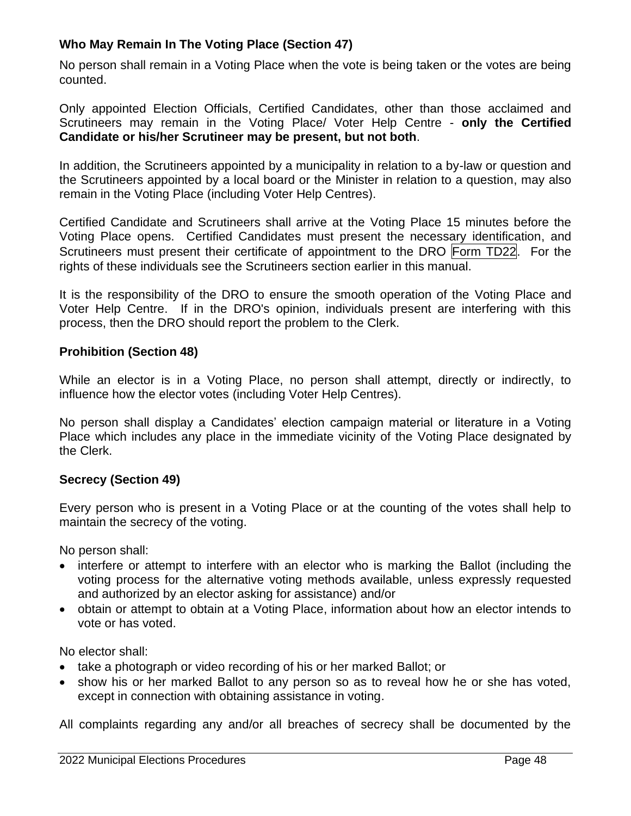# **Who May Remain In The Voting Place (Section 47)**

No person shall remain in a Voting Place when the vote is being taken or the votes are being counted.

Only appointed Election Officials, Certified Candidates, other than those acclaimed and Scrutineers may remain in the Voting Place/ Voter Help Centre - **only the Certified Candidate or his/her Scrutineer may be present, but not both**.

In addition, the Scrutineers appointed by a municipality in relation to a by-law or question and the Scrutineers appointed by a local board or the Minister in relation to a question, may also remain in the Voting Place (including Voter Help Centres).

Certified Candidate and Scrutineers shall arrive at the Voting Place 15 minutes before the Voting Place opens. Certified Candidates must present the necessary identification, and Scrutineers must present their certificate of appointment to the DRO Form TD22. For the rights of these individuals see the Scrutineers section earlier in this manual.

It is the responsibility of the DRO to ensure the smooth operation of the Voting Place and Voter Help Centre. If in the DRO's opinion, individuals present are interfering with this process, then the DRO should report the problem to the Clerk.

#### **Prohibition (Section 48)**

While an elector is in a Voting Place, no person shall attempt, directly or indirectly, to influence how the elector votes (including Voter Help Centres).

No person shall display a Candidates' election campaign material or literature in a Voting Place which includes any place in the immediate vicinity of the Voting Place designated by the Clerk.

## **Secrecy (Section 49)**

Every person who is present in a Voting Place or at the counting of the votes shall help to maintain the secrecy of the voting.

No person shall:

- interfere or attempt to interfere with an elector who is marking the Ballot (including the voting process for the alternative voting methods available, unless expressly requested and authorized by an elector asking for assistance) and/or
- obtain or attempt to obtain at a Voting Place, information about how an elector intends to vote or has voted.

No elector shall:

- take a photograph or video recording of his or her marked Ballot; or
- show his or her marked Ballot to any person so as to reveal how he or she has voted, except in connection with obtaining assistance in voting.

All complaints regarding any and/or all breaches of secrecy shall be documented by the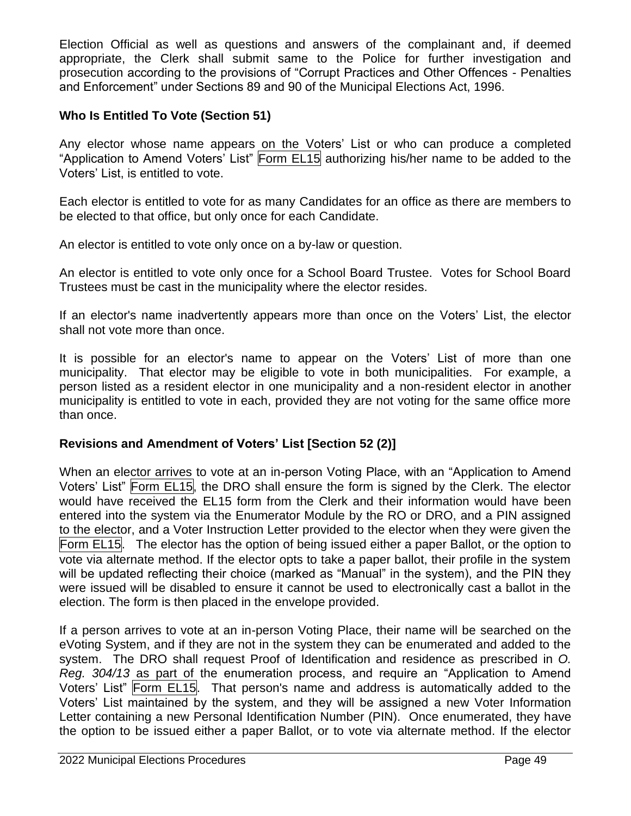Election Official as well as questions and answers of the complainant and, if deemed appropriate, the Clerk shall submit same to the Police for further investigation and prosecution according to the provisions of "Corrupt Practices and Other Offences - Penalties and Enforcement" under Sections 89 and 90 of the Municipal Elections Act, 1996.

# **Who Is Entitled To Vote (Section 51)**

Any elector whose name appears on the Voters' List or who can produce a completed "Application to Amend Voters' List" Form EL15 authorizing his/her name to be added to the Voters' List, is entitled to vote.

Each elector is entitled to vote for as many Candidates for an office as there are members to be elected to that office, but only once for each Candidate.

An elector is entitled to vote only once on a by-law or question.

An elector is entitled to vote only once for a School Board Trustee. Votes for School Board Trustees must be cast in the municipality where the elector resides.

If an elector's name inadvertently appears more than once on the Voters' List, the elector shall not vote more than once.

It is possible for an elector's name to appear on the Voters' List of more than one municipality. That elector may be eligible to vote in both municipalities. For example, a person listed as a resident elector in one municipality and a non-resident elector in another municipality is entitled to vote in each, provided they are not voting for the same office more than once.

## **Revisions and Amendment of Voters' List [Section 52 (2)]**

When an elector arrives to vote at an in-person Voting Place, with an "Application to Amend Voters' List" Form EL15, the DRO shall ensure the form is signed by the Clerk. The elector would have received the EL15 form from the Clerk and their information would have been entered into the system via the Enumerator Module by the RO or DRO, and a PIN assigned to the elector, and a Voter Instruction Letter provided to the elector when they were given the Form EL15. The elector has the option of being issued either a paper Ballot, or the option to vote via alternate method. If the elector opts to take a paper ballot, their profile in the system will be updated reflecting their choice (marked as "Manual" in the system), and the PIN they were issued will be disabled to ensure it cannot be used to electronically cast a ballot in the election. The form is then placed in the envelope provided.

If a person arrives to vote at an in-person Voting Place, their name will be searched on the eVoting System, and if they are not in the system they can be enumerated and added to the system. The DRO shall request Proof of Identification and residence as prescribed in *O. Reg. 304/13* as part of the enumeration process, and require an "Application to Amend Voters' List" Form EL15. That person's name and address is automatically added to the Voters' List maintained by the system, and they will be assigned a new Voter Information Letter containing a new Personal Identification Number (PIN). Once enumerated, they have the option to be issued either a paper Ballot, or to vote via alternate method. If the elector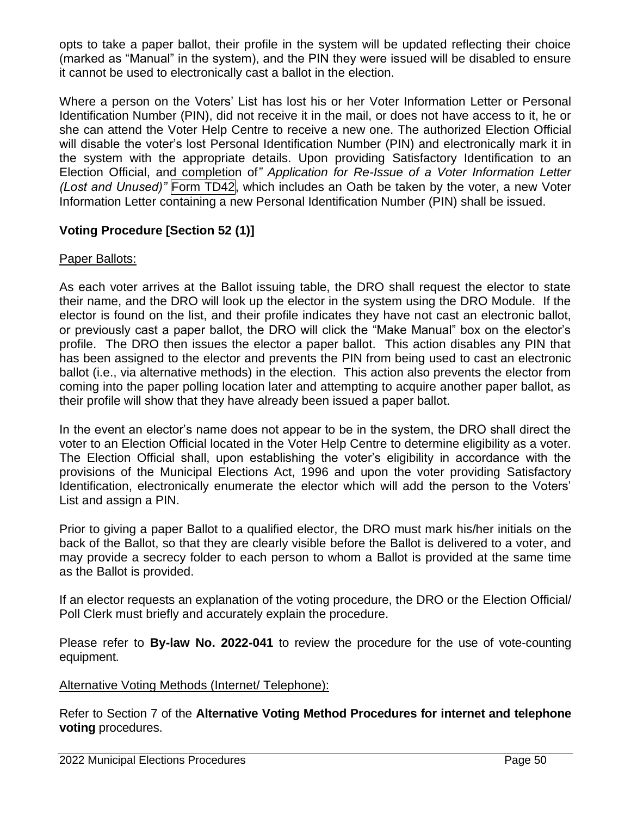opts to take a paper ballot, their profile in the system will be updated reflecting their choice (marked as "Manual" in the system), and the PIN they were issued will be disabled to ensure it cannot be used to electronically cast a ballot in the election.

Where a person on the Voters' List has lost his or her Voter Information Letter or Personal Identification Number (PIN), did not receive it in the mail, or does not have access to it, he or she can attend the Voter Help Centre to receive a new one. The authorized Election Official will disable the voter's lost Personal Identification Number (PIN) and electronically mark it in the system with the appropriate details. Upon providing Satisfactory Identification to an Election Official, and completion of*" Application for Re-Issue of a Voter Information Letter (Lost and Unused)"* Form TD42, which includes an Oath be taken by the voter, a new Voter Information Letter containing a new Personal Identification Number (PIN) shall be issued.

# **Voting Procedure [Section 52 (1)]**

## Paper Ballots:

As each voter arrives at the Ballot issuing table, the DRO shall request the elector to state their name, and the DRO will look up the elector in the system using the DRO Module. If the elector is found on the list, and their profile indicates they have not cast an electronic ballot, or previously cast a paper ballot, the DRO will click the "Make Manual" box on the elector's profile. The DRO then issues the elector a paper ballot. This action disables any PIN that has been assigned to the elector and prevents the PIN from being used to cast an electronic ballot (i.e., via alternative methods) in the election. This action also prevents the elector from coming into the paper polling location later and attempting to acquire another paper ballot, as their profile will show that they have already been issued a paper ballot.

In the event an elector's name does not appear to be in the system, the DRO shall direct the voter to an Election Official located in the Voter Help Centre to determine eligibility as a voter. The Election Official shall, upon establishing the voter's eligibility in accordance with the provisions of the Municipal Elections Act, 1996 and upon the voter providing Satisfactory Identification, electronically enumerate the elector which will add the person to the Voters' List and assign a PIN.

Prior to giving a paper Ballot to a qualified elector, the DRO must mark his/her initials on the back of the Ballot, so that they are clearly visible before the Ballot is delivered to a voter, and may provide a secrecy folder to each person to whom a Ballot is provided at the same time as the Ballot is provided.

If an elector requests an explanation of the voting procedure, the DRO or the Election Official/ Poll Clerk must briefly and accurately explain the procedure.

Please refer to **By-law No. 2022-041** to review the procedure for the use of vote-counting equipment.

#### Alternative Voting Methods (Internet/ Telephone):

Refer to Section 7 of the **Alternative Voting Method Procedures for internet and telephone voting** procedures.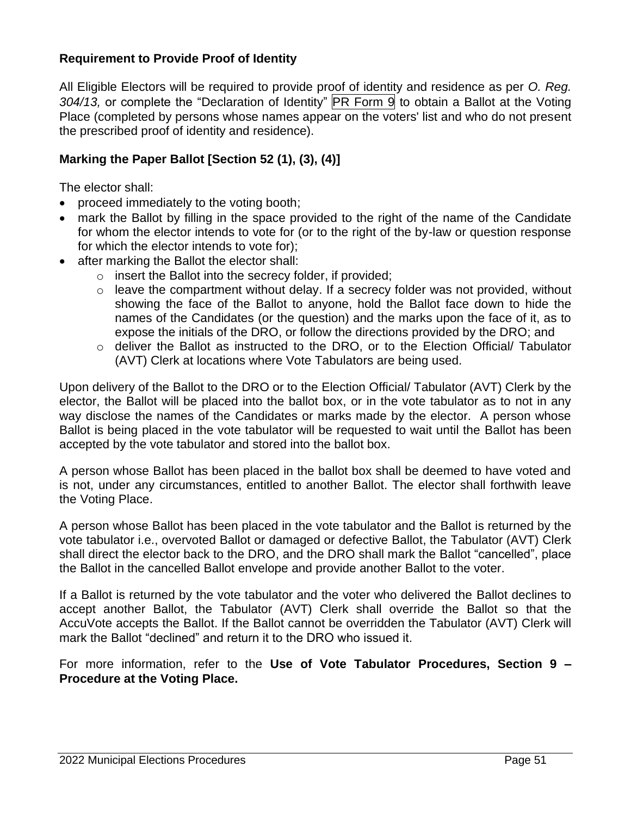## **Requirement to Provide Proof of Identity**

All Eligible Electors will be required to provide proof of identity and residence as per *O. Reg.*  304/13, or complete the "Declaration of Identity" **PR** Form 9 to obtain a Ballot at the Voting Place (completed by persons whose names appear on the voters' list and who do not present the prescribed proof of identity and residence).

#### **Marking the Paper Ballot [Section 52 (1), (3), (4)]**

The elector shall:

- proceed immediately to the voting booth;
- mark the Ballot by filling in the space provided to the right of the name of the Candidate for whom the elector intends to vote for (or to the right of the by-law or question response for which the elector intends to vote for);
- after marking the Ballot the elector shall:
	- o insert the Ballot into the secrecy folder, if provided;
	- $\circ$  leave the compartment without delay. If a secrecy folder was not provided, without showing the face of the Ballot to anyone, hold the Ballot face down to hide the names of the Candidates (or the question) and the marks upon the face of it, as to expose the initials of the DRO, or follow the directions provided by the DRO; and
	- o deliver the Ballot as instructed to the DRO, or to the Election Official/ Tabulator (AVT) Clerk at locations where Vote Tabulators are being used.

Upon delivery of the Ballot to the DRO or to the Election Official/ Tabulator (AVT) Clerk by the elector, the Ballot will be placed into the ballot box, or in the vote tabulator as to not in any way disclose the names of the Candidates or marks made by the elector. A person whose Ballot is being placed in the vote tabulator will be requested to wait until the Ballot has been accepted by the vote tabulator and stored into the ballot box.

A person whose Ballot has been placed in the ballot box shall be deemed to have voted and is not, under any circumstances, entitled to another Ballot. The elector shall forthwith leave the Voting Place.

A person whose Ballot has been placed in the vote tabulator and the Ballot is returned by the vote tabulator i.e., overvoted Ballot or damaged or defective Ballot, the Tabulator (AVT) Clerk shall direct the elector back to the DRO, and the DRO shall mark the Ballot "cancelled", place the Ballot in the cancelled Ballot envelope and provide another Ballot to the voter.

If a Ballot is returned by the vote tabulator and the voter who delivered the Ballot declines to accept another Ballot, the Tabulator (AVT) Clerk shall override the Ballot so that the AccuVote accepts the Ballot. If the Ballot cannot be overridden the Tabulator (AVT) Clerk will mark the Ballot "declined" and return it to the DRO who issued it.

For more information, refer to the **Use of Vote Tabulator Procedures, Section 9 – Procedure at the Voting Place.**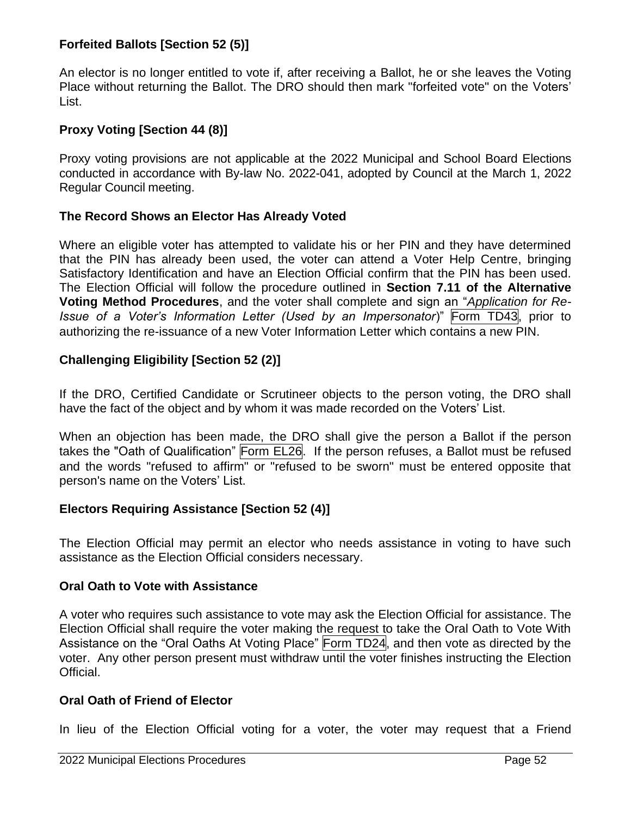## **Forfeited Ballots [Section 52 (5)]**

An elector is no longer entitled to vote if, after receiving a Ballot, he or she leaves the Voting Place without returning the Ballot. The DRO should then mark "forfeited vote" on the Voters' List.

# **Proxy Voting [Section 44 (8)]**

Proxy voting provisions are not applicable at the 2022 Municipal and School Board Elections conducted in accordance with By-law No. 2022-041, adopted by Council at the March 1, 2022 Regular Council meeting.

## **The Record Shows an Elector Has Already Voted**

Where an eligible voter has attempted to validate his or her PIN and they have determined that the PIN has already been used, the voter can attend a Voter Help Centre, bringing Satisfactory Identification and have an Election Official confirm that the PIN has been used. The Election Official will follow the procedure outlined in **Section 7.11 of the Alternative Voting Method Procedures**, and the voter shall complete and sign an "*Application for Re-Issue of a Voter's Information Letter (Used by an Impersonator*)" Form TD43, prior to authorizing the re-issuance of a new Voter Information Letter which contains a new PIN.

# **Challenging Eligibility [Section 52 (2)]**

If the DRO, Certified Candidate or Scrutineer objects to the person voting, the DRO shall have the fact of the object and by whom it was made recorded on the Voters' List.

When an objection has been made, the DRO shall give the person a Ballot if the person takes the "Oath of Qualification" Form EL26. If the person refuses, a Ballot must be refused and the words "refused to affirm" or "refused to be sworn" must be entered opposite that person's name on the Voters' List.

## **Electors Requiring Assistance [Section 52 (4)]**

The Election Official may permit an elector who needs assistance in voting to have such assistance as the Election Official considers necessary.

#### **Oral Oath to Vote with Assistance**

A voter who requires such assistance to vote may ask the Election Official for assistance. The Election Official shall require the voter making the request to take the Oral Oath to Vote With Assistance on the "Oral Oaths At Voting Place" Form TD24, and then vote as directed by the voter. Any other person present must withdraw until the voter finishes instructing the Election Official.

## **Oral Oath of Friend of Elector**

In lieu of the Election Official voting for a voter, the voter may request that a Friend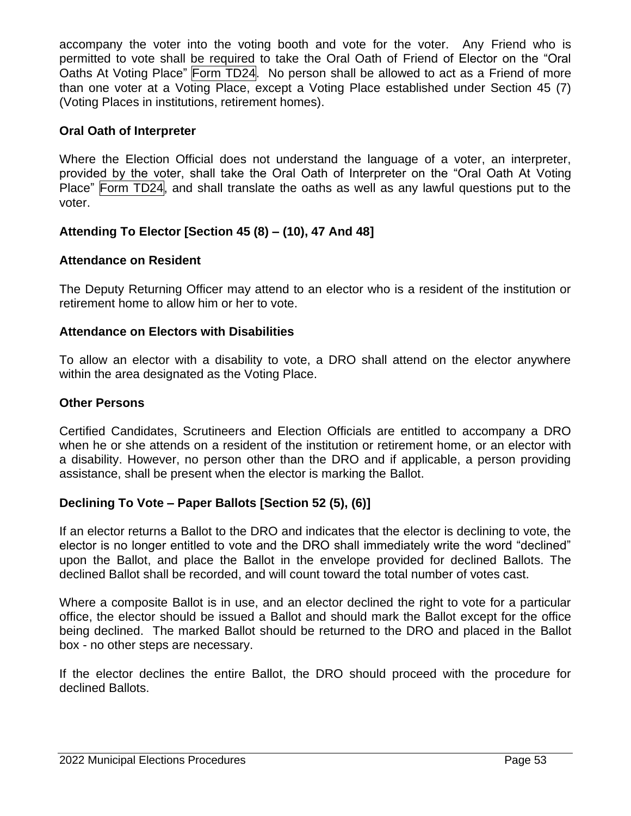accompany the voter into the voting booth and vote for the voter. Any Friend who is permitted to vote shall be required to take the Oral Oath of Friend of Elector on the "Oral Oaths At Voting Place" Form TD24. No person shall be allowed to act as a Friend of more than one voter at a Voting Place, except a Voting Place established under Section 45 (7) (Voting Places in institutions, retirement homes).

#### **Oral Oath of Interpreter**

Where the Election Official does not understand the language of a voter, an interpreter, provided by the voter, shall take the Oral Oath of Interpreter on the "Oral Oath At Voting Place" Form TD24, and shall translate the oaths as well as any lawful questions put to the voter.

## **Attending To Elector [Section 45 (8) – (10), 47 And 48]**

#### **Attendance on Resident**

The Deputy Returning Officer may attend to an elector who is a resident of the institution or retirement home to allow him or her to vote.

#### **Attendance on Electors with Disabilities**

To allow an elector with a disability to vote, a DRO shall attend on the elector anywhere within the area designated as the Voting Place.

#### **Other Persons**

Certified Candidates, Scrutineers and Election Officials are entitled to accompany a DRO when he or she attends on a resident of the institution or retirement home, or an elector with a disability. However, no person other than the DRO and if applicable, a person providing assistance, shall be present when the elector is marking the Ballot.

## **Declining To Vote – Paper Ballots [Section 52 (5), (6)]**

If an elector returns a Ballot to the DRO and indicates that the elector is declining to vote, the elector is no longer entitled to vote and the DRO shall immediately write the word "declined" upon the Ballot, and place the Ballot in the envelope provided for declined Ballots. The declined Ballot shall be recorded, and will count toward the total number of votes cast.

Where a composite Ballot is in use, and an elector declined the right to vote for a particular office, the elector should be issued a Ballot and should mark the Ballot except for the office being declined. The marked Ballot should be returned to the DRO and placed in the Ballot box - no other steps are necessary.

If the elector declines the entire Ballot, the DRO should proceed with the procedure for declined Ballots.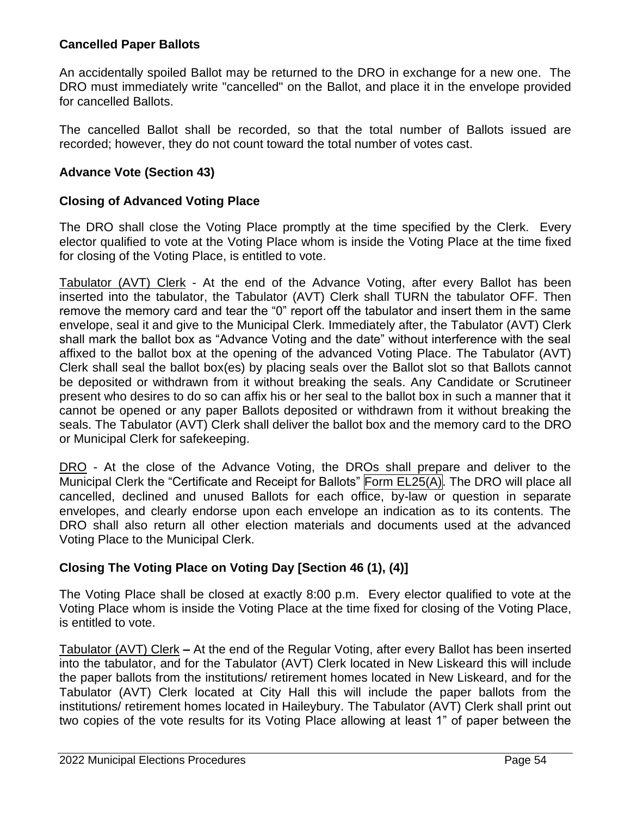### **Cancelled Paper Ballots**

An accidentally spoiled Ballot may be returned to the DRO in exchange for a new one. The DRO must immediately write "cancelled" on the Ballot, and place it in the envelope provided for cancelled Ballots.

The cancelled Ballot shall be recorded, so that the total number of Ballots issued are recorded; however, they do not count toward the total number of votes cast.

#### **Advance Vote (Section 43)**

#### **Closing of Advanced Voting Place**

The DRO shall close the Voting Place promptly at the time specified by the Clerk. Every elector qualified to vote at the Voting Place whom is inside the Voting Place at the time fixed for closing of the Voting Place, is entitled to vote.

Tabulator (AVT) Clerk - At the end of the Advance Voting, after every Ballot has been inserted into the tabulator, the Tabulator (AVT) Clerk shall TURN the tabulator OFF. Then remove the memory card and tear the "0" report off the tabulator and insert them in the same envelope, seal it and give to the Municipal Clerk. Immediately after, the Tabulator (AVT) Clerk shall mark the ballot box as "Advance Voting and the date" without interference with the seal affixed to the ballot box at the opening of the advanced Voting Place. The Tabulator (AVT) Clerk shall seal the ballot box(es) by placing seals over the Ballot slot so that Ballots cannot be deposited or withdrawn from it without breaking the seals. Any Candidate or Scrutineer present who desires to do so can affix his or her seal to the ballot box in such a manner that it cannot be opened or any paper Ballots deposited or withdrawn from it without breaking the seals. The Tabulator (AVT) Clerk shall deliver the ballot box and the memory card to the DRO or Municipal Clerk for safekeeping.

DRO - At the close of the Advance Voting, the DROs shall prepare and deliver to the Municipal Clerk the "Certificate and Receipt for Ballots" Form EL25(A). The DRO will place all cancelled, declined and unused Ballots for each office, by-law or question in separate envelopes, and clearly endorse upon each envelope an indication as to its contents. The DRO shall also return all other election materials and documents used at the advanced Voting Place to the Municipal Clerk.

## **Closing The Voting Place on Voting Day [Section 46 (1), (4)]**

The Voting Place shall be closed at exactly 8:00 p.m. Every elector qualified to vote at the Voting Place whom is inside the Voting Place at the time fixed for closing of the Voting Place, is entitled to vote.

Tabulator (AVT) Clerk **–** At the end of the Regular Voting, after every Ballot has been inserted into the tabulator, and for the Tabulator (AVT) Clerk located in New Liskeard this will include the paper ballots from the institutions/ retirement homes located in New Liskeard, and for the Tabulator (AVT) Clerk located at City Hall this will include the paper ballots from the institutions/ retirement homes located in Haileybury. The Tabulator (AVT) Clerk shall print out two copies of the vote results for its Voting Place allowing at least 1" of paper between the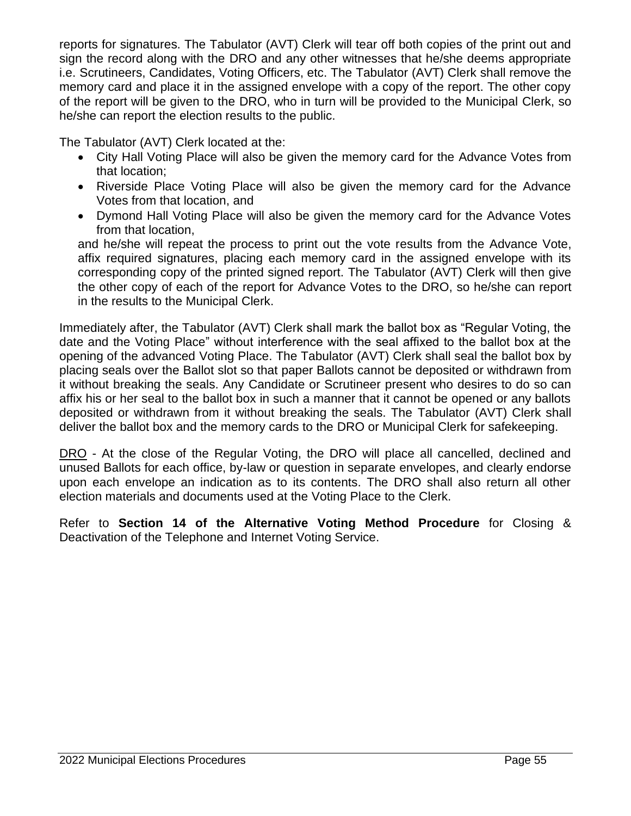reports for signatures. The Tabulator (AVT) Clerk will tear off both copies of the print out and sign the record along with the DRO and any other witnesses that he/she deems appropriate i.e. Scrutineers, Candidates, Voting Officers, etc. The Tabulator (AVT) Clerk shall remove the memory card and place it in the assigned envelope with a copy of the report. The other copy of the report will be given to the DRO, who in turn will be provided to the Municipal Clerk, so he/she can report the election results to the public.

The Tabulator (AVT) Clerk located at the:

- City Hall Voting Place will also be given the memory card for the Advance Votes from that location;
- Riverside Place Voting Place will also be given the memory card for the Advance Votes from that location, and
- Dymond Hall Voting Place will also be given the memory card for the Advance Votes from that location,

and he/she will repeat the process to print out the vote results from the Advance Vote, affix required signatures, placing each memory card in the assigned envelope with its corresponding copy of the printed signed report. The Tabulator (AVT) Clerk will then give the other copy of each of the report for Advance Votes to the DRO, so he/she can report in the results to the Municipal Clerk.

Immediately after, the Tabulator (AVT) Clerk shall mark the ballot box as "Regular Voting, the date and the Voting Place" without interference with the seal affixed to the ballot box at the opening of the advanced Voting Place. The Tabulator (AVT) Clerk shall seal the ballot box by placing seals over the Ballot slot so that paper Ballots cannot be deposited or withdrawn from it without breaking the seals. Any Candidate or Scrutineer present who desires to do so can affix his or her seal to the ballot box in such a manner that it cannot be opened or any ballots deposited or withdrawn from it without breaking the seals. The Tabulator (AVT) Clerk shall deliver the ballot box and the memory cards to the DRO or Municipal Clerk for safekeeping.

DRO - At the close of the Regular Voting, the DRO will place all cancelled, declined and unused Ballots for each office, by-law or question in separate envelopes, and clearly endorse upon each envelope an indication as to its contents. The DRO shall also return all other election materials and documents used at the Voting Place to the Clerk.

Refer to **Section 14 of the Alternative Voting Method Procedure** for Closing & Deactivation of the Telephone and Internet Voting Service.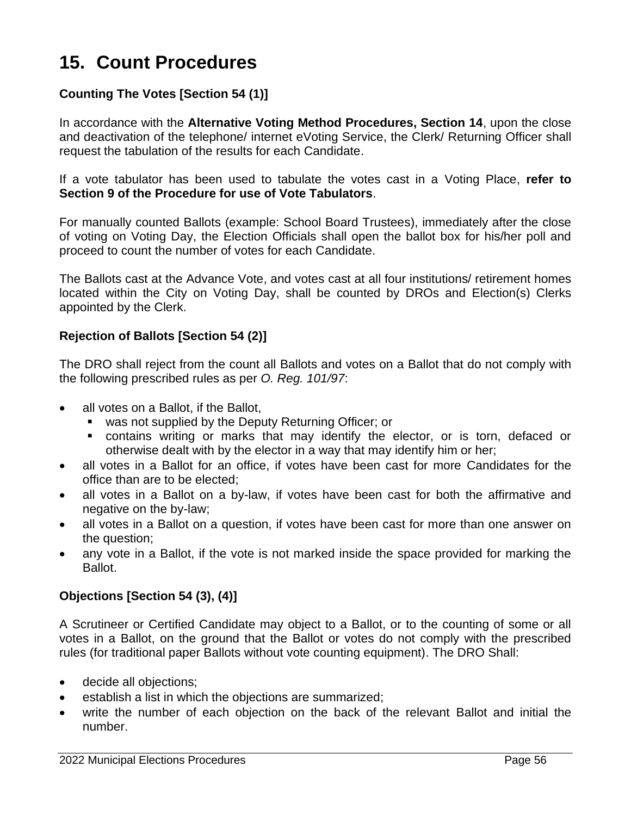# **15. Count Procedures**

# **Counting The Votes [Section 54 (1)]**

In accordance with the **Alternative Voting Method Procedures, Section 14**, upon the close and deactivation of the telephone/ internet eVoting Service, the Clerk/ Returning Officer shall request the tabulation of the results for each Candidate.

If a vote tabulator has been used to tabulate the votes cast in a Voting Place, **refer to Section 9 of the Procedure for use of Vote Tabulators**.

For manually counted Ballots (example: School Board Trustees), immediately after the close of voting on Voting Day, the Election Officials shall open the ballot box for his/her poll and proceed to count the number of votes for each Candidate.

The Ballots cast at the Advance Vote, and votes cast at all four institutions/ retirement homes located within the City on Voting Day, shall be counted by DROs and Election(s) Clerks appointed by the Clerk.

#### **Rejection of Ballots [Section 54 (2)]**

The DRO shall reject from the count all Ballots and votes on a Ballot that do not comply with the following prescribed rules as per *O. Reg. 101/97*:

- all votes on a Ballot, if the Ballot,
	- was not supplied by the Deputy Returning Officer; or
	- contains writing or marks that may identify the elector, or is torn, defaced or otherwise dealt with by the elector in a way that may identify him or her;
- all votes in a Ballot for an office, if votes have been cast for more Candidates for the office than are to be elected;
- all votes in a Ballot on a by-law, if votes have been cast for both the affirmative and negative on the by-law;
- all votes in a Ballot on a question, if votes have been cast for more than one answer on the question;
- any vote in a Ballot, if the vote is not marked inside the space provided for marking the Ballot.

#### **Objections [Section 54 (3), (4)]**

A Scrutineer or Certified Candidate may object to a Ballot, or to the counting of some or all votes in a Ballot, on the ground that the Ballot or votes do not comply with the prescribed rules (for traditional paper Ballots without vote counting equipment). The DRO Shall:

- decide all objections;
- establish a list in which the objections are summarized;
- write the number of each objection on the back of the relevant Ballot and initial the number.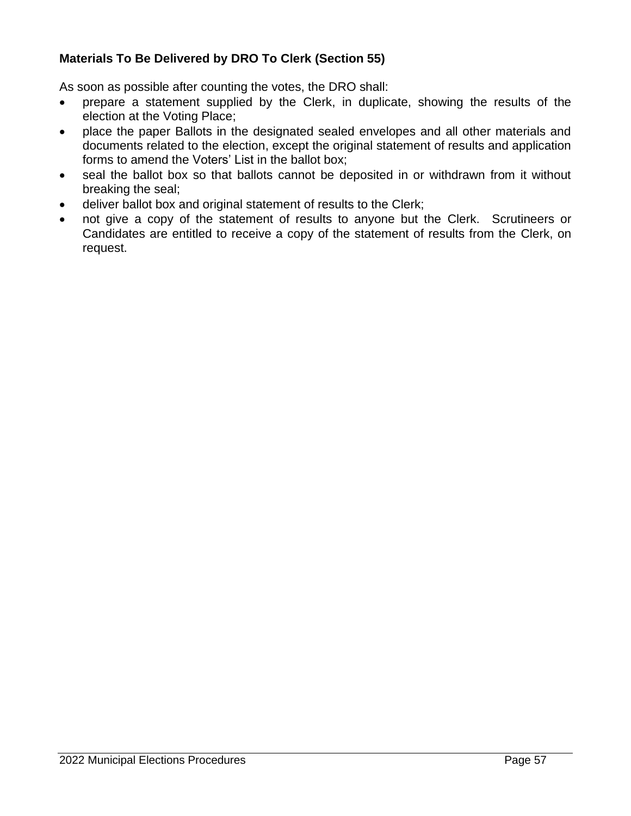# **Materials To Be Delivered by DRO To Clerk (Section 55)**

As soon as possible after counting the votes, the DRO shall:

- prepare a statement supplied by the Clerk, in duplicate, showing the results of the election at the Voting Place;
- place the paper Ballots in the designated sealed envelopes and all other materials and documents related to the election, except the original statement of results and application forms to amend the Voters' List in the ballot box;
- seal the ballot box so that ballots cannot be deposited in or withdrawn from it without breaking the seal;
- deliver ballot box and original statement of results to the Clerk;
- not give a copy of the statement of results to anyone but the Clerk. Scrutineers or Candidates are entitled to receive a copy of the statement of results from the Clerk, on request.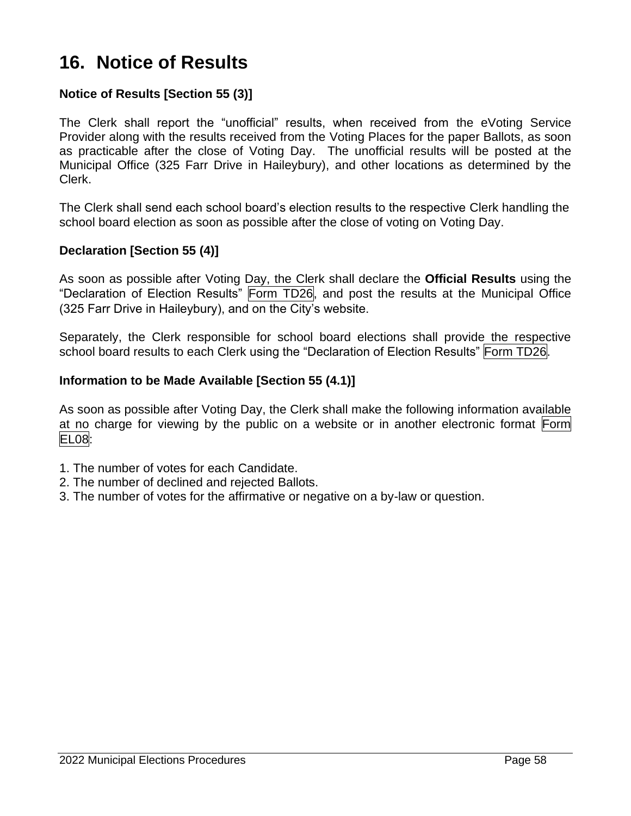# **16. Notice of Results**

## **Notice of Results [Section 55 (3)]**

The Clerk shall report the "unofficial" results, when received from the eVoting Service Provider along with the results received from the Voting Places for the paper Ballots, as soon as practicable after the close of Voting Day. The unofficial results will be posted at the Municipal Office (325 Farr Drive in Haileybury), and other locations as determined by the Clerk.

The Clerk shall send each school board's election results to the respective Clerk handling the school board election as soon as possible after the close of voting on Voting Day.

#### **Declaration [Section 55 (4)]**

As soon as possible after Voting Day, the Clerk shall declare the **Official Results** using the "Declaration of Election Results" Form TD26, and post the results at the Municipal Office (325 Farr Drive in Haileybury), and on the City's website.

Separately, the Clerk responsible for school board elections shall provide the respective school board results to each Clerk using the "Declaration of Election Results" Form TD26.

#### **Information to be Made Available [Section 55 (4.1)]**

As soon as possible after Voting Day, the Clerk shall make the following information available at no charge for viewing by the public on a website or in another electronic format Form EL08:

- 1. The number of votes for each Candidate.
- 2. The number of declined and rejected Ballots.
- 3. The number of votes for the affirmative or negative on a by-law or question.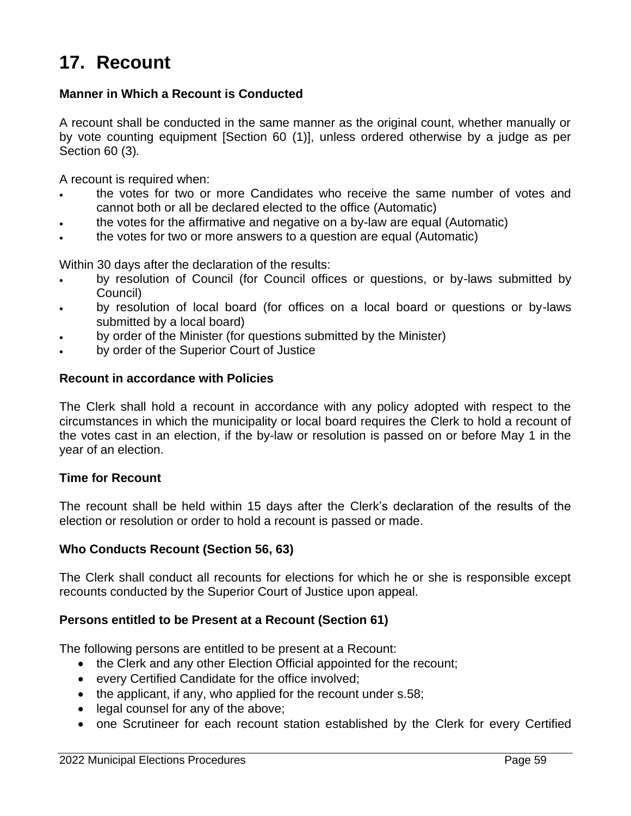# **17. Recount**

### **Manner in Which a Recount is Conducted**

A recount shall be conducted in the same manner as the original count, whether manually or by vote counting equipment [Section 60 (1)], unless ordered otherwise by a judge as per Section 60 (3)*.*

A recount is required when:

- the votes for two or more Candidates who receive the same number of votes and cannot both or all be declared elected to the office (Automatic)
- the votes for the affirmative and negative on a by-law are equal (Automatic)
- the votes for two or more answers to a question are equal (Automatic)

Within 30 days after the declaration of the results:

- by resolution of Council (for Council offices or questions, or by-laws submitted by Council)
- by resolution of local board (for offices on a local board or questions or by-laws submitted by a local board)
- by order of the Minister (for questions submitted by the Minister)
- by order of the Superior Court of Justice

#### **Recount in accordance with Policies**

The Clerk shall hold a recount in accordance with any policy adopted with respect to the circumstances in which the municipality or local board requires the Clerk to hold a recount of the votes cast in an election, if the by-law or resolution is passed on or before May 1 in the year of an election.

#### **Time for Recount**

The recount shall be held within 15 days after the Clerk's declaration of the results of the election or resolution or order to hold a recount is passed or made.

#### **Who Conducts Recount (Section 56, 63)**

The Clerk shall conduct all recounts for elections for which he or she is responsible except recounts conducted by the Superior Court of Justice upon appeal.

#### **Persons entitled to be Present at a Recount (Section 61)**

The following persons are entitled to be present at a Recount:

- the Clerk and any other Election Official appointed for the recount;
- every Certified Candidate for the office involved;
- the applicant, if any, who applied for the recount under s.58;
- legal counsel for any of the above:
- one Scrutineer for each recount station established by the Clerk for every Certified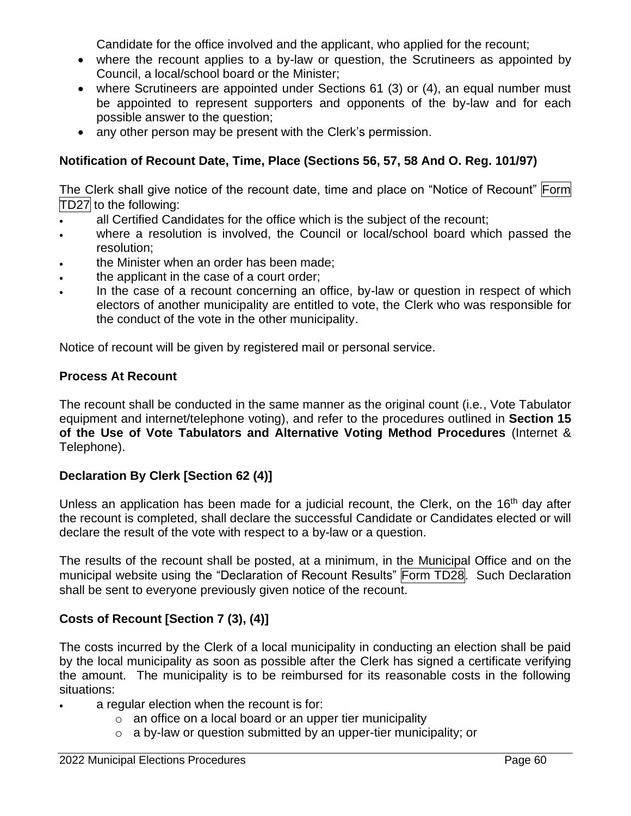Candidate for the office involved and the applicant, who applied for the recount;

- where the recount applies to a by-law or question, the Scrutineers as appointed by Council, a local/school board or the Minister;
- where Scrutineers are appointed under Sections 61 (3) or (4), an equal number must be appointed to represent supporters and opponents of the by-law and for each possible answer to the question;
- any other person may be present with the Clerk's permission.

# **Notification of Recount Date, Time, Place (Sections 56, 57, 58 And O. Reg. 101/97)**

The Clerk shall give notice of the recount date, time and place on "Notice of Recount" Form TD27 to the following:

- all Certified Candidates for the office which is the subject of the recount;
- where a resolution is involved, the Council or local/school board which passed the resolution;
- the Minister when an order has been made;
- the applicant in the case of a court order;
- In the case of a recount concerning an office, by-law or question in respect of which electors of another municipality are entitled to vote, the Clerk who was responsible for the conduct of the vote in the other municipality.

Notice of recount will be given by registered mail or personal service.

## **Process At Recount**

The recount shall be conducted in the same manner as the original count (i.e., Vote Tabulator equipment and internet/telephone voting), and refer to the procedures outlined in **Section 15 of the Use of Vote Tabulators and Alternative Voting Method Procedures** (Internet & Telephone).

# **Declaration By Clerk [Section 62 (4)]**

Unless an application has been made for a judicial recount, the Clerk, on the 16<sup>th</sup> day after the recount is completed, shall declare the successful Candidate or Candidates elected or will declare the result of the vote with respect to a by-law or a question.

The results of the recount shall be posted, at a minimum, in the Municipal Office and on the municipal website using the "Declaration of Recount Results" Form TD28. Such Declaration shall be sent to everyone previously given notice of the recount.

# **Costs of Recount [Section 7 (3), (4)]**

The costs incurred by the Clerk of a local municipality in conducting an election shall be paid by the local municipality as soon as possible after the Clerk has signed a certificate verifying the amount. The municipality is to be reimbursed for its reasonable costs in the following situations:

- a regular election when the recount is for:
	- o an office on a local board or an upper tier municipality
	- o a by-law or question submitted by an upper-tier municipality; or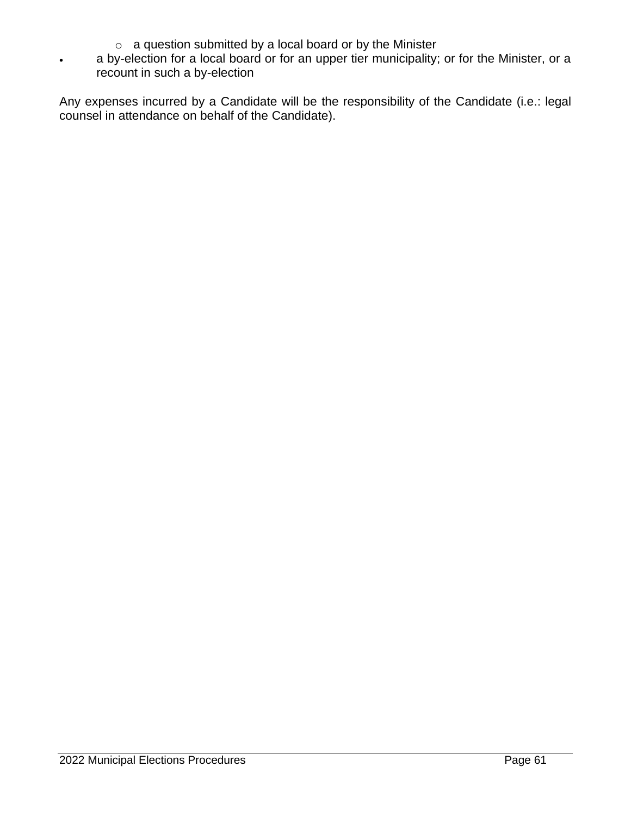- o a question submitted by a local board or by the Minister
- a by-election for a local board or for an upper tier municipality; or for the Minister, or a recount in such a by-election

Any expenses incurred by a Candidate will be the responsibility of the Candidate (i.e.: legal counsel in attendance on behalf of the Candidate).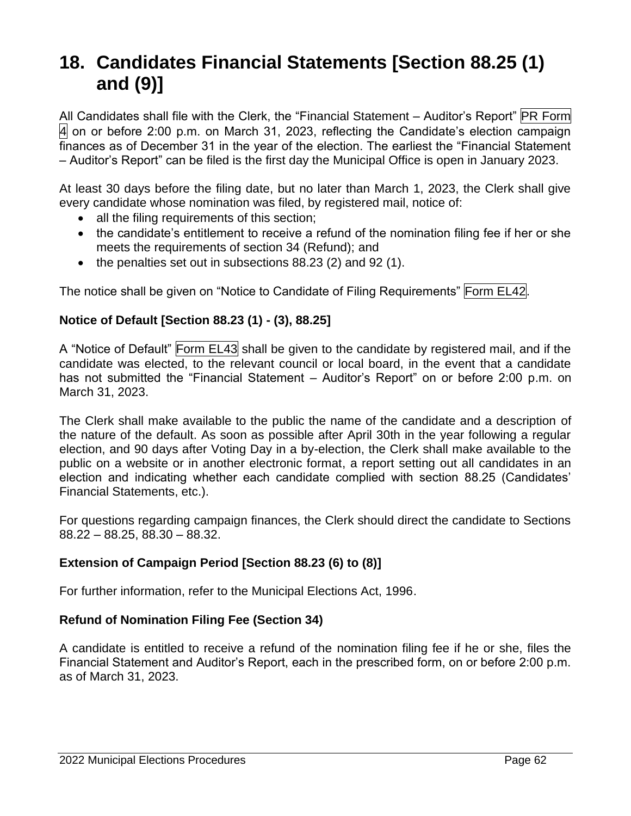# **18. Candidates Financial Statements [Section 88.25 (1) and (9)]**

All Candidates shall file with the Clerk, the "Financial Statement – Auditor's Report" PR Form  $|4|$  on or before 2:00 p.m. on March 31, 2023, reflecting the Candidate's election campaign finances as of December 31 in the year of the election. The earliest the "Financial Statement – Auditor's Report" can be filed is the first day the Municipal Office is open in January 2023.

At least 30 days before the filing date, but no later than March 1, 2023, the Clerk shall give every candidate whose nomination was filed, by registered mail, notice of:

- all the filing requirements of this section;
- the candidate's entitlement to receive a refund of the nomination filing fee if her or she meets the requirements of section 34 (Refund); and
- the penalties set out in subsections 88.23 (2) and 92 (1).

The notice shall be given on "Notice to Candidate of Filing Requirements" Form EL42.

# **Notice of Default [Section 88.23 (1) - (3), 88.25]**

A "Notice of Default" Form EL43 shall be given to the candidate by registered mail, and if the candidate was elected, to the relevant council or local board, in the event that a candidate has not submitted the "Financial Statement – Auditor's Report" on or before 2:00 p.m. on March 31, 2023.

The Clerk shall make available to the public the name of the candidate and a description of the nature of the default. As soon as possible after April 30th in the year following a regular election, and 90 days after Voting Day in a by-election, the Clerk shall make available to the public on a website or in another electronic format, a report setting out all candidates in an election and indicating whether each candidate complied with section 88.25 (Candidates' Financial Statements, etc.).

For questions regarding campaign finances, the Clerk should direct the candidate to Sections 88.22 – 88.25, 88.30 – 88.32.

# **Extension of Campaign Period [Section 88.23 (6) to (8)]**

For further information, refer to the Municipal Elections Act, 1996.

# **Refund of Nomination Filing Fee (Section 34)**

A candidate is entitled to receive a refund of the nomination filing fee if he or she, files the Financial Statement and Auditor's Report, each in the prescribed form, on or before 2:00 p.m. as of March 31, 2023.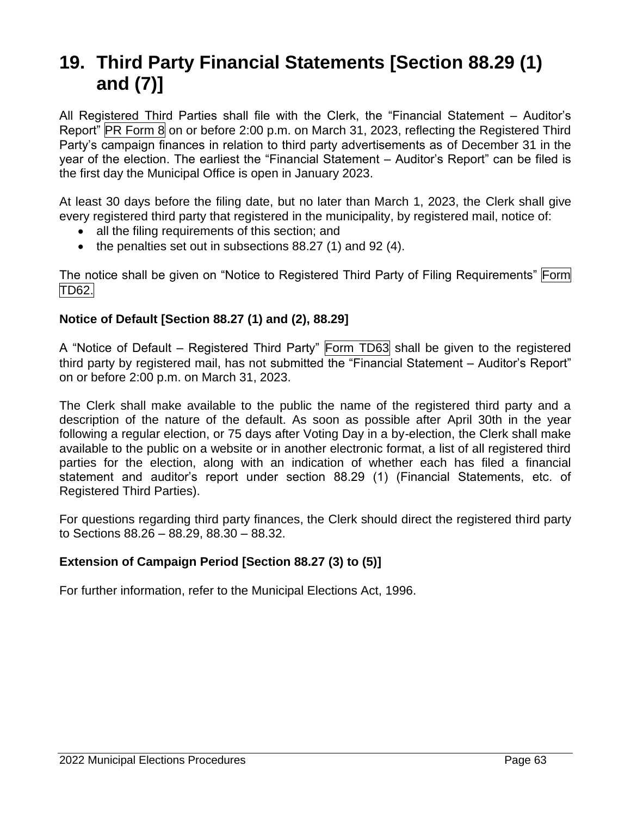# **19. Third Party Financial Statements [Section 88.29 (1) and (7)]**

All Registered Third Parties shall file with the Clerk, the "Financial Statement – Auditor's Report" PR Form 8 on or before 2:00 p.m. on March 31, 2023, reflecting the Registered Third Party's campaign finances in relation to third party advertisements as of December 31 in the year of the election. The earliest the "Financial Statement – Auditor's Report" can be filed is the first day the Municipal Office is open in January 2023.

At least 30 days before the filing date, but no later than March 1, 2023, the Clerk shall give every registered third party that registered in the municipality, by registered mail, notice of:

- all the filing requirements of this section; and
- the penalties set out in subsections 88.27 (1) and 92 (4).

The notice shall be given on "Notice to Registered Third Party of Filing Requirements" Form TD62.

# **Notice of Default [Section 88.27 (1) and (2), 88.29]**

A "Notice of Default – Registered Third Party" Form TD63 shall be given to the registered third party by registered mail, has not submitted the "Financial Statement – Auditor's Report" on or before 2:00 p.m. on March 31, 2023.

The Clerk shall make available to the public the name of the registered third party and a description of the nature of the default. As soon as possible after April 30th in the year following a regular election, or 75 days after Voting Day in a by-election, the Clerk shall make available to the public on a website or in another electronic format, a list of all registered third parties for the election, along with an indication of whether each has filed a financial statement and auditor's report under section 88.29 (1) (Financial Statements, etc. of Registered Third Parties).

For questions regarding third party finances, the Clerk should direct the registered third party to Sections 88.26 – 88.29, 88.30 – 88.32.

## **Extension of Campaign Period [Section 88.27 (3) to (5)]**

For further information, refer to the Municipal Elections Act, 1996.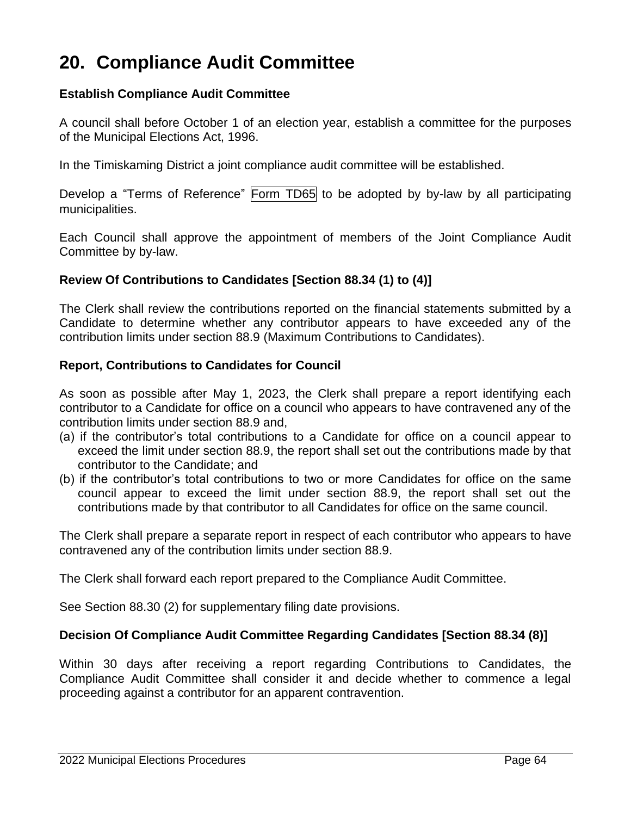# **20. Compliance Audit Committee**

#### **Establish Compliance Audit Committee**

A council shall before October 1 of an election year, establish a committee for the purposes of the Municipal Elections Act, 1996.

In the Timiskaming District a joint compliance audit committee will be established.

Develop a "Terms of Reference" Form TD65 to be adopted by by-law by all participating municipalities.

Each Council shall approve the appointment of members of the Joint Compliance Audit Committee by by-law.

#### **Review Of Contributions to Candidates [Section 88.34 (1) to (4)]**

The Clerk shall review the contributions reported on the financial statements submitted by a Candidate to determine whether any contributor appears to have exceeded any of the contribution limits under section 88.9 (Maximum Contributions to Candidates).

#### **Report, Contributions to Candidates for Council**

As soon as possible after May 1, 2023, the Clerk shall prepare a report identifying each contributor to a Candidate for office on a council who appears to have contravened any of the contribution limits under section 88.9 and,

- (a) if the contributor's total contributions to a Candidate for office on a council appear to exceed the limit under section 88.9, the report shall set out the contributions made by that contributor to the Candidate; and
- (b) if the contributor's total contributions to two or more Candidates for office on the same council appear to exceed the limit under section 88.9, the report shall set out the contributions made by that contributor to all Candidates for office on the same council.

The Clerk shall prepare a separate report in respect of each contributor who appears to have contravened any of the contribution limits under section 88.9.

The Clerk shall forward each report prepared to the Compliance Audit Committee.

See Section 88.30 (2) for supplementary filing date provisions.

#### **Decision Of Compliance Audit Committee Regarding Candidates [Section 88.34 (8)]**

Within 30 days after receiving a report regarding Contributions to Candidates, the Compliance Audit Committee shall consider it and decide whether to commence a legal proceeding against a contributor for an apparent contravention.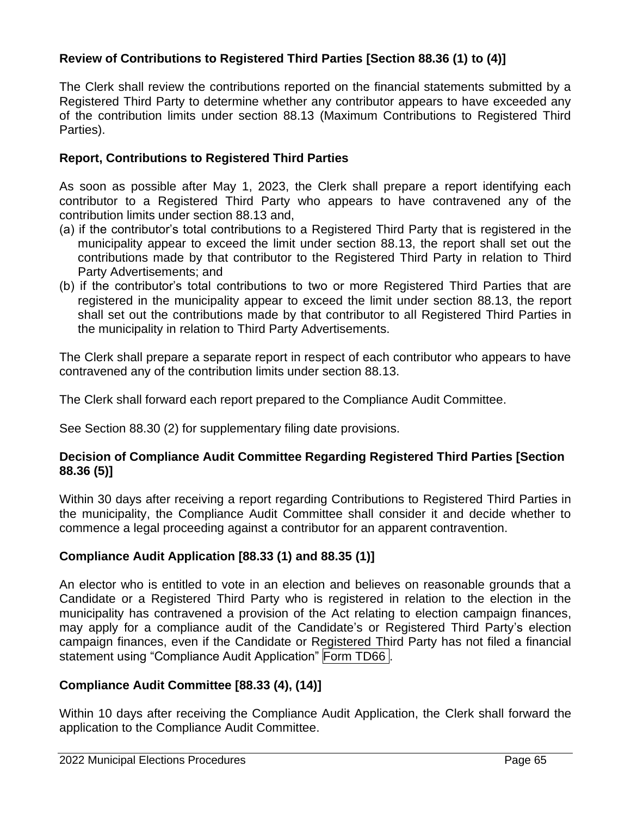# **Review of Contributions to Registered Third Parties [Section 88.36 (1) to (4)]**

The Clerk shall review the contributions reported on the financial statements submitted by a Registered Third Party to determine whether any contributor appears to have exceeded any of the contribution limits under section 88.13 (Maximum Contributions to Registered Third Parties).

#### **Report, Contributions to Registered Third Parties**

As soon as possible after May 1, 2023, the Clerk shall prepare a report identifying each contributor to a Registered Third Party who appears to have contravened any of the contribution limits under section 88.13 and,

- (a) if the contributor's total contributions to a Registered Third Party that is registered in the municipality appear to exceed the limit under section 88.13, the report shall set out the contributions made by that contributor to the Registered Third Party in relation to Third Party Advertisements; and
- (b) if the contributor's total contributions to two or more Registered Third Parties that are registered in the municipality appear to exceed the limit under section 88.13, the report shall set out the contributions made by that contributor to all Registered Third Parties in the municipality in relation to Third Party Advertisements.

The Clerk shall prepare a separate report in respect of each contributor who appears to have contravened any of the contribution limits under section 88.13.

The Clerk shall forward each report prepared to the Compliance Audit Committee.

See Section 88.30 (2) for supplementary filing date provisions.

#### **Decision of Compliance Audit Committee Regarding Registered Third Parties [Section 88.36 (5)]**

Within 30 days after receiving a report regarding Contributions to Registered Third Parties in the municipality, the Compliance Audit Committee shall consider it and decide whether to commence a legal proceeding against a contributor for an apparent contravention.

## **Compliance Audit Application [88.33 (1) and 88.35 (1)]**

An elector who is entitled to vote in an election and believes on reasonable grounds that a Candidate or a Registered Third Party who is registered in relation to the election in the municipality has contravened a provision of the Act relating to election campaign finances, may apply for a compliance audit of the Candidate's or Registered Third Party's election campaign finances, even if the Candidate or Registered Third Party has not filed a financial statement using "Compliance Audit Application" Form TD66.

## **Compliance Audit Committee [88.33 (4), (14)]**

Within 10 days after receiving the Compliance Audit Application, the Clerk shall forward the application to the Compliance Audit Committee.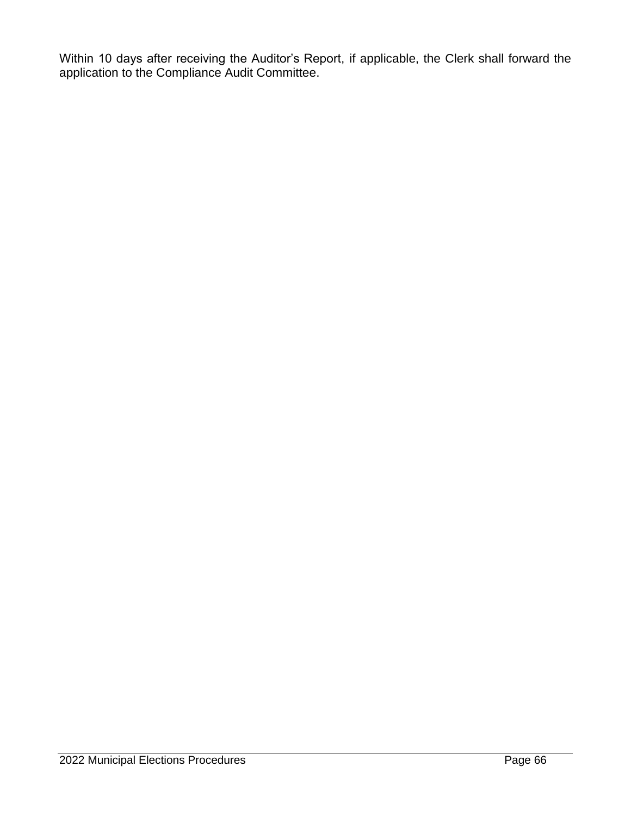Within 10 days after receiving the Auditor's Report, if applicable, the Clerk shall forward the application to the Compliance Audit Committee.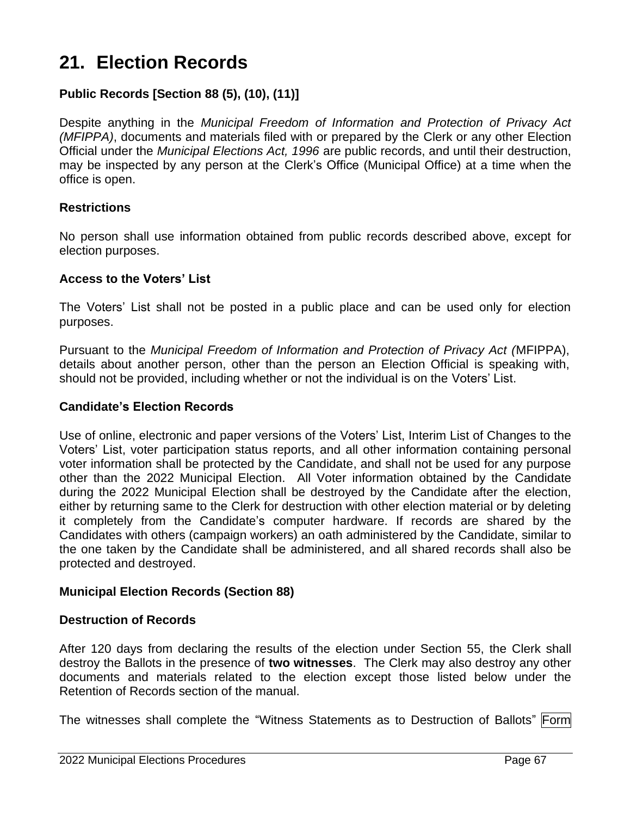# **21. Election Records**

# **Public Records [Section 88 (5), (10), (11)]**

Despite anything in the *Municipal Freedom of Information and Protection of Privacy Act (MFIPPA)*, documents and materials filed with or prepared by the Clerk or any other Election Official under the *Municipal Elections Act, 1996* are public records, and until their destruction, may be inspected by any person at the Clerk's Office (Municipal Office) at a time when the office is open.

#### **Restrictions**

No person shall use information obtained from public records described above, except for election purposes.

#### **Access to the Voters' List**

The Voters' List shall not be posted in a public place and can be used only for election purposes.

Pursuant to the *Municipal Freedom of Information and Protection of Privacy Act (*MFIPPA), details about another person, other than the person an Election Official is speaking with, should not be provided, including whether or not the individual is on the Voters' List.

#### **Candidate's Election Records**

Use of online, electronic and paper versions of the Voters' List, Interim List of Changes to the Voters' List, voter participation status reports, and all other information containing personal voter information shall be protected by the Candidate, and shall not be used for any purpose other than the 2022 Municipal Election. All Voter information obtained by the Candidate during the 2022 Municipal Election shall be destroyed by the Candidate after the election, either by returning same to the Clerk for destruction with other election material or by deleting it completely from the Candidate's computer hardware. If records are shared by the Candidates with others (campaign workers) an oath administered by the Candidate, similar to the one taken by the Candidate shall be administered, and all shared records shall also be protected and destroyed.

#### **Municipal Election Records (Section 88)**

#### **Destruction of Records**

After 120 days from declaring the results of the election under Section 55, the Clerk shall destroy the Ballots in the presence of **two witnesses**. The Clerk may also destroy any other documents and materials related to the election except those listed below under the Retention of Records section of the manual.

The witnesses shall complete the "Witness Statements as to Destruction of Ballots" Form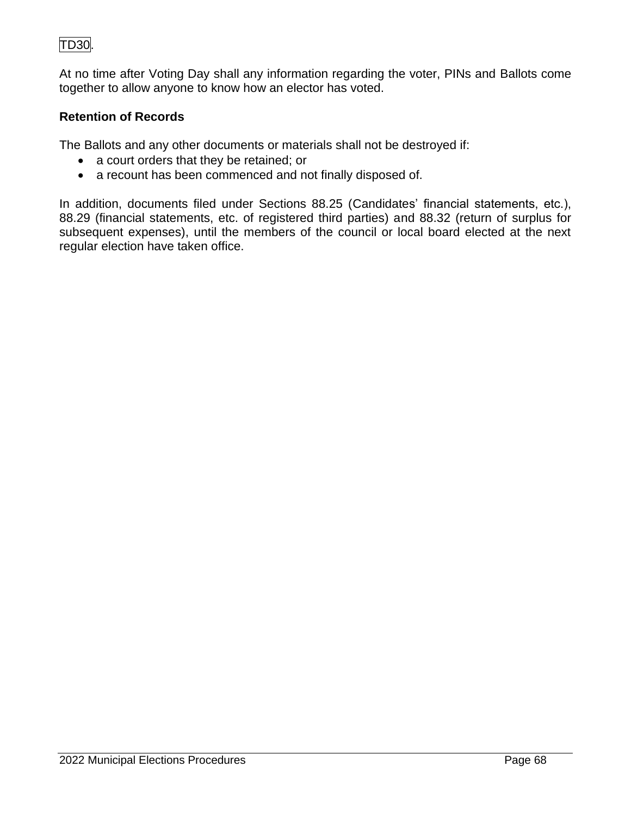# TD30.

At no time after Voting Day shall any information regarding the voter, PINs and Ballots come together to allow anyone to know how an elector has voted.

# **Retention of Records**

The Ballots and any other documents or materials shall not be destroyed if:

- a court orders that they be retained; or
- a recount has been commenced and not finally disposed of.

In addition, documents filed under Sections 88.25 (Candidates' financial statements, etc.), 88.29 (financial statements, etc. of registered third parties) and 88.32 (return of surplus for subsequent expenses), until the members of the council or local board elected at the next regular election have taken office.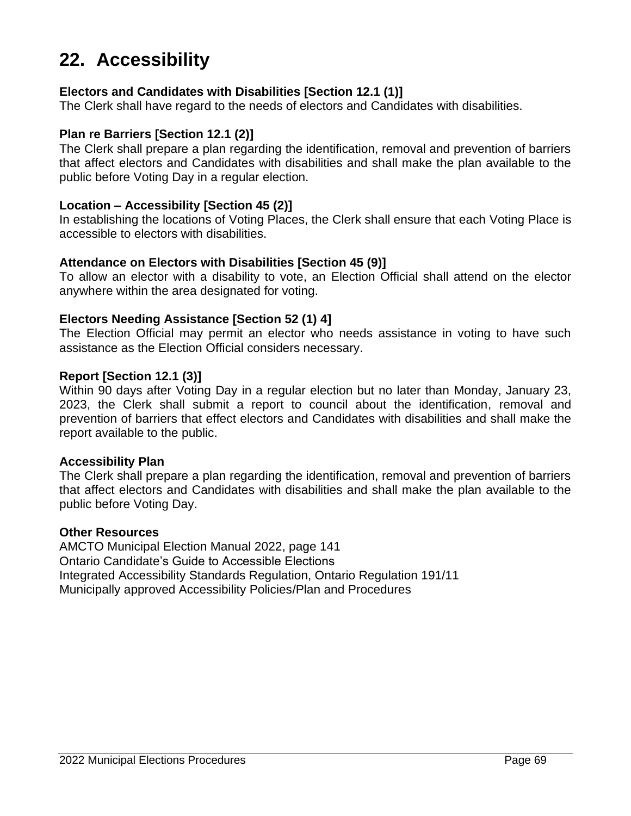# **22. Accessibility**

#### **Electors and Candidates with Disabilities [Section 12.1 (1)]**

The Clerk shall have regard to the needs of electors and Candidates with disabilities.

#### **Plan re Barriers [Section 12.1 (2)]**

The Clerk shall prepare a plan regarding the identification, removal and prevention of barriers that affect electors and Candidates with disabilities and shall make the plan available to the public before Voting Day in a regular election.

#### **Location – Accessibility [Section 45 (2)]**

In establishing the locations of Voting Places, the Clerk shall ensure that each Voting Place is accessible to electors with disabilities.

#### **Attendance on Electors with Disabilities [Section 45 (9)]**

To allow an elector with a disability to vote, an Election Official shall attend on the elector anywhere within the area designated for voting.

#### **Electors Needing Assistance [Section 52 (1) 4]**

The Election Official may permit an elector who needs assistance in voting to have such assistance as the Election Official considers necessary.

#### **Report [Section 12.1 (3)]**

Within 90 days after Voting Day in a regular election but no later than Monday, January 23, 2023, the Clerk shall submit a report to council about the identification, removal and prevention of barriers that effect electors and Candidates with disabilities and shall make the report available to the public.

#### **Accessibility Plan**

The Clerk shall prepare a plan regarding the identification, removal and prevention of barriers that affect electors and Candidates with disabilities and shall make the plan available to the public before Voting Day.

#### **Other Resources**

AMCTO Municipal Election Manual 2022, page 141 Ontario Candidate's Guide to Accessible Elections Integrated Accessibility Standards Regulation, Ontario Regulation 191/11 Municipally approved Accessibility Policies/Plan and Procedures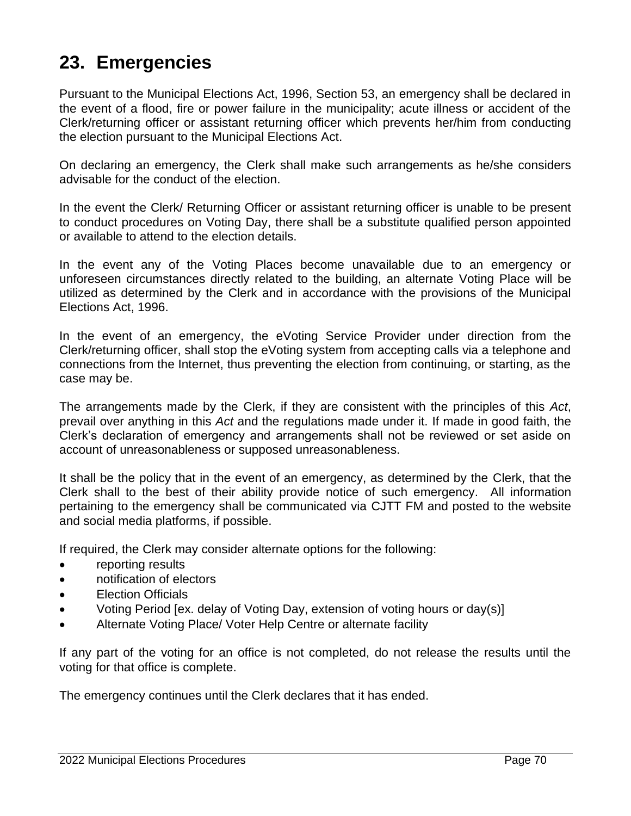# **23. Emergencies**

Pursuant to the Municipal Elections Act, 1996, Section 53, an emergency shall be declared in the event of a flood, fire or power failure in the municipality; acute illness or accident of the Clerk/returning officer or assistant returning officer which prevents her/him from conducting the election pursuant to the Municipal Elections Act.

On declaring an emergency, the Clerk shall make such arrangements as he/she considers advisable for the conduct of the election.

In the event the Clerk/ Returning Officer or assistant returning officer is unable to be present to conduct procedures on Voting Day, there shall be a substitute qualified person appointed or available to attend to the election details.

In the event any of the Voting Places become unavailable due to an emergency or unforeseen circumstances directly related to the building, an alternate Voting Place will be utilized as determined by the Clerk and in accordance with the provisions of the Municipal Elections Act, 1996.

In the event of an emergency, the eVoting Service Provider under direction from the Clerk/returning officer, shall stop the eVoting system from accepting calls via a telephone and connections from the Internet, thus preventing the election from continuing, or starting, as the case may be.

The arrangements made by the Clerk, if they are consistent with the principles of this *Act*, prevail over anything in this *Act* and the regulations made under it. If made in good faith, the Clerk's declaration of emergency and arrangements shall not be reviewed or set aside on account of unreasonableness or supposed unreasonableness.

It shall be the policy that in the event of an emergency, as determined by the Clerk, that the Clerk shall to the best of their ability provide notice of such emergency. All information pertaining to the emergency shall be communicated via CJTT FM and posted to the website and social media platforms, if possible.

If required, the Clerk may consider alternate options for the following:

- reporting results
- notification of electors
- Election Officials
- Voting Period [ex. delay of Voting Day, extension of voting hours or day(s)]
- Alternate Voting Place/ Voter Help Centre or alternate facility

If any part of the voting for an office is not completed, do not release the results until the voting for that office is complete.

The emergency continues until the Clerk declares that it has ended.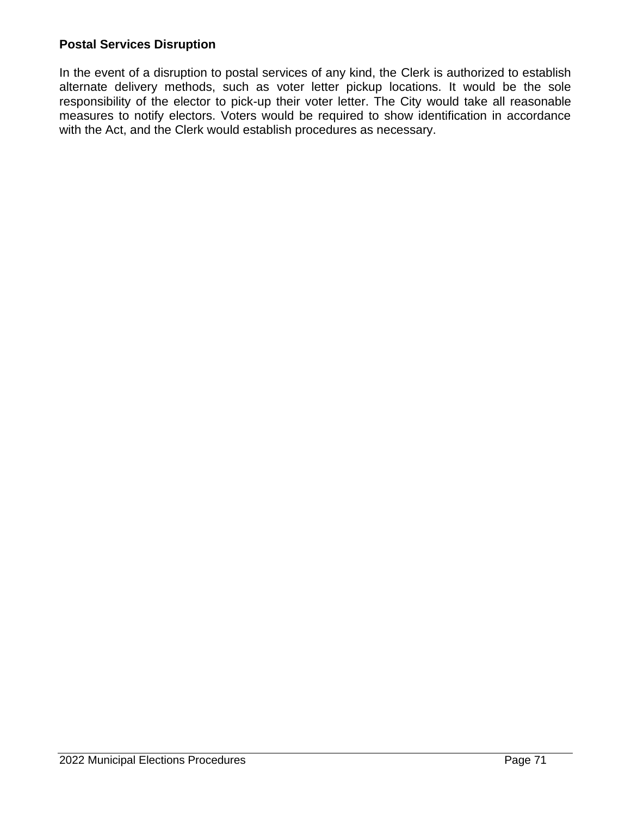## **Postal Services Disruption**

In the event of a disruption to postal services of any kind, the Clerk is authorized to establish alternate delivery methods, such as voter letter pickup locations. It would be the sole responsibility of the elector to pick-up their voter letter. The City would take all reasonable measures to notify electors. Voters would be required to show identification in accordance with the Act, and the Clerk would establish procedures as necessary.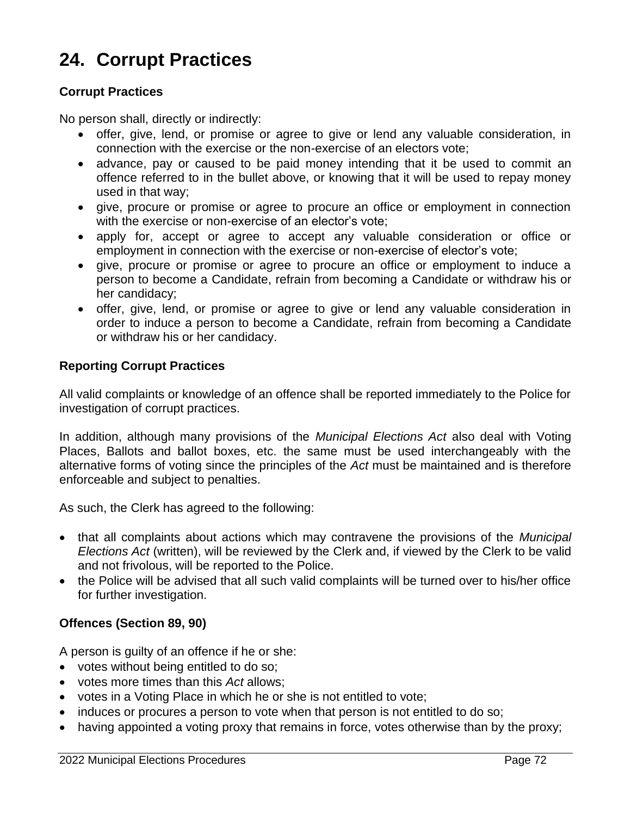## **24. Corrupt Practices**

#### **Corrupt Practices**

No person shall, directly or indirectly:

- offer, give, lend, or promise or agree to give or lend any valuable consideration, in connection with the exercise or the non-exercise of an electors vote;
- advance, pay or caused to be paid money intending that it be used to commit an offence referred to in the bullet above, or knowing that it will be used to repay money used in that way;
- give, procure or promise or agree to procure an office or employment in connection with the exercise or non-exercise of an elector's vote;
- apply for, accept or agree to accept any valuable consideration or office or employment in connection with the exercise or non-exercise of elector's vote;
- give, procure or promise or agree to procure an office or employment to induce a person to become a Candidate, refrain from becoming a Candidate or withdraw his or her candidacy;
- offer, give, lend, or promise or agree to give or lend any valuable consideration in order to induce a person to become a Candidate, refrain from becoming a Candidate or withdraw his or her candidacy.

#### **Reporting Corrupt Practices**

All valid complaints or knowledge of an offence shall be reported immediately to the Police for investigation of corrupt practices.

In addition, although many provisions of the *Municipal Elections Act* also deal with Voting Places, Ballots and ballot boxes, etc. the same must be used interchangeably with the alternative forms of voting since the principles of the *Act* must be maintained and is therefore enforceable and subject to penalties.

As such, the Clerk has agreed to the following:

- that all complaints about actions which may contravene the provisions of the *Municipal Elections Act* (written), will be reviewed by the Clerk and, if viewed by the Clerk to be valid and not frivolous, will be reported to the Police.
- the Police will be advised that all such valid complaints will be turned over to his/her office for further investigation.

## **Offences (Section 89, 90)**

A person is guilty of an offence if he or she:

- votes without being entitled to do so;
- votes more times than this *Act* allows;
- votes in a Voting Place in which he or she is not entitled to vote;
- induces or procures a person to vote when that person is not entitled to do so;
- having appointed a voting proxy that remains in force, votes otherwise than by the proxy;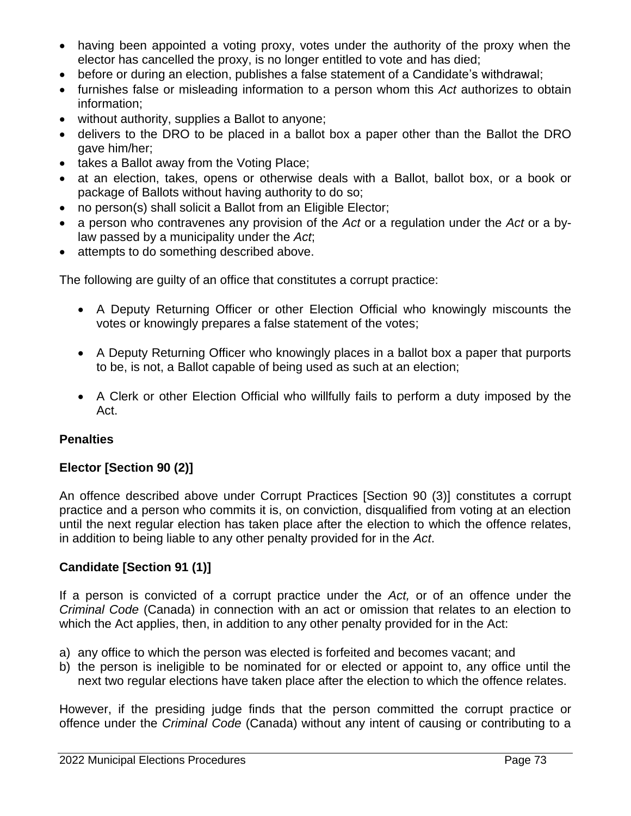- having been appointed a voting proxy, votes under the authority of the proxy when the elector has cancelled the proxy, is no longer entitled to vote and has died;
- before or during an election, publishes a false statement of a Candidate's withdrawal;
- furnishes false or misleading information to a person whom this *Act* authorizes to obtain information;
- without authority, supplies a Ballot to anyone;
- delivers to the DRO to be placed in a ballot box a paper other than the Ballot the DRO gave him/her;
- takes a Ballot away from the Voting Place;
- at an election, takes, opens or otherwise deals with a Ballot, ballot box, or a book or package of Ballots without having authority to do so;
- no person(s) shall solicit a Ballot from an Eligible Elector;
- a person who contravenes any provision of the *Act* or a regulation under the *Act* or a bylaw passed by a municipality under the *Act*;
- attempts to do something described above.

The following are guilty of an office that constitutes a corrupt practice:

- A Deputy Returning Officer or other Election Official who knowingly miscounts the votes or knowingly prepares a false statement of the votes;
- A Deputy Returning Officer who knowingly places in a ballot box a paper that purports to be, is not, a Ballot capable of being used as such at an election;
- A Clerk or other Election Official who willfully fails to perform a duty imposed by the Act.

## **Penalties**

## **Elector [Section 90 (2)]**

An offence described above under Corrupt Practices [Section 90 (3)] constitutes a corrupt practice and a person who commits it is, on conviction, disqualified from voting at an election until the next regular election has taken place after the election to which the offence relates, in addition to being liable to any other penalty provided for in the *Act*.

## **Candidate [Section 91 (1)]**

If a person is convicted of a corrupt practice under the *Act,* or of an offence under the *Criminal Code* (Canada) in connection with an act or omission that relates to an election to which the Act applies, then, in addition to any other penalty provided for in the Act:

- a) any office to which the person was elected is forfeited and becomes vacant; and
- b) the person is ineligible to be nominated for or elected or appoint to, any office until the next two regular elections have taken place after the election to which the offence relates.

However, if the presiding judge finds that the person committed the corrupt practice or offence under the *Criminal Code* (Canada) without any intent of causing or contributing to a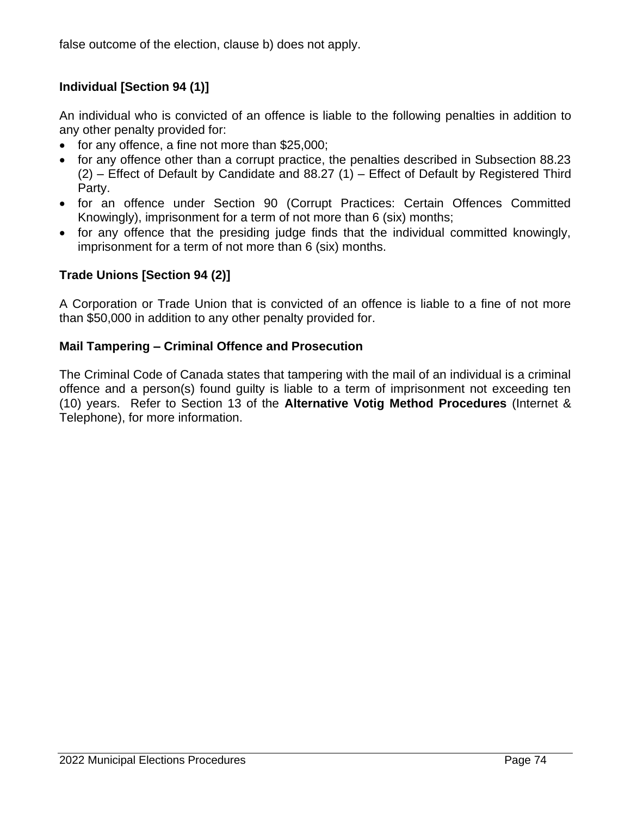false outcome of the election, clause b) does not apply.

## **Individual [Section 94 (1)]**

An individual who is convicted of an offence is liable to the following penalties in addition to any other penalty provided for:

- for any offence, a fine not more than \$25,000;
- for any offence other than a corrupt practice, the penalties described in Subsection 88.23 (2) – Effect of Default by Candidate and 88.27 (1) – Effect of Default by Registered Third Party.
- for an offence under Section 90 (Corrupt Practices: Certain Offences Committed Knowingly), imprisonment for a term of not more than 6 (six) months;
- for any offence that the presiding judge finds that the individual committed knowingly, imprisonment for a term of not more than 6 (six) months.

## **Trade Unions [Section 94 (2)]**

A Corporation or Trade Union that is convicted of an offence is liable to a fine of not more than \$50,000 in addition to any other penalty provided for.

## **Mail Tampering – Criminal Offence and Prosecution**

The Criminal Code of Canada states that tampering with the mail of an individual is a criminal offence and a person(s) found guilty is liable to a term of imprisonment not exceeding ten (10) years. Refer to Section 13 of the **Alternative Votig Method Procedures** (Internet & Telephone), for more information.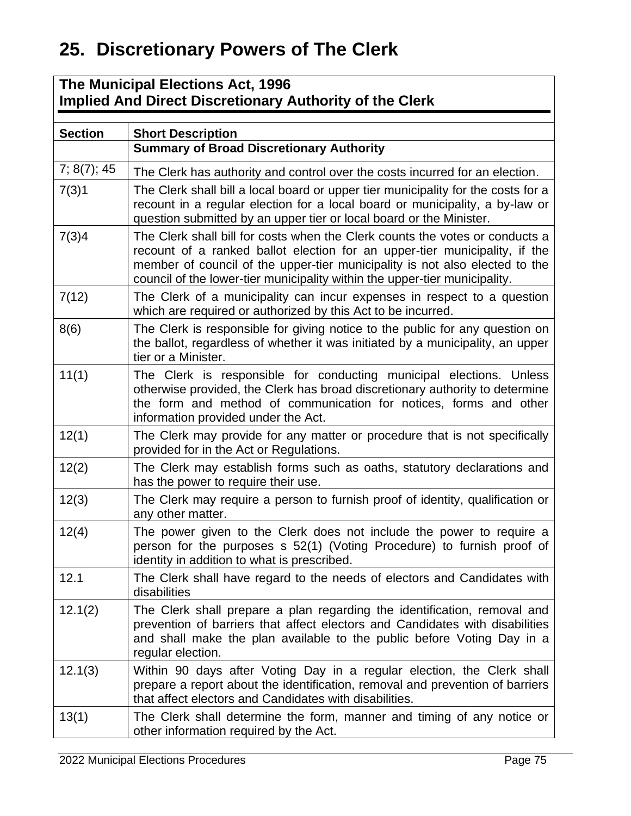## **25. Discretionary Powers of The Clerk**

## **The Municipal Elections Act, 1996 Implied And Direct Discretionary Authority of the Clerk**

| <b>Section</b> | <b>Short Description</b>                                                                                                                                                                                                                                                                                                |
|----------------|-------------------------------------------------------------------------------------------------------------------------------------------------------------------------------------------------------------------------------------------------------------------------------------------------------------------------|
|                | <b>Summary of Broad Discretionary Authority</b>                                                                                                                                                                                                                                                                         |
| 7; 8(7); 45    | The Clerk has authority and control over the costs incurred for an election.                                                                                                                                                                                                                                            |
| 7(3)1          | The Clerk shall bill a local board or upper tier municipality for the costs for a<br>recount in a regular election for a local board or municipality, a by-law or<br>question submitted by an upper tier or local board or the Minister.                                                                                |
| 7(3)4          | The Clerk shall bill for costs when the Clerk counts the votes or conducts a<br>recount of a ranked ballot election for an upper-tier municipality, if the<br>member of council of the upper-tier municipality is not also elected to the<br>council of the lower-tier municipality within the upper-tier municipality. |
| 7(12)          | The Clerk of a municipality can incur expenses in respect to a question<br>which are required or authorized by this Act to be incurred.                                                                                                                                                                                 |
| 8(6)           | The Clerk is responsible for giving notice to the public for any question on<br>the ballot, regardless of whether it was initiated by a municipality, an upper<br>tier or a Minister.                                                                                                                                   |
| 11(1)          | The Clerk is responsible for conducting municipal elections. Unless<br>otherwise provided, the Clerk has broad discretionary authority to determine<br>the form and method of communication for notices, forms and other<br>information provided under the Act.                                                         |
| 12(1)          | The Clerk may provide for any matter or procedure that is not specifically<br>provided for in the Act or Regulations.                                                                                                                                                                                                   |
| 12(2)          | The Clerk may establish forms such as oaths, statutory declarations and<br>has the power to require their use.                                                                                                                                                                                                          |
| 12(3)          | The Clerk may require a person to furnish proof of identity, qualification or<br>any other matter.                                                                                                                                                                                                                      |
| 12(4)          | The power given to the Clerk does not include the power to require a<br>person for the purposes s 52(1) (Voting Procedure) to furnish proof of<br>identity in addition to what is prescribed.                                                                                                                           |
| 12.1           | The Clerk shall have regard to the needs of electors and Candidates with<br>disabilities                                                                                                                                                                                                                                |
| 12.1(2)        | The Clerk shall prepare a plan regarding the identification, removal and<br>prevention of barriers that affect electors and Candidates with disabilities<br>and shall make the plan available to the public before Voting Day in a<br>regular election.                                                                 |
| 12.1(3)        | Within 90 days after Voting Day in a regular election, the Clerk shall<br>prepare a report about the identification, removal and prevention of barriers<br>that affect electors and Candidates with disabilities.                                                                                                       |
| 13(1)          | The Clerk shall determine the form, manner and timing of any notice or<br>other information required by the Act.                                                                                                                                                                                                        |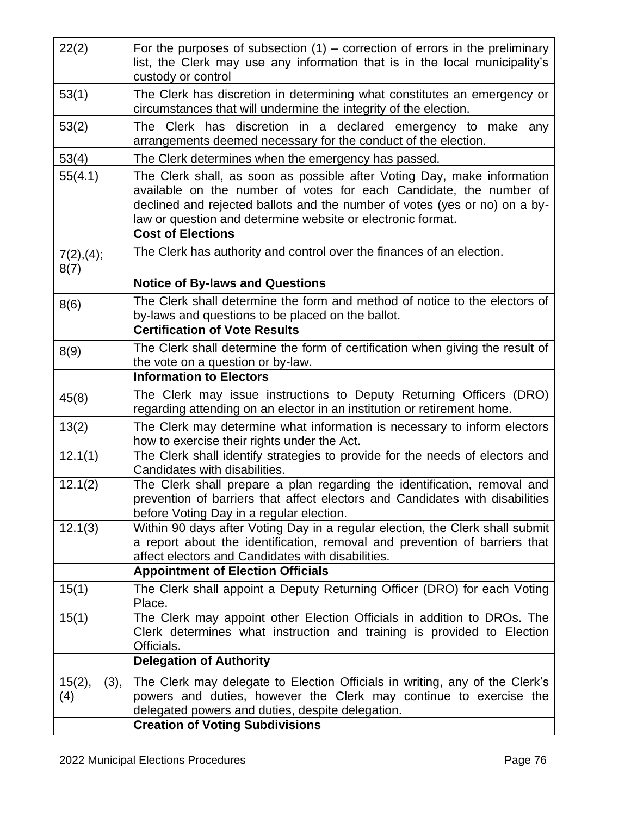| 53(1)                 | The Clerk has discretion in determining what constitutes an emergency or                                                                                                                                                                                                                                               |
|-----------------------|------------------------------------------------------------------------------------------------------------------------------------------------------------------------------------------------------------------------------------------------------------------------------------------------------------------------|
|                       | circumstances that will undermine the integrity of the election.                                                                                                                                                                                                                                                       |
| 53(2)                 | The Clerk has discretion in a declared emergency to make<br>any<br>arrangements deemed necessary for the conduct of the election.                                                                                                                                                                                      |
| 53(4)                 | The Clerk determines when the emergency has passed.                                                                                                                                                                                                                                                                    |
| 55(4.1)               | The Clerk shall, as soon as possible after Voting Day, make information<br>available on the number of votes for each Candidate, the number of<br>declined and rejected ballots and the number of votes (yes or no) on a by-<br>law or question and determine website or electronic format.<br><b>Cost of Elections</b> |
|                       | The Clerk has authority and control over the finances of an election.                                                                                                                                                                                                                                                  |
| 7(2), (4);<br>8(7)    |                                                                                                                                                                                                                                                                                                                        |
|                       | <b>Notice of By-laws and Questions</b>                                                                                                                                                                                                                                                                                 |
| 8(6)                  | The Clerk shall determine the form and method of notice to the electors of<br>by-laws and questions to be placed on the ballot.                                                                                                                                                                                        |
|                       | <b>Certification of Vote Results</b>                                                                                                                                                                                                                                                                                   |
| 8(9)                  | The Clerk shall determine the form of certification when giving the result of<br>the vote on a question or by-law.                                                                                                                                                                                                     |
|                       | <b>Information to Electors</b>                                                                                                                                                                                                                                                                                         |
| 45(8)                 | The Clerk may issue instructions to Deputy Returning Officers (DRO)<br>regarding attending on an elector in an institution or retirement home.                                                                                                                                                                         |
| 13(2)                 | The Clerk may determine what information is necessary to inform electors<br>how to exercise their rights under the Act.                                                                                                                                                                                                |
| 12.1(1)               | The Clerk shall identify strategies to provide for the needs of electors and<br>Candidates with disabilities.                                                                                                                                                                                                          |
| 12.1(2)               | The Clerk shall prepare a plan regarding the identification, removal and<br>prevention of barriers that affect electors and Candidates with disabilities<br>before Voting Day in a regular election.                                                                                                                   |
| 12.1(3)               | Within 90 days after Voting Day in a regular election, the Clerk shall submit<br>a report about the identification, removal and prevention of barriers that<br>affect electors and Candidates with disabilities.                                                                                                       |
|                       | <b>Appointment of Election Officials</b>                                                                                                                                                                                                                                                                               |
| 15(1)                 | The Clerk shall appoint a Deputy Returning Officer (DRO) for each Voting<br>Place.                                                                                                                                                                                                                                     |
| 15(1)                 | The Clerk may appoint other Election Officials in addition to DROs. The<br>Clerk determines what instruction and training is provided to Election<br>Officials.                                                                                                                                                        |
|                       | <b>Delegation of Authority</b>                                                                                                                                                                                                                                                                                         |
| 15(2),<br>(3),<br>(4) | The Clerk may delegate to Election Officials in writing, any of the Clerk's<br>powers and duties, however the Clerk may continue to exercise the<br>delegated powers and duties, despite delegation.<br><b>Creation of Voting Subdivisions</b>                                                                         |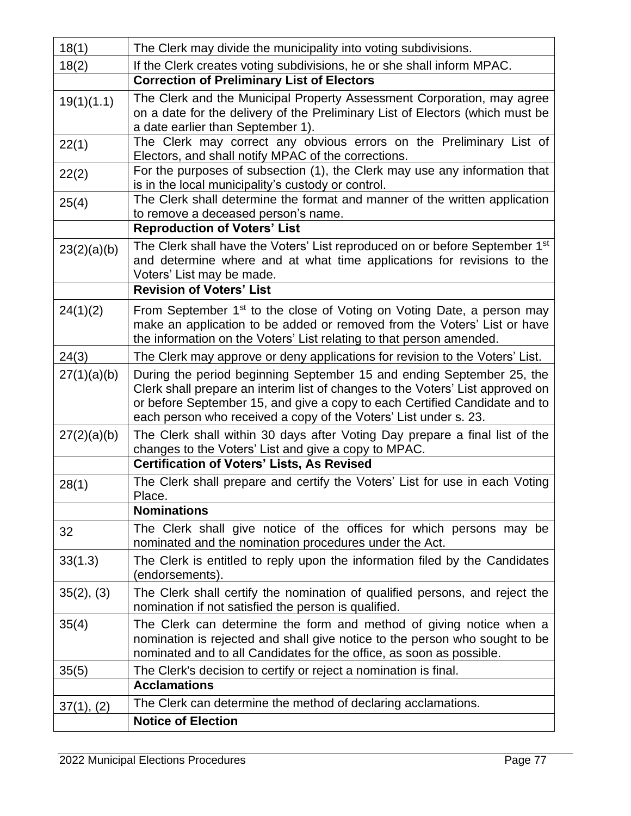| 18(1)       | The Clerk may divide the municipality into voting subdivisions.                                                                                                                                                                                                                                           |
|-------------|-----------------------------------------------------------------------------------------------------------------------------------------------------------------------------------------------------------------------------------------------------------------------------------------------------------|
| 18(2)       | If the Clerk creates voting subdivisions, he or she shall inform MPAC.                                                                                                                                                                                                                                    |
|             | <b>Correction of Preliminary List of Electors</b>                                                                                                                                                                                                                                                         |
| 19(1)(1.1)  | The Clerk and the Municipal Property Assessment Corporation, may agree<br>on a date for the delivery of the Preliminary List of Electors (which must be<br>a date earlier than September 1).                                                                                                              |
| 22(1)       | The Clerk may correct any obvious errors on the Preliminary List of<br>Electors, and shall notify MPAC of the corrections.                                                                                                                                                                                |
| 22(2)       | For the purposes of subsection (1), the Clerk may use any information that<br>is in the local municipality's custody or control.                                                                                                                                                                          |
| 25(4)       | The Clerk shall determine the format and manner of the written application<br>to remove a deceased person's name.                                                                                                                                                                                         |
|             | <b>Reproduction of Voters' List</b>                                                                                                                                                                                                                                                                       |
| 23(2)(a)(b) | The Clerk shall have the Voters' List reproduced on or before September 1 <sup>st</sup><br>and determine where and at what time applications for revisions to the<br>Voters' List may be made.<br><b>Revision of Voters' List</b>                                                                         |
|             |                                                                                                                                                                                                                                                                                                           |
| 24(1)(2)    | From September 1 <sup>st</sup> to the close of Voting on Voting Date, a person may<br>make an application to be added or removed from the Voters' List or have<br>the information on the Voters' List relating to that person amended.                                                                    |
| 24(3)       | The Clerk may approve or deny applications for revision to the Voters' List.                                                                                                                                                                                                                              |
| 27(1)(a)(b) | During the period beginning September 15 and ending September 25, the<br>Clerk shall prepare an interim list of changes to the Voters' List approved on<br>or before September 15, and give a copy to each Certified Candidate and to<br>each person who received a copy of the Voters' List under s. 23. |
| 27(2)(a)(b) | The Clerk shall within 30 days after Voting Day prepare a final list of the<br>changes to the Voters' List and give a copy to MPAC.                                                                                                                                                                       |
|             | <b>Certification of Voters' Lists, As Revised</b>                                                                                                                                                                                                                                                         |
| 28(1)       | The Clerk shall prepare and certify the Voters' List for use in each Voting<br>Place                                                                                                                                                                                                                      |
|             | <b>Nominations</b>                                                                                                                                                                                                                                                                                        |
| 32          | The Clerk shall give notice of the offices for which persons may be<br>nominated and the nomination procedures under the Act.                                                                                                                                                                             |
| 33(1.3)     | The Clerk is entitled to reply upon the information filed by the Candidates<br>(endorsements).                                                                                                                                                                                                            |
| 35(2), (3)  | The Clerk shall certify the nomination of qualified persons, and reject the<br>nomination if not satisfied the person is qualified.                                                                                                                                                                       |
| 35(4)       | The Clerk can determine the form and method of giving notice when a<br>nomination is rejected and shall give notice to the person who sought to be<br>nominated and to all Candidates for the office, as soon as possible.                                                                                |
| 35(5)       | The Clerk's decision to certify or reject a nomination is final.<br><b>Acclamations</b>                                                                                                                                                                                                                   |
| 37(1), (2)  | The Clerk can determine the method of declaring acclamations.                                                                                                                                                                                                                                             |
|             | <b>Notice of Election</b>                                                                                                                                                                                                                                                                                 |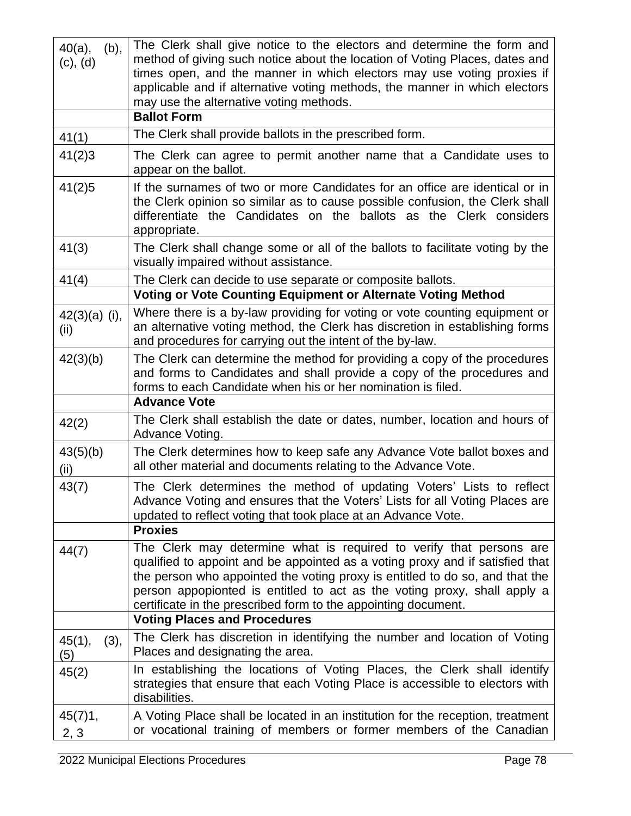| $40(a)$ ,<br>(b),<br>(c), (d) | The Clerk shall give notice to the electors and determine the form and<br>method of giving such notice about the location of Voting Places, dates and<br>times open, and the manner in which electors may use voting proxies if<br>applicable and if alternative voting methods, the manner in which electors<br>may use the alternative voting methods.<br><b>Ballot Form</b>                                            |
|-------------------------------|---------------------------------------------------------------------------------------------------------------------------------------------------------------------------------------------------------------------------------------------------------------------------------------------------------------------------------------------------------------------------------------------------------------------------|
|                               | The Clerk shall provide ballots in the prescribed form.                                                                                                                                                                                                                                                                                                                                                                   |
| 41(1)                         |                                                                                                                                                                                                                                                                                                                                                                                                                           |
| 41(2)3                        | The Clerk can agree to permit another name that a Candidate uses to<br>appear on the ballot.                                                                                                                                                                                                                                                                                                                              |
| 41(2)5                        | If the surnames of two or more Candidates for an office are identical or in<br>the Clerk opinion so similar as to cause possible confusion, the Clerk shall<br>differentiate the Candidates on the ballots as the Clerk considers<br>appropriate.                                                                                                                                                                         |
| 41(3)                         | The Clerk shall change some or all of the ballots to facilitate voting by the<br>visually impaired without assistance.                                                                                                                                                                                                                                                                                                    |
| 41(4)                         | The Clerk can decide to use separate or composite ballots.                                                                                                                                                                                                                                                                                                                                                                |
|                               | Voting or Vote Counting Equipment or Alternate Voting Method                                                                                                                                                                                                                                                                                                                                                              |
| $42(3)(a)$ (i),<br>(ii)       | Where there is a by-law providing for voting or vote counting equipment or<br>an alternative voting method, the Clerk has discretion in establishing forms<br>and procedures for carrying out the intent of the by-law.                                                                                                                                                                                                   |
| 42(3)(b)                      | The Clerk can determine the method for providing a copy of the procedures<br>and forms to Candidates and shall provide a copy of the procedures and<br>forms to each Candidate when his or her nomination is filed.                                                                                                                                                                                                       |
|                               | <b>Advance Vote</b>                                                                                                                                                                                                                                                                                                                                                                                                       |
| 42(2)                         | The Clerk shall establish the date or dates, number, location and hours of<br>Advance Voting.                                                                                                                                                                                                                                                                                                                             |
| 43(5)(b)<br>(ii)              | The Clerk determines how to keep safe any Advance Vote ballot boxes and<br>all other material and documents relating to the Advance Vote.                                                                                                                                                                                                                                                                                 |
| 43(7)                         | The Clerk determines the method of updating Voters' Lists to reflect<br>Advance Voting and ensures that the Voters' Lists for all Voting Places are<br>updated to reflect voting that took place at an Advance Vote.<br><b>Proxies</b>                                                                                                                                                                                    |
| 44(7)                         | The Clerk may determine what is required to verify that persons are<br>qualified to appoint and be appointed as a voting proxy and if satisfied that<br>the person who appointed the voting proxy is entitled to do so, and that the<br>person appopionted is entitled to act as the voting proxy, shall apply a<br>certificate in the prescribed form to the appointing document.<br><b>Voting Places and Procedures</b> |
|                               | The Clerk has discretion in identifying the number and location of Voting                                                                                                                                                                                                                                                                                                                                                 |
| 45(1),<br>(3),<br>(5)         | Places and designating the area.                                                                                                                                                                                                                                                                                                                                                                                          |
| 45(2)                         | In establishing the locations of Voting Places, the Clerk shall identify<br>strategies that ensure that each Voting Place is accessible to electors with<br>disabilities.                                                                                                                                                                                                                                                 |
| 45(7)1,<br>2, 3               | A Voting Place shall be located in an institution for the reception, treatment<br>or vocational training of members or former members of the Canadian                                                                                                                                                                                                                                                                     |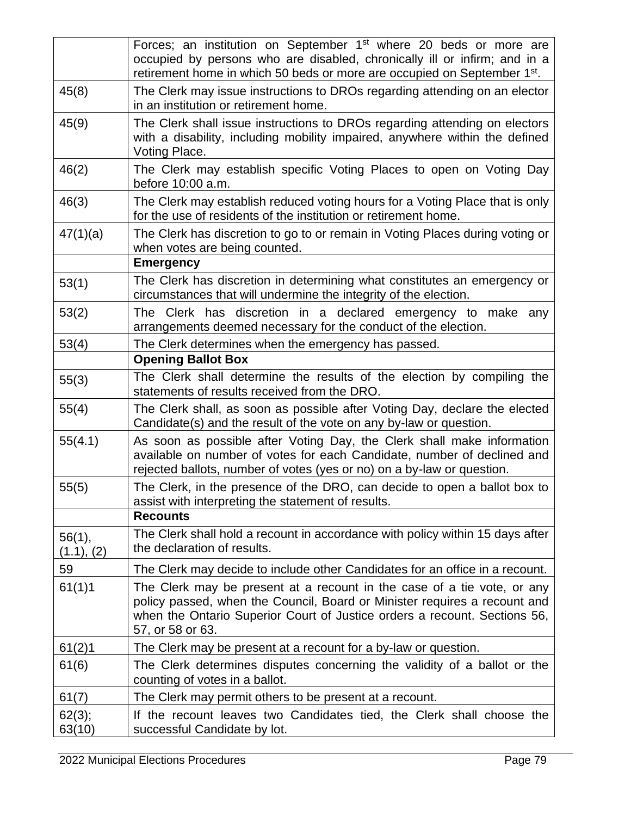|                      | Forces; an institution on September 1 <sup>st</sup> where 20 beds or more are<br>occupied by persons who are disabled, chronically ill or infirm; and in a<br>retirement home in which 50 beds or more are occupied on September 1st.                 |
|----------------------|-------------------------------------------------------------------------------------------------------------------------------------------------------------------------------------------------------------------------------------------------------|
| 45(8)                | The Clerk may issue instructions to DROs regarding attending on an elector<br>in an institution or retirement home.                                                                                                                                   |
| 45(9)                | The Clerk shall issue instructions to DROs regarding attending on electors<br>with a disability, including mobility impaired, anywhere within the defined<br>Voting Place.                                                                            |
| 46(2)                | The Clerk may establish specific Voting Places to open on Voting Day<br>before 10:00 a.m.                                                                                                                                                             |
| 46(3)                | The Clerk may establish reduced voting hours for a Voting Place that is only<br>for the use of residents of the institution or retirement home.                                                                                                       |
| 47(1)(a)             | The Clerk has discretion to go to or remain in Voting Places during voting or<br>when votes are being counted.                                                                                                                                        |
|                      | <b>Emergency</b>                                                                                                                                                                                                                                      |
| 53(1)                | The Clerk has discretion in determining what constitutes an emergency or<br>circumstances that will undermine the integrity of the election.                                                                                                          |
| 53(2)                | The Clerk has discretion in a declared emergency to make any<br>arrangements deemed necessary for the conduct of the election.                                                                                                                        |
| 53(4)                | The Clerk determines when the emergency has passed.                                                                                                                                                                                                   |
|                      | <b>Opening Ballot Box</b>                                                                                                                                                                                                                             |
| 55(3)                | The Clerk shall determine the results of the election by compiling the<br>statements of results received from the DRO.                                                                                                                                |
| 55(4)                | The Clerk shall, as soon as possible after Voting Day, declare the elected<br>Candidate(s) and the result of the vote on any by-law or question.                                                                                                      |
| 55(4.1)              | As soon as possible after Voting Day, the Clerk shall make information<br>available on number of votes for each Candidate, number of declined and<br>rejected ballots, number of votes (yes or no) on a by-law or question.                           |
| 55(5)                | The Clerk, in the presence of the DRO, can decide to open a ballot box to<br>assist with interpreting the statement of results.                                                                                                                       |
|                      | <b>Recounts</b>                                                                                                                                                                                                                                       |
| 56(1),<br>(1.1), (2) | The Clerk shall hold a recount in accordance with policy within 15 days after<br>the declaration of results.                                                                                                                                          |
| 59                   | The Clerk may decide to include other Candidates for an office in a recount.                                                                                                                                                                          |
| 61(1)1               | The Clerk may be present at a recount in the case of a tie vote, or any<br>policy passed, when the Council, Board or Minister requires a recount and<br>when the Ontario Superior Court of Justice orders a recount. Sections 56,<br>57, or 58 or 63. |
| 61(2)1               | The Clerk may be present at a recount for a by-law or question.                                                                                                                                                                                       |
| 61(6)                | The Clerk determines disputes concerning the validity of a ballot or the<br>counting of votes in a ballot.                                                                                                                                            |
| 61(7)                | The Clerk may permit others to be present at a recount.                                                                                                                                                                                               |
| 62(3);<br>63(10)     | If the recount leaves two Candidates tied, the Clerk shall choose the<br>successful Candidate by lot.                                                                                                                                                 |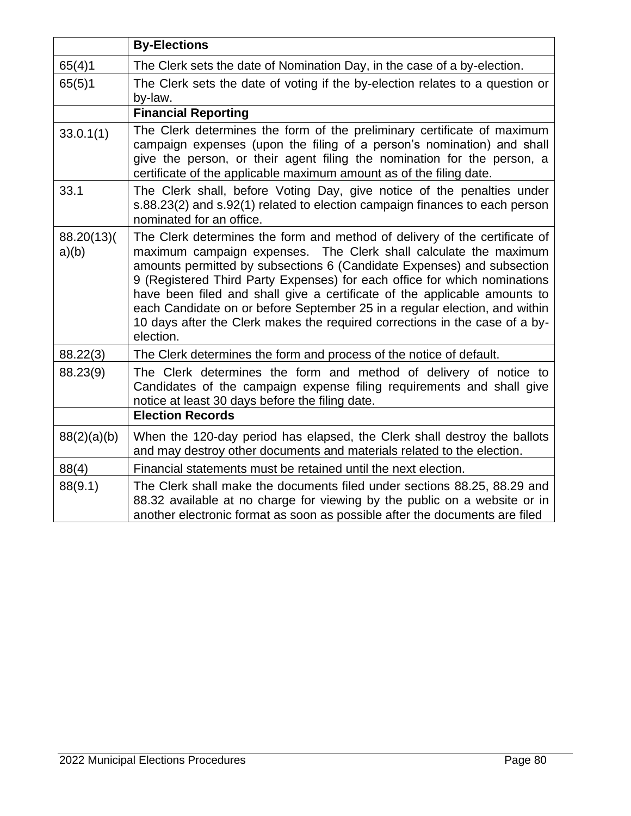|                     | <b>By-Elections</b>                                                                                                                                                                                                                                                                                                                                                                                                                                                                                                                                          |
|---------------------|--------------------------------------------------------------------------------------------------------------------------------------------------------------------------------------------------------------------------------------------------------------------------------------------------------------------------------------------------------------------------------------------------------------------------------------------------------------------------------------------------------------------------------------------------------------|
| 65(4)1              | The Clerk sets the date of Nomination Day, in the case of a by-election.                                                                                                                                                                                                                                                                                                                                                                                                                                                                                     |
| 65(5)1              | The Clerk sets the date of voting if the by-election relates to a question or<br>by-law.                                                                                                                                                                                                                                                                                                                                                                                                                                                                     |
|                     | <b>Financial Reporting</b>                                                                                                                                                                                                                                                                                                                                                                                                                                                                                                                                   |
| 33.0.1(1)           | The Clerk determines the form of the preliminary certificate of maximum<br>campaign expenses (upon the filing of a person's nomination) and shall<br>give the person, or their agent filing the nomination for the person, a<br>certificate of the applicable maximum amount as of the filing date.                                                                                                                                                                                                                                                          |
| 33.1                | The Clerk shall, before Voting Day, give notice of the penalties under<br>s.88.23(2) and s.92(1) related to election campaign finances to each person<br>nominated for an office.                                                                                                                                                                                                                                                                                                                                                                            |
| 88.20(13)(<br>a)(b) | The Clerk determines the form and method of delivery of the certificate of<br>maximum campaign expenses. The Clerk shall calculate the maximum<br>amounts permitted by subsections 6 (Candidate Expenses) and subsection<br>9 (Registered Third Party Expenses) for each office for which nominations<br>have been filed and shall give a certificate of the applicable amounts to<br>each Candidate on or before September 25 in a regular election, and within<br>10 days after the Clerk makes the required corrections in the case of a by-<br>election. |
| 88.22(3)            | The Clerk determines the form and process of the notice of default.                                                                                                                                                                                                                                                                                                                                                                                                                                                                                          |
| 88.23(9)            | The Clerk determines the form and method of delivery of notice to<br>Candidates of the campaign expense filing requirements and shall give<br>notice at least 30 days before the filing date.                                                                                                                                                                                                                                                                                                                                                                |
|                     | <b>Election Records</b>                                                                                                                                                                                                                                                                                                                                                                                                                                                                                                                                      |
| 88(2)(a)(b)         | When the 120-day period has elapsed, the Clerk shall destroy the ballots<br>and may destroy other documents and materials related to the election.                                                                                                                                                                                                                                                                                                                                                                                                           |
| 88(4)               | Financial statements must be retained until the next election.                                                                                                                                                                                                                                                                                                                                                                                                                                                                                               |
| 88(9.1)             | The Clerk shall make the documents filed under sections 88.25, 88.29 and<br>88.32 available at no charge for viewing by the public on a website or in<br>another electronic format as soon as possible after the documents are filed                                                                                                                                                                                                                                                                                                                         |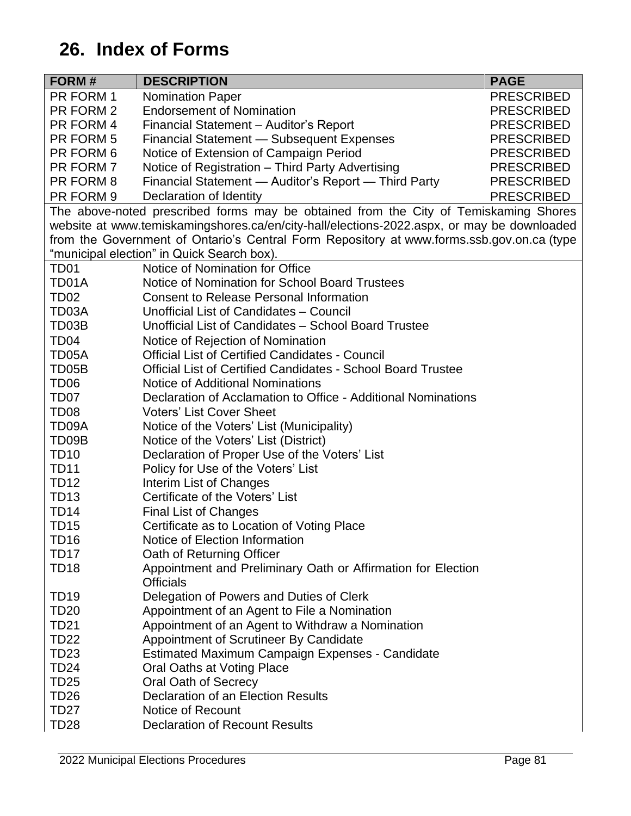# **26. Index of Forms**

| FORM#              | <b>DESCRIPTION</b>                                                                         | <b>PAGE</b>       |
|--------------------|--------------------------------------------------------------------------------------------|-------------------|
| PR FORM 1          | <b>Nomination Paper</b>                                                                    | <b>PRESCRIBED</b> |
| PR FORM 2          | <b>Endorsement of Nomination</b>                                                           | <b>PRESCRIBED</b> |
| PR FORM 4          | Financial Statement - Auditor's Report                                                     | <b>PRESCRIBED</b> |
| PR FORM 5          | Financial Statement - Subsequent Expenses                                                  | <b>PRESCRIBED</b> |
| PR FORM 6          | Notice of Extension of Campaign Period                                                     | <b>PRESCRIBED</b> |
| PR FORM 7          | Notice of Registration - Third Party Advertising                                           | <b>PRESCRIBED</b> |
| PR FORM 8          | Financial Statement - Auditor's Report - Third Party                                       | <b>PRESCRIBED</b> |
| PR FORM 9          | Declaration of Identity                                                                    | <b>PRESCRIBED</b> |
|                    | The above-noted prescribed forms may be obtained from the City of Temiskaming Shores       |                   |
|                    | website at www.temiskamingshores.ca/en/city-hall/elections-2022.aspx, or may be downloaded |                   |
|                    | from the Government of Ontario's Central Form Repository at www.forms.ssb.gov.on.ca (type  |                   |
|                    | "municipal election" in Quick Search box).                                                 |                   |
| TD <sub>01</sub>   | Notice of Nomination for Office                                                            |                   |
| TD01A              | Notice of Nomination for School Board Trustees                                             |                   |
| TD <sub>02</sub>   | <b>Consent to Release Personal Information</b>                                             |                   |
| TD03A              | Unofficial List of Candidates - Council                                                    |                   |
| TD03B              | Unofficial List of Candidates - School Board Trustee                                       |                   |
| TD <sub>04</sub>   | Notice of Rejection of Nomination                                                          |                   |
| TD05A              | <b>Official List of Certified Candidates - Council</b>                                     |                   |
| TD <sub>05</sub> B | <b>Official List of Certified Candidates - School Board Trustee</b>                        |                   |
| TD <sub>06</sub>   | Notice of Additional Nominations                                                           |                   |
| TD <sub>07</sub>   | Declaration of Acclamation to Office - Additional Nominations                              |                   |
| TD <sub>08</sub>   | <b>Voters' List Cover Sheet</b>                                                            |                   |
| TD09A              | Notice of the Voters' List (Municipality)                                                  |                   |
| TD09B              | Notice of the Voters' List (District)                                                      |                   |
| <b>TD10</b>        | Declaration of Proper Use of the Voters' List                                              |                   |
| <b>TD11</b>        | Policy for Use of the Voters' List                                                         |                   |
| <b>TD12</b>        | Interim List of Changes                                                                    |                   |
| <b>TD13</b>        | Certificate of the Voters' List                                                            |                   |
| <b>TD14</b>        | <b>Final List of Changes</b>                                                               |                   |
| <b>TD15</b>        | Certificate as to Location of Voting Place                                                 |                   |
| TD16               | Notice of Election Information                                                             |                   |
| TD17               | Oath of Returning Officer                                                                  |                   |
| <b>TD18</b>        | Appointment and Preliminary Oath or Affirmation for Election                               |                   |
|                    | <b>Officials</b>                                                                           |                   |
| TD <sub>19</sub>   | Delegation of Powers and Duties of Clerk                                                   |                   |
| <b>TD20</b>        | Appointment of an Agent to File a Nomination                                               |                   |
| <b>TD21</b>        | Appointment of an Agent to Withdraw a Nomination                                           |                   |
| <b>TD22</b>        | Appointment of Scrutineer By Candidate                                                     |                   |
| <b>TD23</b>        | Estimated Maximum Campaign Expenses - Candidate                                            |                   |
| <b>TD24</b>        | Oral Oaths at Voting Place                                                                 |                   |
| <b>TD25</b>        | Oral Oath of Secrecy                                                                       |                   |
| <b>TD26</b>        | Declaration of an Election Results                                                         |                   |
| <b>TD27</b>        | Notice of Recount                                                                          |                   |
| <b>TD28</b>        | <b>Declaration of Recount Results</b>                                                      |                   |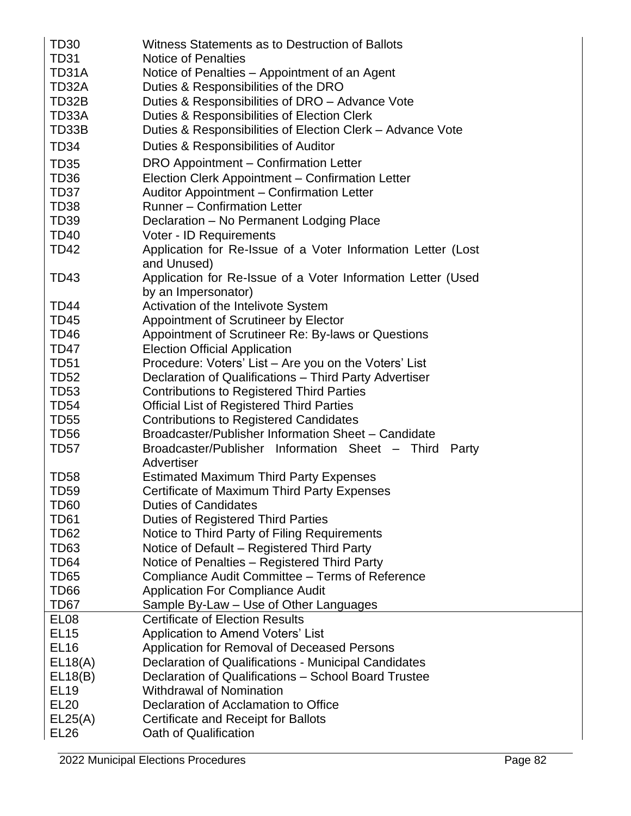| TD30             | Witness Statements as to Destruction of Ballots                             |
|------------------|-----------------------------------------------------------------------------|
| TD31             | <b>Notice of Penalties</b>                                                  |
| TD31A            | Notice of Penalties – Appointment of an Agent                               |
| TD32A            | Duties & Responsibilities of the DRO                                        |
| TD32B            | Duties & Responsibilities of DRO – Advance Vote                             |
| TD33A            | Duties & Responsibilities of Election Clerk                                 |
| TD33B            | Duties & Responsibilities of Election Clerk - Advance Vote                  |
| <b>TD34</b>      | Duties & Responsibilities of Auditor                                        |
| <b>TD35</b>      | DRO Appointment – Confirmation Letter                                       |
| TD36             | Election Clerk Appointment - Confirmation Letter                            |
| TD37             | Auditor Appointment - Confirmation Letter                                   |
| TD <sub>38</sub> | <b>Runner - Confirmation Letter</b>                                         |
| <b>TD39</b>      | Declaration - No Permanent Lodging Place                                    |
| TD40             | Voter - ID Requirements                                                     |
| TD42             | Application for Re-Issue of a Voter Information Letter (Lost<br>and Unused) |
| TD43             | Application for Re-Issue of a Voter Information Letter (Used                |
|                  | by an Impersonator)                                                         |
| TD <sub>44</sub> | Activation of the Intelivote System                                         |
| <b>TD45</b>      | Appointment of Scrutineer by Elector                                        |
| <b>TD46</b>      | Appointment of Scrutineer Re: By-laws or Questions                          |
| TD47             | <b>Election Official Application</b>                                        |
| <b>TD51</b>      | Procedure: Voters' List - Are you on the Voters' List                       |
| <b>TD52</b>      | Declaration of Qualifications - Third Party Advertiser                      |
| <b>TD53</b>      | <b>Contributions to Registered Third Parties</b>                            |
| <b>TD54</b>      | <b>Official List of Registered Third Parties</b>                            |
| <b>TD55</b>      | <b>Contributions to Registered Candidates</b>                               |
| <b>TD56</b>      | Broadcaster/Publisher Information Sheet - Candidate                         |
| TD57             | Broadcaster/Publisher Information Sheet - Third<br>Party<br>Advertiser      |
| TD <sub>58</sub> | <b>Estimated Maximum Third Party Expenses</b>                               |
| <b>TD59</b>      | Certificate of Maximum Third Party Expenses                                 |
| TD60             | <b>Duties of Candidates</b>                                                 |
| TD61             | <b>Duties of Registered Third Parties</b>                                   |
| <b>TD62</b>      | Notice to Third Party of Filing Requirements                                |
| TD63             | Notice of Default - Registered Third Party                                  |
| TD64             | Notice of Penalties - Registered Third Party                                |
| TD65             | Compliance Audit Committee - Terms of Reference                             |
| TD66             | <b>Application For Compliance Audit</b>                                     |
| TD67             | Sample By-Law - Use of Other Languages                                      |
| EL <sub>08</sub> | <b>Certificate of Election Results</b>                                      |
| <b>EL15</b>      | <b>Application to Amend Voters' List</b>                                    |
| <b>EL16</b>      | Application for Removal of Deceased Persons                                 |
| EL18(A)          | Declaration of Qualifications - Municipal Candidates                        |
| EL18(B)          | Declaration of Qualifications - School Board Trustee                        |
| <b>EL19</b>      | <b>Withdrawal of Nomination</b>                                             |
| <b>EL20</b>      | Declaration of Acclamation to Office                                        |
| EL25(A)          | Certificate and Receipt for Ballots                                         |
| <b>EL26</b>      | Oath of Qualification                                                       |